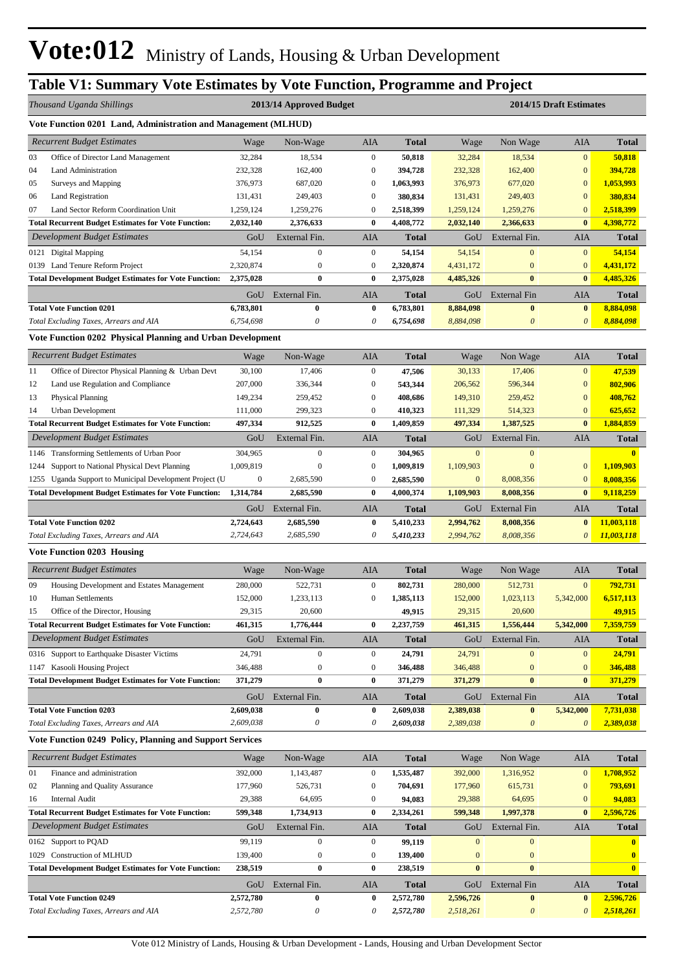## **Table V1: Summary Vote Estimates by Vote Function, Programme and Project**

|      | Thousand Uganda Shillings                                                 |                               | 2013/14 Approved Budget      |                              |                        |                        |                                   | 2014/15 Draft Estimates            |                         |
|------|---------------------------------------------------------------------------|-------------------------------|------------------------------|------------------------------|------------------------|------------------------|-----------------------------------|------------------------------------|-------------------------|
|      | Vote Function 0201 Land, Administration and Management (MLHUD)            |                               |                              |                              |                        |                        |                                   |                                    |                         |
|      | <b>Recurrent Budget Estimates</b>                                         | Wage                          | Non-Wage                     | AIA                          | <b>Total</b>           | Wage                   | Non Wage                          | AIA                                | <b>Total</b>            |
| 03   | Office of Director Land Management                                        | 32,284                        | 18,534                       | $\boldsymbol{0}$             | 50,818                 | 32,284                 | 18,534                            | $\mathbf{0}$                       | 50,818                  |
| 04   | <b>Land Administration</b>                                                | 232,328                       | 162,400                      | $\boldsymbol{0}$             | 394,728                | 232,328                | 162,400                           | $\boldsymbol{0}$                   | 394,728                 |
| 05   | Surveys and Mapping                                                       | 376,973                       | 687,020                      | $\mathbf{0}$                 | 1,063,993              | 376,973                | 677,020                           | $\boldsymbol{0}$                   | 1,053,993               |
| 06   | <b>Land Registration</b>                                                  | 131,431                       | 249,403                      | $\mathbf{0}$                 | 380,834                | 131,431                | 249,403                           | $\boldsymbol{0}$                   | 380,834                 |
| 07   | Land Sector Reform Coordination Unit                                      | 1,259,124                     | 1,259,276                    | $\boldsymbol{0}$             | 2,518,399              | 1,259,124              | 1,259,276                         | $\boldsymbol{0}$                   | 2,518,399               |
|      | <b>Total Recurrent Budget Estimates for Vote Function:</b>                | 2,032,140                     | 2,376,633                    | $\bf{0}$                     | 4,408,772              | 2,032,140              | 2,366,633                         | $\bf{0}$                           | 4,398,772               |
|      | Development Budget Estimates                                              | GoU                           | External Fin.                | AIA                          | Total                  | GoU                    | External Fin.                     | AIA                                | <b>Total</b>            |
|      | 0121 Digital Mapping                                                      | 54,154                        | $\mathbf{0}$                 | $\mathbf{0}$                 | 54,154                 | 54,154                 | $\mathbf{0}$                      | $\overline{0}$                     | 54,154                  |
| 0139 | Land Tenure Reform Project                                                | 2,320,874                     | $\boldsymbol{0}$             | $\mathbf{0}$                 | 2,320,874              | 4,431,172              | $\bf{0}$                          | $\boldsymbol{0}$                   | 4,431,172               |
|      | <b>Total Development Budget Estimates for Vote Function:</b>              | 2,375,028                     | $\bf{0}$                     | $\bf{0}$                     | 2,375,028              | 4,485,326              | $\bf{0}$                          | $\bf{0}$                           | 4,485,326               |
|      |                                                                           | GoU                           | External Fin.                | AIA                          | <b>Total</b>           | GoU                    | <b>External Fin</b>               | AIA                                | <b>Total</b>            |
|      | <b>Total Vote Function 0201</b>                                           | 6,783,801                     | $\bf{0}$                     | $\bf{0}$                     | 6,783,801              | 8,884,098              | $\bf{0}$                          | $\bf{0}$                           | 8,884,098               |
|      | Total Excluding Taxes, Arrears and AIA                                    | 6,754,698                     | $\boldsymbol{\theta}$        | 0                            | 6,754,698              | 8,884,098              | $\boldsymbol{\theta}$             | $\boldsymbol{\theta}$              | 8,884,098               |
|      | Vote Function 0202 Physical Planning and Urban Development                |                               |                              |                              |                        |                        |                                   |                                    |                         |
|      | <b>Recurrent Budget Estimates</b>                                         | Wage                          | Non-Wage                     | AIA                          | Total                  | Wage                   | Non Wage                          | AIA                                | <b>Total</b>            |
| 11   | Office of Director Physical Planning & Urban Devt                         | 30,100                        | 17,406                       | $\boldsymbol{0}$             | 47,506                 | 30,133                 | 17,406                            | $\mathbf{0}$                       | 47,539                  |
| 12   | Land use Regulation and Compliance                                        | 207,000                       | 336,344                      | $\mathbf{0}$                 | 543,344                | 206,562                | 596,344                           | $\mathbf{0}$                       | 802,906                 |
| 13   | Physical Planning                                                         | 149,234                       | 259,452                      | $\mathbf{0}$                 | 408,686                | 149,310                | 259,452                           | $\boldsymbol{0}$                   | 408,762                 |
| 14   | Urban Development                                                         | 111,000                       | 299,323                      | $\boldsymbol{0}$             | 410,323                | 111,329                | 514,323                           | $\boldsymbol{0}$                   | 625,652                 |
|      | <b>Total Recurrent Budget Estimates for Vote Function:</b>                | 497,334                       | 912,525                      | $\bf{0}$                     | 1,409,859              | 497,334                | 1,387,525                         | $\bf{0}$                           | 1,884,859               |
|      | Development Budget Estimates                                              | GoU                           | External Fin.                | AIA                          | Total                  | GoU                    | External Fin.                     | AIA                                | <b>Total</b>            |
|      | 1146 Transforming Settlements of Urban Poor                               | 304,965                       | $\boldsymbol{0}$             | $\mathbf{0}$                 | 304,965                | $\mathbf{0}$           | $\mathbf{0}$                      |                                    | $\mathbf{0}$            |
| 1244 | Support to National Physical Devt Planning                                | 1,009,819                     | $\boldsymbol{0}$             | $\mathbf{0}$                 | 1,009,819              | 1,109,903              | $\mathbf{0}$                      | $\boldsymbol{0}$                   | 1,109,903               |
| 1255 | Uganda Support to Municipal Development Project (U                        | $\boldsymbol{0}$<br>1,314,784 | 2,685,590                    | $\boldsymbol{0}$<br>$\bf{0}$ | 2,685,590              | $\boldsymbol{0}$       | 8,008,356                         | $\boldsymbol{0}$<br>$\bf{0}$       | 8,008,356               |
|      | <b>Total Development Budget Estimates for Vote Function:</b>              |                               | 2,685,590                    |                              | 4,000,374              | 1,109,903              | 8,008,356                         |                                    | 9,118,259               |
|      |                                                                           | GoU                           | External Fin.                | AIA                          | Total                  | GoU                    | External Fin                      | AIA                                | <b>Total</b>            |
|      | <b>Total Vote Function 0202</b><br>Total Excluding Taxes, Arrears and AIA | 2,724,643<br>2,724,643        | 2,685,590<br>2,685,590       | $\bf{0}$<br>0                | 5,410,233<br>5,410,233 | 2,994,762<br>2,994,762 | 8,008,356<br>8,008,356            | $\bf{0}$<br>$\boldsymbol{\theta}$  | 11,003,118              |
|      |                                                                           |                               |                              |                              |                        |                        |                                   |                                    | 11,003,118              |
|      | <b>Vote Function 0203 Housing</b>                                         |                               |                              |                              |                        |                        |                                   |                                    |                         |
|      | <b>Recurrent Budget Estimates</b>                                         | Wage                          | Non-Wage                     | AIA                          | <b>Total</b>           | Wage                   | Non Wage                          | AIA                                | <b>Total</b>            |
| 09   | Housing Development and Estates Management                                | 280,000                       | 522,731                      | $\boldsymbol{0}$             | 802,731                | 280,000                | 512,731                           | $\boldsymbol{0}$                   | 792,731                 |
| 10   | Human Settlements                                                         | 152,000                       | 1,233,113                    | $\mathbf{0}$                 | 1,385,113              | 152,000                | 1,023,113                         | 5,342,000                          | 6,517,113               |
| 15   | Office of the Director, Housing                                           | 29,315                        | 20,600                       |                              | 49,915                 | 29,315                 | 20,600                            |                                    | 49,915                  |
|      | <b>Total Recurrent Budget Estimates for Vote Function:</b>                | 461,315                       | 1,776,444                    | $\bf{0}$                     | 2,237,759              | 461,315                | 1,556,444                         | 5,342,000                          | 7,359,759               |
|      | Development Budget Estimates                                              | GoU                           | External Fin.                | AIA                          | Total                  | GoU                    | External Fin.                     | AIA                                | <b>Total</b>            |
|      | 0316 Support to Earthquake Disaster Victims                               | 24,791                        | $\boldsymbol{0}$             | $\boldsymbol{0}$             | 24,791                 | 24,791                 | $\mathbf{0}$                      | $\mathbf{0}$                       | 24,791                  |
|      | 1147 Kasooli Housing Project                                              | 346,488                       | $\boldsymbol{0}$<br>$\bf{0}$ | $\boldsymbol{0}$<br>$\bf{0}$ | 346,488                | 346,488                | $\bf{0}$                          | $\bf{0}$                           | 346,488                 |
|      | <b>Total Development Budget Estimates for Vote Function:</b>              | 371,279                       |                              |                              | 371,279                | 371,279                | $\bf{0}$                          | $\bf{0}$                           | 371,279                 |
|      |                                                                           | GoU                           | External Fin.                | AIA                          | Total                  | GoU                    | External Fin                      | AIA                                | <b>Total</b>            |
|      | <b>Total Vote Function 0203</b><br>Total Excluding Taxes, Arrears and AIA | 2,609,038<br>2,609,038        | $\bf{0}$<br>0                | $\bf{0}$<br>0                | 2,609,038<br>2,609,038 | 2,389,038<br>2,389,038 | $\bf{0}$<br>$\boldsymbol{\theta}$ | 5,342,000<br>$\boldsymbol{\theta}$ | 7,731,038<br>2,389,038  |
|      | <b>Vote Function 0249 Policy, Planning and Support Services</b>           |                               |                              |                              |                        |                        |                                   |                                    |                         |
|      | <b>Recurrent Budget Estimates</b>                                         | Wage                          | Non-Wage                     | AIA                          | <b>Total</b>           | Wage                   | Non Wage                          | AIA                                | <b>Total</b>            |
| 01   | Finance and administration                                                | 392,000                       | 1,143,487                    | $\boldsymbol{0}$             |                        | 392,000                | 1,316,952                         | $\boldsymbol{0}$                   |                         |
| 02   | Planning and Quality Assurance                                            | 177,960                       | 526,731                      | $\boldsymbol{0}$             | 1,535,487<br>704,691   | 177,960                | 615,731                           | $\boldsymbol{0}$                   | 1,708,952<br>793,691    |
| 16   | <b>Internal Audit</b>                                                     | 29,388                        | 64,695                       | $\boldsymbol{0}$             | 94,083                 | 29,388                 | 64,695                            | $\mathbf{0}$                       | 94,083                  |
|      | <b>Total Recurrent Budget Estimates for Vote Function:</b>                | 599,348                       | 1,734,913                    | $\bf{0}$                     | 2,334,261              | 599,348                | 1,997,378                         | $\bf{0}$                           | 2,596,726               |
|      | Development Budget Estimates                                              | GoU                           | External Fin.                | AIA                          | <b>Total</b>           | GoU                    | External Fin.                     | AIA                                | <b>Total</b>            |
| 0162 | Support to PQAD                                                           | 99,119                        | $\boldsymbol{0}$             | $\boldsymbol{0}$             | 99,119                 | $\boldsymbol{0}$       | $\mathbf{0}$                      |                                    | $\overline{\mathbf{0}}$ |
|      | 1029 Construction of MLHUD                                                | 139,400                       | $\boldsymbol{0}$             | $\boldsymbol{0}$             | 139,400                | $\boldsymbol{0}$       | $\bf{0}$                          |                                    | $\bf{0}$                |
|      | <b>Total Development Budget Estimates for Vote Function:</b>              | 238,519                       | $\bf{0}$                     | $\bf{0}$                     | 238,519                | $\bf{0}$               | $\bf{0}$                          |                                    | $\mathbf{0}$            |
|      |                                                                           | GoU                           | External Fin.                | AIA                          | <b>Total</b>           | GoU                    | <b>External Fin</b>               | AIA                                | <b>Total</b>            |
|      | <b>Total Vote Function 0249</b>                                           | 2,572,780                     | $\bf{0}$                     | 0                            | 2,572,780              | 2,596,726              | $\bf{0}$                          | $\bf{0}$                           | 2,596,726               |
|      | Total Excluding Taxes, Arrears and AIA                                    | 2,572,780                     | 0                            | 0                            | 2,572,780              | 2,518,261              | $\boldsymbol{\theta}$             | $\boldsymbol{\theta}$              | 2,518,261               |
|      |                                                                           |                               |                              |                              |                        |                        |                                   |                                    |                         |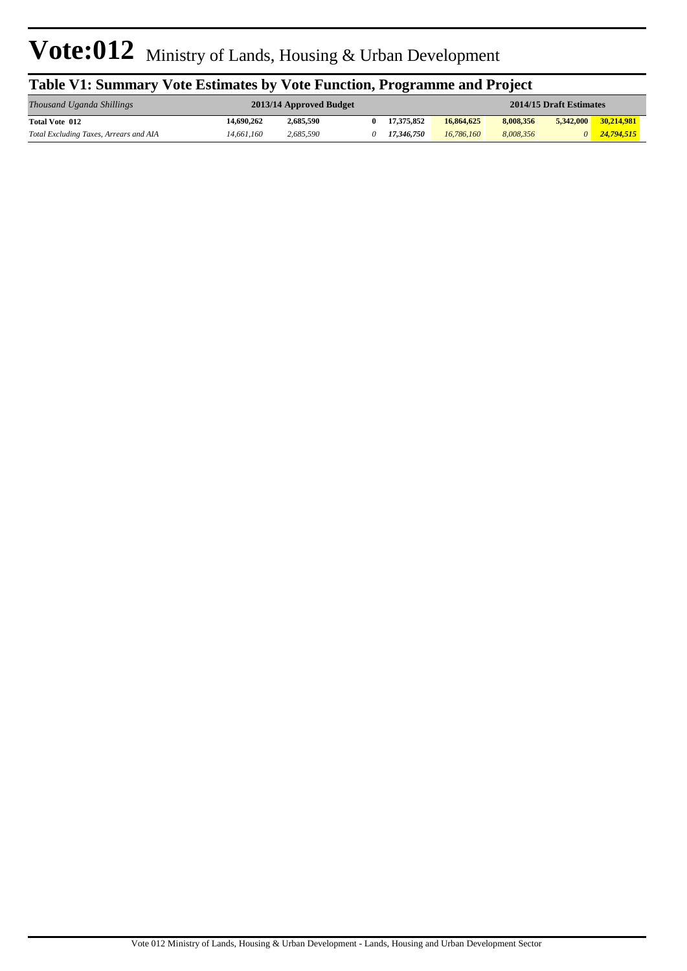| Table V1: Summary Vote Estimates by Vote Function, Programme and Project |            |                         |  |            |            |           |                         |              |  |  |
|--------------------------------------------------------------------------|------------|-------------------------|--|------------|------------|-----------|-------------------------|--------------|--|--|
| Thousand Uganda Shillings                                                |            | 2013/14 Approved Budget |  |            |            |           | 2014/15 Draft Estimates |              |  |  |
| Total Vote 012                                                           | 14,690,262 | 2.685.590               |  | 17.375.852 | 16,864,625 | 8,008,356 | 5.342,000               | 30.214.981   |  |  |
| Total Excluding Taxes, Arrears and AIA                                   | 14.661.160 | 2.685.590               |  | 17.346.750 | 16,786,160 | 8.008.356 |                         | 0 24.794.515 |  |  |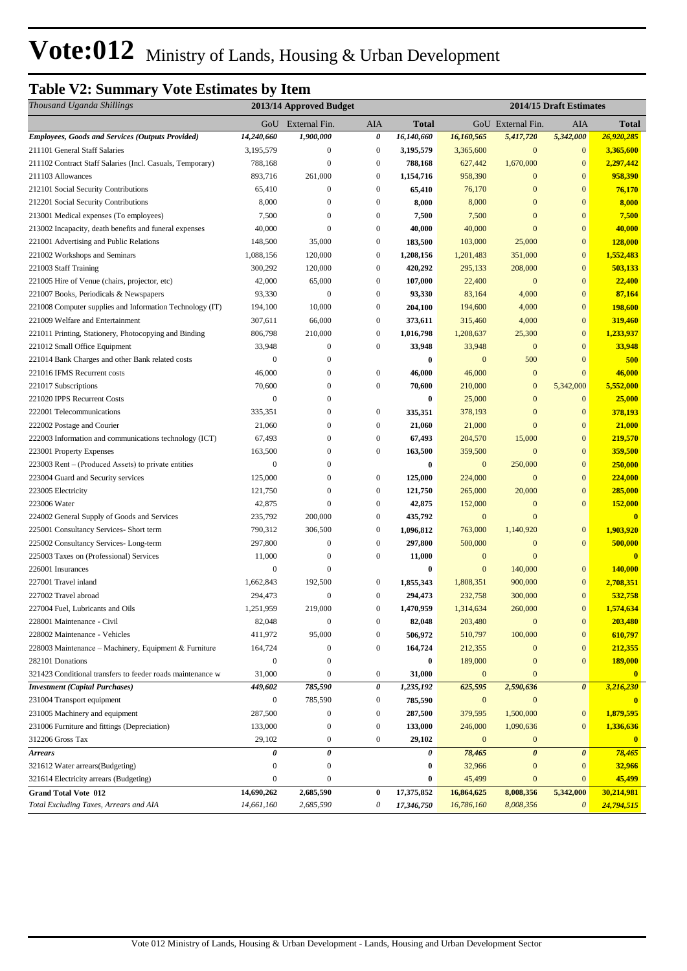## **Table V2: Summary Vote Estimates by Item**

| Thousand Uganda Shillings                                  |                  | 2013/14 Approved Budget |                  |              |                  |                       | 2014/15 Draft Estimates |              |
|------------------------------------------------------------|------------------|-------------------------|------------------|--------------|------------------|-----------------------|-------------------------|--------------|
|                                                            |                  | GoU External Fin.       | AIA              | <b>Total</b> |                  | GoU External Fin.     | AIA                     | <b>Total</b> |
| <b>Employees, Goods and Services (Outputs Provided)</b>    | 14,240,660       | 1,900,000               | 0                | 16,140,660   | 16,160,565       | 5,417,720             | 5,342,000               | 26,920,285   |
| 211101 General Staff Salaries                              | 3,195,579        | $\boldsymbol{0}$        | $\boldsymbol{0}$ | 3,195,579    | 3,365,600        | $\boldsymbol{0}$      | $\bf{0}$                | 3,365,600    |
| 211102 Contract Staff Salaries (Incl. Casuals, Temporary)  | 788,168          | $\mathbf{0}$            | $\boldsymbol{0}$ | 788,168      | 627,442          | 1,670,000             | $\mathbf{0}$            | 2,297,442    |
| 211103 Allowances                                          | 893,716          | 261,000                 | $\boldsymbol{0}$ | 1,154,716    | 958,390          | $\mathbf{0}$          | $\mathbf{0}$            | 958,390      |
| 212101 Social Security Contributions                       | 65,410           | $\mathbf{0}$            | $\boldsymbol{0}$ | 65,410       | 76,170           | $\mathbf{0}$          | $\mathbf{0}$            | 76,170       |
| 212201 Social Security Contributions                       | 8,000            | $\mathbf{0}$            | $\boldsymbol{0}$ | 8,000        | 8,000            | $\boldsymbol{0}$      | $\mathbf{0}$            | 8,000        |
| 213001 Medical expenses (To employees)                     | 7,500            | $\bf{0}$                | $\boldsymbol{0}$ | 7,500        | 7,500            | $\mathbf{0}$          | $\mathbf{0}$            | 7,500        |
| 213002 Incapacity, death benefits and funeral expenses     | 40,000           | $\mathbf{0}$            | $\boldsymbol{0}$ | 40,000       | 40,000           | $\mathbf{0}$          | $\mathbf{0}$            | 40,000       |
| 221001 Advertising and Public Relations                    | 148,500          | 35,000                  | $\boldsymbol{0}$ | 183,500      | 103,000          | 25,000                | $\mathbf{0}$            | 128,000      |
| 221002 Workshops and Seminars                              | 1,088,156        | 120,000                 | $\boldsymbol{0}$ | 1,208,156    | 1,201,483        | 351,000               | $\mathbf{0}$            | 1,552,483    |
| 221003 Staff Training                                      | 300,292          | 120,000                 | $\boldsymbol{0}$ | 420,292      | 295,133          | 208,000               | $\bf{0}$                | 503,133      |
| 221005 Hire of Venue (chairs, projector, etc)              | 42,000           | 65,000                  | $\mathbf{0}$     | 107,000      | 22,400           | $\bf{0}$              | $\mathbf{0}$            | 22,400       |
| 221007 Books, Periodicals & Newspapers                     | 93,330           | $\mathbf{0}$            | $\boldsymbol{0}$ | 93,330       | 83,164           | 4,000                 | $\mathbf{0}$            | 87,164       |
| 221008 Computer supplies and Information Technology (IT)   | 194,100          | 10,000                  | $\boldsymbol{0}$ | 204,100      | 194,600          | 4,000                 | $\mathbf{0}$            | 198,600      |
| 221009 Welfare and Entertainment                           | 307,611          | 66,000                  | $\boldsymbol{0}$ | 373,611      | 315,460          | 4,000                 | $\mathbf{0}$            | 319,460      |
| 221011 Printing, Stationery, Photocopying and Binding      | 806,798          | 210,000                 | $\boldsymbol{0}$ | 1,016,798    | 1,208,637        | 25,300                | $\bf{0}$                | 1,233,937    |
| 221012 Small Office Equipment                              | 33,948           | $\boldsymbol{0}$        | $\boldsymbol{0}$ | 33,948       | 33,948           | $\boldsymbol{0}$      | $\mathbf{0}$            | 33,948       |
| 221014 Bank Charges and other Bank related costs           | $\overline{0}$   | $\mathbf{0}$            |                  | $\bf{0}$     | $\boldsymbol{0}$ | 500                   | $\bf{0}$                | 500          |
| 221016 IFMS Recurrent costs                                | 46,000           | $\boldsymbol{0}$        | $\boldsymbol{0}$ | 46,000       | 46,000           | $\mathbf{0}$          | $\mathbf{0}$            | 46,000       |
| 221017 Subscriptions                                       | 70,600           | $\boldsymbol{0}$        | $\boldsymbol{0}$ | 70,600       | 210,000          | $\mathbf{0}$          | 5,342,000               | 5,552,000    |
| 221020 IPPS Recurrent Costs                                | $\overline{0}$   | $\boldsymbol{0}$        |                  | $\bf{0}$     | 25,000           | $\overline{0}$        | $\mathbf{0}$            | 25,000       |
| 222001 Telecommunications                                  | 335,351          | $\mathbf{0}$            | $\boldsymbol{0}$ | 335,351      | 378,193          | $\overline{0}$        | $\mathbf{0}$            | 378,193      |
| 222002 Postage and Courier                                 | 21,060           | $\mathbf{0}$            | $\boldsymbol{0}$ | 21,060       | 21,000           | $\mathbf{0}$          | $\mathbf{0}$            | 21,000       |
| 222003 Information and communications technology (ICT)     | 67,493           | $\mathbf{0}$            | $\boldsymbol{0}$ | 67,493       | 204,570          | 15,000                | $\mathbf{0}$            | 219,570      |
| 223001 Property Expenses                                   | 163,500          | $\boldsymbol{0}$        | $\boldsymbol{0}$ | 163,500      | 359,500          | $\mathbf{0}$          | $\mathbf{0}$            | 359,500      |
| 223003 Rent – (Produced Assets) to private entities        | $\mathbf{0}$     | $\boldsymbol{0}$        |                  | $\bf{0}$     | $\boldsymbol{0}$ | 250,000               | $\mathbf{0}$            | 250,000      |
| 223004 Guard and Security services                         | 125,000          | $\boldsymbol{0}$        | $\boldsymbol{0}$ | 125,000      | 224,000          | $\mathbf{0}$          | $\mathbf{0}$            | 224,000      |
| 223005 Electricity                                         | 121,750          | $\boldsymbol{0}$        | $\boldsymbol{0}$ | 121,750      | 265,000          | 20,000                | $\mathbf{0}$            | 285,000      |
| 223006 Water                                               | 42,875           | $\mathbf{0}$            | $\mathbf{0}$     | 42,875       | 152,000          | $\mathbf{0}$          | $\mathbf{0}$            | 152,000      |
| 224002 General Supply of Goods and Services                | 235,792          | 200,000                 | $\boldsymbol{0}$ | 435,792      | $\boldsymbol{0}$ | $\mathbf{0}$          |                         | $\mathbf{0}$ |
| 225001 Consultancy Services- Short term                    | 790,312          | 306,500                 | $\boldsymbol{0}$ | 1,096,812    | 763,000          | 1,140,920             | $\mathbf{0}$            | 1,903,920    |
| 225002 Consultancy Services-Long-term                      | 297,800          | $\mathbf{0}$            | $\boldsymbol{0}$ | 297,800      | 500,000          | $\mathbf{0}$          | $\mathbf{0}$            | 500,000      |
| 225003 Taxes on (Professional) Services                    | 11,000           | $\mathbf{0}$            | $\boldsymbol{0}$ | 11,000       | $\boldsymbol{0}$ | $\mathbf{0}$          |                         | $\mathbf{0}$ |
| 226001 Insurances                                          | $\mathbf{0}$     | $\boldsymbol{0}$        |                  | $\bf{0}$     | $\boldsymbol{0}$ | 140,000               | $\mathbf{0}$            | 140,000      |
| 227001 Travel inland                                       | 1,662,843        | 192,500                 | $\boldsymbol{0}$ | 1,855,343    | 1,808,351        | 900,000               | $\boldsymbol{0}$        | 2,708,351    |
| 227002 Travel abroad                                       | 294,473          | $\mathbf{0}$            | $\boldsymbol{0}$ | 294,473      | 232,758          | 300,000               | $\mathbf{0}$            | 532,758      |
| 227004 Fuel, Lubricants and Oils                           | 1,251,959        | 219,000                 | $\boldsymbol{0}$ | 1,470,959    | 1,314,634        | 260,000               | $\mathbf{0}$            | 1,574,634    |
| 228001 Maintenance - Civil                                 | 82,048           | $\mathbf{0}$            | $\boldsymbol{0}$ | 82,048       | 203,480          | $\boldsymbol{0}$      | $\bf{0}$                | 203,480      |
| 228002 Maintenance - Vehicles                              | 411,972          | 95,000                  | $\boldsymbol{0}$ | 506,972      | 510,797          | 100,000               | $\mathbf{0}$            | 610,797      |
| 228003 Maintenance - Machinery, Equipment & Furniture      | 164,724          | $\boldsymbol{0}$        | $\boldsymbol{0}$ | 164,724      | 212,355          | $\boldsymbol{0}$      | $\mathbf{0}$            | 212,355      |
| 282101 Donations                                           | $\mathbf{0}$     | $\mathbf{0}$            |                  | $\bf{0}$     | 189,000          | $\mathbf{0}$          | $\mathbf{0}$            | 189,000      |
| 321423 Conditional transfers to feeder roads maintenance w | 31,000           | $\mathbf{0}$            | $\boldsymbol{0}$ | 31,000       | $\mathbf{0}$     | $\mathbf{0}$          |                         | $\mathbf{0}$ |
| <b>Investment</b> (Capital Purchases)                      | 449,602          | 785,590                 | 0                | 1,235,192    | 625,595          | 2,590,636             | $\boldsymbol{\theta}$   | 3,216,230    |
| 231004 Transport equipment                                 | $\boldsymbol{0}$ | 785,590                 | 0                | 785,590      | $\mathbf{0}$     | $\boldsymbol{0}$      |                         | $\bf{0}$     |
| 231005 Machinery and equipment                             | 287,500          | $\boldsymbol{0}$        | 0                | 287,500      | 379,595          | 1,500,000             | $\bf{0}$                | 1,879,595    |
| 231006 Furniture and fittings (Depreciation)               | 133,000          | $\boldsymbol{0}$        | 0                | 133,000      | 246,000          | 1,090,636             | $\mathbf{0}$            | 1,336,636    |
| 312206 Gross Tax                                           | 29,102           | $\boldsymbol{0}$        | $\boldsymbol{0}$ | 29,102       | $\mathbf{0}$     | $\boldsymbol{0}$      |                         | $\bf{0}$     |
| <b>Arrears</b>                                             | 0                | 0                       |                  | 0            | 78,465           | $\boldsymbol{\theta}$ | $\boldsymbol{\theta}$   | 78,465       |
| 321612 Water arrears(Budgeting)                            | $\mathbf{0}$     | $\boldsymbol{0}$        |                  | $\bf{0}$     | 32,966           | $\mathbf{0}$          | $\mathbf{0}$            | 32,966       |
| 321614 Electricity arrears (Budgeting)                     | $\mathbf{0}$     | $\mathbf{0}$            |                  | 0            | 45,499           | $\boldsymbol{0}$      | $\mathbf{0}$            | 45,499       |
| <b>Grand Total Vote 012</b>                                | 14,690,262       | 2,685,590               | $\bf{0}$         | 17,375,852   | 16,864,625       | 8,008,356             | 5,342,000               | 30,214,981   |
| Total Excluding Taxes, Arrears and AIA                     | 14,661,160       | 2,685,590               | 0                | 17,346,750   | 16,786,160       | 8,008,356             | $\boldsymbol{\theta}$   | 24,794,515   |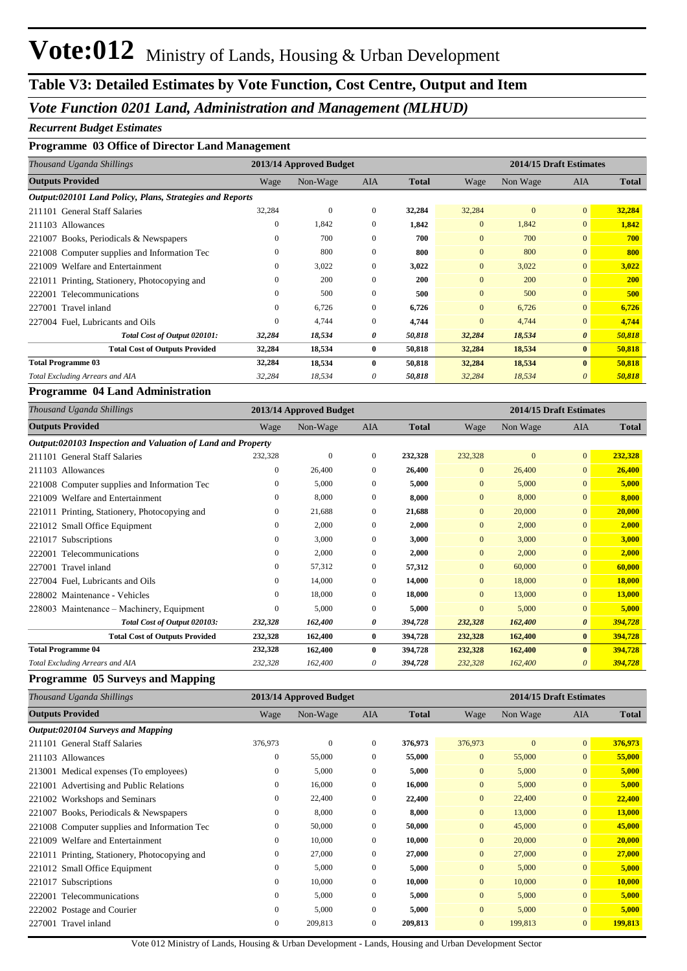## **Table V3: Detailed Estimates by Vote Function, Cost Centre, Output and Item**

#### *Vote Function 0201 Land, Administration and Management (MLHUD)*

#### *Recurrent Budget Estimates*

#### **Programme 03 Office of Director Land Management**

| Thousand Uganda Shillings                                |              | 2013/14 Approved Budget |              |              |                | 2014/15 Draft Estimates |                       |              |
|----------------------------------------------------------|--------------|-------------------------|--------------|--------------|----------------|-------------------------|-----------------------|--------------|
| <b>Outputs Provided</b>                                  | Wage         | Non-Wage                | AIA          | <b>Total</b> | Wage           | Non Wage                | <b>AIA</b>            | <b>Total</b> |
| Output:020101 Land Policy, Plans, Strategies and Reports |              |                         |              |              |                |                         |                       |              |
| 211101 General Staff Salaries                            | 32,284       | $\mathbf{0}$            | $\mathbf{0}$ | 32,284       | 32,284         | $\mathbf{0}$            | $\overline{0}$        | 32,284       |
| 211103 Allowances                                        | $\mathbf{0}$ | 1,842                   | $\mathbf{0}$ | 1,842        | $\overline{0}$ | 1,842                   | $\overline{0}$        | 1,842        |
| 221007 Books, Periodicals & Newspapers                   | $\Omega$     | 700                     | $\Omega$     | 700          | $\overline{0}$ | 700                     | $\overline{0}$        | 700          |
| 221008 Computer supplies and Information Tec             | $\mathbf{0}$ | 800                     | $\Omega$     | 800          | $\overline{0}$ | 800                     | $\overline{0}$        | 800          |
| Welfare and Entertainment<br>221009                      | $\Omega$     | 3,022                   | $\mathbf{0}$ | 3,022        | $\overline{0}$ | 3,022                   | $\overline{0}$        | 3,022        |
| 221011 Printing, Stationery, Photocopying and            | $\Omega$     | 200                     | $\Omega$     | 200          | $\Omega$       | 200                     | $\overline{0}$        | <b>200</b>   |
| 222001 Telecommunications                                | $\mathbf{0}$ | 500                     | $\Omega$     | 500          | $\overline{0}$ | 500                     | $\overline{0}$        | 500          |
| 227001 Travel inland                                     | $\mathbf{0}$ | 6,726                   | $\mathbf{0}$ | 6,726        | $\overline{0}$ | 6,726                   | $\overline{0}$        | 6,726        |
| 227004 Fuel. Lubricants and Oils                         | $\Omega$     | 4,744                   | $\Omega$     | 4,744        | $\Omega$       | 4,744                   | $\overline{0}$        | 4,744        |
| Total Cost of Output 020101:                             | 32,284       | 18,534                  | 0            | 50,818       | 32,284         | 18,534                  | $\boldsymbol{\theta}$ | 50,818       |
| <b>Total Cost of Outputs Provided</b>                    | 32,284       | 18,534                  | $\bf{0}$     | 50,818       | 32,284         | 18,534                  | $\mathbf{0}$          | 50,818       |
| <b>Total Programme 03</b>                                | 32,284       | 18,534                  | $\mathbf{0}$ | 50,818       | 32,284         | 18,534                  | $\bf{0}$              | 50,818       |
| Total Excluding Arrears and AIA                          | 32,284       | 18,534                  | 0            | 50,818       | 32,284         | 18,534                  | 0                     | 50,818       |

#### **Programme 04 Land Administration**

| Thousand Uganda Shillings                                   |          | 2013/14 Approved Budget |              |              |                | 2014/15 Draft Estimates |                |              |
|-------------------------------------------------------------|----------|-------------------------|--------------|--------------|----------------|-------------------------|----------------|--------------|
| <b>Outputs Provided</b>                                     | Wage     | Non-Wage                | <b>AIA</b>   | <b>Total</b> | Wage           | Non Wage                | <b>AIA</b>     | <b>Total</b> |
| Output:020103 Inspection and Valuation of Land and Property |          |                         |              |              |                |                         |                |              |
| 211101 General Staff Salaries                               | 232,328  | $\mathbf{0}$            | $\Omega$     | 232,328      | 232,328        | $\Omega$                | $\overline{0}$ | 232,328      |
| 211103 Allowances                                           | $\Omega$ | 26,400                  | $\Omega$     | 26,400       | $\overline{0}$ | 26,400                  | $\overline{0}$ | 26,400       |
| 221008 Computer supplies and Information Tec                | 0        | 5,000                   | $\Omega$     | 5,000        | $\overline{0}$ | 5,000                   | $\overline{0}$ | 5,000        |
| 221009 Welfare and Entertainment                            | 0        | 8,000                   | $\Omega$     | 8,000        | $\overline{0}$ | 8,000                   | $\overline{0}$ | 8,000        |
| 221011 Printing, Stationery, Photocopying and               | 0        | 21,688                  | $\mathbf{0}$ | 21,688       | $\mathbf{0}$   | 20,000                  | $\overline{0}$ | 20,000       |
| 221012 Small Office Equipment                               | 0        | 2,000                   | $\mathbf{0}$ | 2,000        | $\mathbf{0}$   | 2,000                   | $\overline{0}$ | 2,000        |
| 221017<br>Subscriptions                                     | 0        | 3,000                   | $\Omega$     | 3,000        | $\mathbf{0}$   | 3,000                   | $\overline{0}$ | 3,000        |
| Telecommunications<br>222001                                | 0        | 2,000                   | $\mathbf{0}$ | 2,000        | $\mathbf{0}$   | 2,000                   | $\overline{0}$ | 2,000        |
| 227001 Travel inland                                        | 0        | 57,312                  | $\Omega$     | 57,312       | $\overline{0}$ | 60,000                  | $\overline{0}$ | 60,000       |
| 227004 Fuel, Lubricants and Oils                            | 0        | 14,000                  | $\Omega$     | 14,000       | $\Omega$       | 18,000                  | $\Omega$       | 18,000       |
| 228002 Maintenance - Vehicles                               | 0        | 18,000                  | $\mathbf{0}$ | 18,000       | $\mathbf{0}$   | 13,000                  | $\overline{0}$ | 13,000       |
| 228003 Maintenance – Machinery, Equipment                   | 0        | 5,000                   | $\mathbf{0}$ | 5,000        | $\mathbf{0}$   | 5,000                   | $\overline{0}$ | 5,000        |
| Total Cost of Output 020103:                                | 232,328  | 162,400                 | 0            | 394,728      | 232,328        | 162,400                 | $\theta$       | 394,728      |
| <b>Total Cost of Outputs Provided</b>                       | 232,328  | 162,400                 | $\bf{0}$     | 394,728      | 232,328        | 162,400                 | $\bf{0}$       | 394,728      |
| <b>Total Programme 04</b>                                   | 232,328  | 162,400                 | $\bf{0}$     | 394,728      | 232,328        | 162,400                 | $\bf{0}$       | 394,728      |
| <b>Total Excluding Arrears and AIA</b>                      | 232,328  | 162,400                 | 0            | 394,728      | 232,328        | 162,400                 | 0              | 394,728      |

#### **Programme 05 Surveys and Mapping**

| Thousand Uganda Shillings                     |                  | 2013/14 Approved Budget |              |              |                |              | 2014/15 Draft Estimates |              |
|-----------------------------------------------|------------------|-------------------------|--------------|--------------|----------------|--------------|-------------------------|--------------|
| <b>Outputs Provided</b>                       | Wage             | Non-Wage                | AIA          | <b>Total</b> | Wage           | Non Wage     | AIA                     | <b>Total</b> |
| Output:020104 Surveys and Mapping             |                  |                         |              |              |                |              |                         |              |
| 211101 General Staff Salaries                 | 376,973          | $\mathbf{0}$            | $\mathbf{0}$ | 376,973      | 376,973        | $\mathbf{0}$ | $\overline{0}$          | 376,973      |
| 211103 Allowances                             | $\mathbf{0}$     | 55,000                  | $\mathbf{0}$ | 55,000       | $\overline{0}$ | 55,000       | $\overline{0}$          | 55,000       |
| 213001 Medical expenses (To employees)        | $\mathbf{0}$     | 5,000                   | $\mathbf{0}$ | 5,000        | $\overline{0}$ | 5,000        | $\overline{0}$          | 5,000        |
| 221001 Advertising and Public Relations       | $\mathbf{0}$     | 16,000                  | $\mathbf{0}$ | 16,000       | $\overline{0}$ | 5,000        | $\overline{0}$          | 5,000        |
| 221002 Workshops and Seminars                 | $\boldsymbol{0}$ | 22,400                  | $\mathbf{0}$ | 22,400       | $\overline{0}$ | 22,400       | $\overline{0}$          | 22,400       |
| 221007 Books, Periodicals & Newspapers        | $\mathbf{0}$     | 8,000                   | $\mathbf{0}$ | 8,000        | $\overline{0}$ | 13,000       | $\overline{0}$          | 13,000       |
| 221008 Computer supplies and Information Tec  | $\mathbf{0}$     | 50,000                  | 0            | 50,000       | $\overline{0}$ | 45,000       | $\overline{0}$          | 45,000       |
| 221009 Welfare and Entertainment              | $\mathbf{0}$     | 10,000                  | $\mathbf{0}$ | 10,000       | $\overline{0}$ | 20,000       | $\overline{0}$          | 20,000       |
| 221011 Printing, Stationery, Photocopying and | $\mathbf{0}$     | 27,000                  | $\mathbf{0}$ | 27,000       | $\overline{0}$ | 27,000       | $\overline{0}$          | 27,000       |
| 221012 Small Office Equipment                 | $\boldsymbol{0}$ | 5,000                   | $\mathbf{0}$ | 5,000        | $\overline{0}$ | 5,000        | $\overline{0}$          | 5,000        |
| 221017 Subscriptions                          | $\mathbf{0}$     | 10,000                  | $\mathbf{0}$ | 10,000       | $\overline{0}$ | 10,000       | $\overline{0}$          | 10,000       |
| 222001 Telecommunications                     | $\mathbf{0}$     | 5,000                   | $\mathbf{0}$ | 5,000        | $\overline{0}$ | 5,000        | $\overline{0}$          | 5,000        |
| 222002 Postage and Courier                    | $\mathbf{0}$     | 5,000                   | $\mathbf{0}$ | 5,000        | $\overline{0}$ | 5,000        | $\overline{0}$          | 5,000        |
| 227001 Travel inland                          | $\mathbf{0}$     | 209,813                 | $\mathbf{0}$ | 209,813      | $\overline{0}$ | 199,813      | $\overline{0}$          | 199,813      |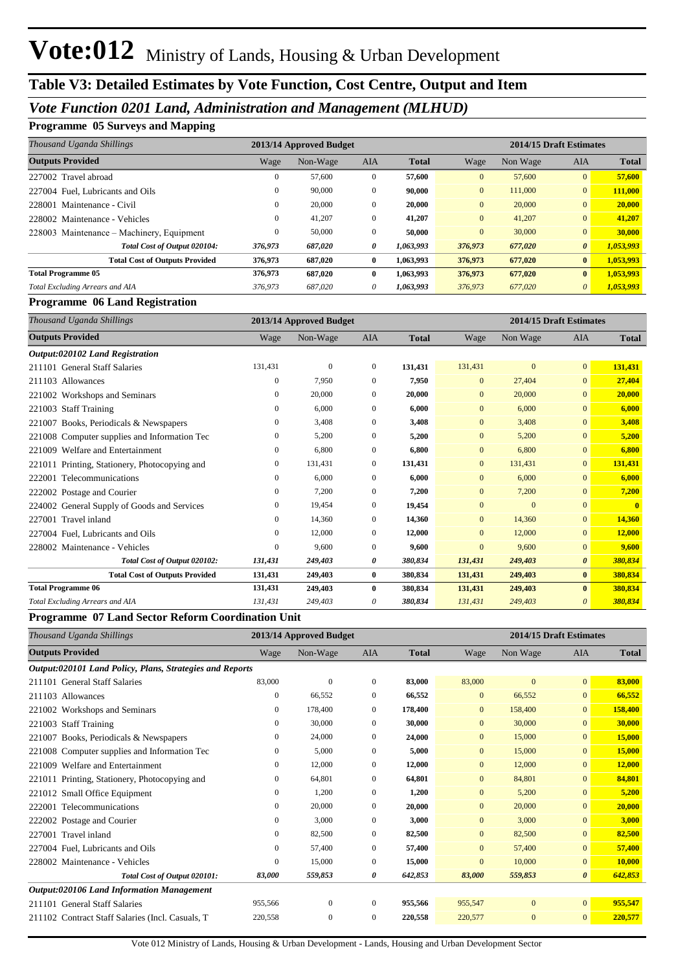## **Table V3: Detailed Estimates by Vote Function, Cost Centre, Output and Item**

## *Vote Function 0201 Land, Administration and Management (MLHUD)*

#### **Programme 05 Surveys and Mapping**

| Thousand Uganda Shillings                 |         | 2013/14 Approved Budget |                |              | 2014/15 Draft Estimates |          |                |              |
|-------------------------------------------|---------|-------------------------|----------------|--------------|-------------------------|----------|----------------|--------------|
| <b>Outputs Provided</b>                   | Wage    | Non-Wage                | <b>AIA</b>     | <b>Total</b> | Wage                    | Non Wage | <b>AIA</b>     | <b>Total</b> |
| 227002 Travel abroad                      | 0       | 57,600                  | $\overline{0}$ | 57,600       | $\mathbf{0}$            | 57,600   | $\overline{0}$ | 57,600       |
| 227004 Fuel, Lubricants and Oils          | 0       | 90,000                  | $\mathbf{0}$   | 90.000       | $\overline{0}$          | 111,000  | $\overline{0}$ | 111.000      |
| Maintenance - Civil<br>228001             | 0       | 20,000                  | $\mathbf{0}$   | 20,000       | $\overline{0}$          | 20,000   | $\overline{0}$ | 20,000       |
| 228002 Maintenance - Vehicles             | 0       | 41,207                  | $\mathbf{0}$   | 41,207       | $\overline{0}$          | 41,207   | $\overline{0}$ | 41,207       |
| 228003 Maintenance – Machinery, Equipment | 0       | 50,000                  | $\mathbf{0}$   | 50,000       | $\mathbf{0}$            | 30,000   | $\overline{0}$ | 30,000       |
| Total Cost of Output 020104:              | 376,973 | 687,020                 | 0              | 1,063,993    | 376,973                 | 677,020  | $\theta$       | 1,053,993    |
| <b>Total Cost of Outputs Provided</b>     | 376,973 | 687,020                 | $\bf{0}$       | 1,063,993    | 376,973                 | 677,020  | $\bf{0}$       | 1,053,993    |
| <b>Total Programme 05</b>                 | 376,973 | 687.020                 | $\bf{0}$       | 1,063,993    | 376,973                 | 677,020  | $\mathbf{0}$   | 1,053,993    |
| Total Excluding Arrears and AIA           | 376,973 | 687.020                 | $\theta$       | 1,063,993    | 376,973                 | 677,020  | $\theta$       | 1,053,993    |

#### **Programme 06 Land Registration**

| Thousand Uganda Shillings                      |              | 2013/14 Approved Budget |              |              |                | 2014/15 Draft Estimates |                       |              |
|------------------------------------------------|--------------|-------------------------|--------------|--------------|----------------|-------------------------|-----------------------|--------------|
| <b>Outputs Provided</b>                        | Wage         | Non-Wage                | <b>AIA</b>   | <b>Total</b> | Wage           | Non Wage                | <b>AIA</b>            | <b>Total</b> |
| Output:020102 Land Registration                |              |                         |              |              |                |                         |                       |              |
| 211101 General Staff Salaries                  | 131,431      | $\mathbf{0}$            | $\mathbf{0}$ | 131,431      | 131,431        | $\overline{0}$          | $\overline{0}$        | 131,431      |
| 211103 Allowances                              | $\mathbf{0}$ | 7.950                   | $\Omega$     | 7,950        | $\overline{0}$ | 27,404                  | $\overline{0}$        | 27,404       |
| 221002 Workshops and Seminars                  | $\mathbf{0}$ | 20,000                  | $\mathbf{0}$ | 20,000       | $\mathbf{0}$   | 20,000                  | $\overline{0}$        | 20,000       |
| <b>Staff Training</b><br>221003                | $\mathbf{0}$ | 6,000                   | $\mathbf{0}$ | 6,000        | $\overline{0}$ | 6,000                   | $\overline{0}$        | 6,000        |
| Books, Periodicals & Newspapers<br>221007      | 0            | 3,408                   | $\mathbf{0}$ | 3,408        | $\overline{0}$ | 3,408                   | $\overline{0}$        | 3,408        |
| 221008 Computer supplies and Information Tec   | $\mathbf{0}$ | 5,200                   | $\Omega$     | 5,200        | $\Omega$       | 5,200                   | $\overline{0}$        | 5,200        |
| Welfare and Entertainment<br>221009            | $\mathbf{0}$ | 6,800                   | $\mathbf{0}$ | 6,800        | $\overline{0}$ | 6,800                   | $\overline{0}$        | 6,800        |
| 221011 Printing, Stationery, Photocopying and  | $\mathbf{0}$ | 131,431                 | $\mathbf{0}$ | 131,431      | $\overline{0}$ | 131,431                 | $\overline{0}$        | 131,431      |
| Telecommunications<br>222001                   | $\mathbf{0}$ | 6,000                   | $\mathbf{0}$ | 6.000        | $\overline{0}$ | 6,000                   | $\overline{0}$        | 6,000        |
| 222002 Postage and Courier                     | $\mathbf{0}$ | 7,200                   | $\mathbf{0}$ | 7,200        | $\overline{0}$ | 7,200                   | $\overline{0}$        | 7,200        |
| General Supply of Goods and Services<br>224002 | $\mathbf{0}$ | 19,454                  | $\mathbf{0}$ | 19,454       | $\mathbf{0}$   | $\overline{0}$          | $\overline{0}$        | $\mathbf{0}$ |
| 227001 Travel inland                           | $\mathbf{0}$ | 14,360                  | $\mathbf{0}$ | 14,360       | $\overline{0}$ | 14,360                  | $\overline{0}$        | 14,360       |
| 227004 Fuel, Lubricants and Oils               | $\mathbf{0}$ | 12,000                  | $\mathbf{0}$ | 12,000       | $\Omega$       | 12,000                  | $\overline{0}$        | 12,000       |
| 228002 Maintenance - Vehicles                  | $\mathbf{0}$ | 9.600                   | $\mathbf{0}$ | 9,600        | $\overline{0}$ | 9,600                   | $\overline{0}$        | 9,600        |
| Total Cost of Output 020102:                   | 131,431      | 249,403                 | 0            | 380,834      | 131,431        | 249,403                 | $\boldsymbol{\theta}$ | 380,834      |
| <b>Total Cost of Outputs Provided</b>          | 131,431      | 249,403                 | $\bf{0}$     | 380,834      | 131,431        | 249,403                 | $\bf{0}$              | 380,834      |
| <b>Total Programme 06</b>                      | 131,431      | 249,403                 | $\bf{0}$     | 380,834      | 131,431        | 249,403                 | $\bf{0}$              | 380,834      |
| Total Excluding Arrears and AIA                | 131,431      | 249,403                 | 0            | 380,834      | 131,431        | 249,403                 | 0                     | 380,834      |

#### **Programme 07 Land Sector Reform Coordination Unit**

| Thousand Uganda Shillings                                |              | 2014/15 Draft Estimates<br>2013/14 Approved Budget |                |              |                |                |                       |              |
|----------------------------------------------------------|--------------|----------------------------------------------------|----------------|--------------|----------------|----------------|-----------------------|--------------|
| <b>Outputs Provided</b>                                  | Wage         | Non-Wage                                           | <b>AIA</b>     | <b>Total</b> | Wage           | Non Wage       | <b>AIA</b>            | <b>Total</b> |
| Output:020101 Land Policy, Plans, Strategies and Reports |              |                                                    |                |              |                |                |                       |              |
| 211101 General Staff Salaries                            | 83,000       | $\theta$                                           | $\overline{0}$ | 83,000       | 83,000         | $\mathbf{0}$   | $\mathbf{0}$          | 83,000       |
| 211103 Allowances                                        | $\mathbf{0}$ | 66,552                                             | $\mathbf{0}$   | 66,552       | $\mathbf{0}$   | 66,552         | $\mathbf{0}$          | 66,552       |
| 221002 Workshops and Seminars                            | $\mathbf{0}$ | 178,400                                            | $\mathbf{0}$   | 178,400      | $\mathbf{0}$   | 158,400        | $\mathbf{0}$          | 158,400      |
| 221003 Staff Training                                    | $\bf{0}$     | 30,000                                             | $\mathbf{0}$   | 30,000       | $\mathbf{0}$   | 30,000         | $\mathbf{0}$          | 30,000       |
| 221007 Books, Periodicals & Newspapers                   | $\mathbf{0}$ | 24,000                                             | $\mathbf{0}$   | 24,000       | $\overline{0}$ | 15,000         | $\mathbf{0}$          | 15,000       |
| 221008 Computer supplies and Information Tec             | $\mathbf{0}$ | 5,000                                              | $\Omega$       | 5,000        | $\Omega$       | 15,000         | $\Omega$              | 15,000       |
| Welfare and Entertainment<br>221009                      | $\mathbf{0}$ | 12,000                                             | $\overline{0}$ | 12,000       | $\overline{0}$ | 12,000         | $\Omega$              | 12,000       |
| 221011 Printing, Stationery, Photocopying and            | $\mathbf{0}$ | 64,801                                             | $\overline{0}$ | 64,801       | $\mathbf{0}$   | 84,801         | $\mathbf{0}$          | 84,801       |
| 221012 Small Office Equipment                            | $\mathbf{0}$ | 1,200                                              | $\mathbf{0}$   | 1,200        | $\overline{0}$ | 5,200          | $\mathbf{0}$          | 5,200        |
| 222001 Telecommunications                                | $\mathbf{0}$ | 20,000                                             | $\overline{0}$ | 20,000       | $\mathbf{0}$   | 20,000         | $\mathbf{0}$          | 20,000       |
| 222002 Postage and Courier                               | $\mathbf{0}$ | 3,000                                              | $\mathbf{0}$   | 3,000        | $\mathbf{0}$   | 3,000          | $\mathbf{0}$          | 3,000        |
| Travel inland<br>227001                                  | $\mathbf{0}$ | 82,500                                             | $\mathbf{0}$   | 82,500       | $\mathbf{0}$   | 82,500         | $\mathbf{0}$          | 82,500       |
| 227004 Fuel, Lubricants and Oils                         | $\mathbf{0}$ | 57,400                                             | $\Omega$       | 57,400       | $\Omega$       | 57,400         | $\Omega$              | 57,400       |
| 228002 Maintenance - Vehicles                            | $\Omega$     | 15,000                                             | $\overline{0}$ | 15,000       | $\Omega$       | 10,000         | $\mathbf{0}$          | 10,000       |
| Total Cost of Output 020101:                             | 83,000       | 559,853                                            | 0              | 642,853      | 83,000         | 559,853        | $\boldsymbol{\theta}$ | 642,853      |
| <b>Output:020106 Land Information Management</b>         |              |                                                    |                |              |                |                |                       |              |
| 211101 General Staff Salaries                            | 955,566      | $\Omega$                                           | $\Omega$       | 955,566      | 955,547        | $\mathbf{0}$   | $\overline{0}$        | 955,547      |
| 211102 Contract Staff Salaries (Incl. Casuals, T         | 220,558      | $\mathbf{0}$                                       | $\Omega$       | 220,558      | 220,577        | $\overline{0}$ | $\mathbf{0}$          | 220,577      |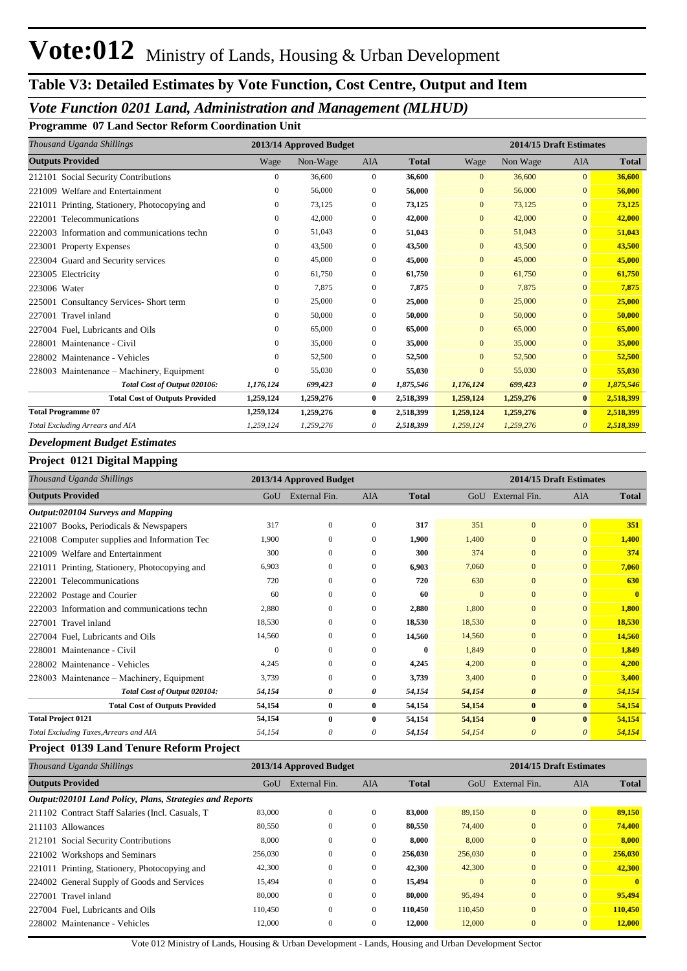## **Table V3: Detailed Estimates by Vote Function, Cost Centre, Output and Item**

## *Vote Function 0201 Land, Administration and Management (MLHUD)*

**Programme 07 Land Sector Reform Coordination Unit**

| Thousand Uganda Shillings                        |              | 2013/14 Approved Budget |                |              |                | 2014/15 Draft Estimates |                       |              |
|--------------------------------------------------|--------------|-------------------------|----------------|--------------|----------------|-------------------------|-----------------------|--------------|
| <b>Outputs Provided</b>                          | Wage         | Non-Wage                | <b>AIA</b>     | <b>Total</b> | Wage           | Non Wage                | <b>AIA</b>            | <b>Total</b> |
| 212101 Social Security Contributions             | $\mathbf{0}$ | 36,600                  | $\overline{0}$ | 36,600       | $\overline{0}$ | 36,600                  | $\Omega$              | 36,600       |
| Welfare and Entertainment<br>221009              | $\mathbf{0}$ | 56,000                  | $\mathbf{0}$   | 56,000       | $\overline{0}$ | 56,000                  | $\mathbf{0}$          | 56,000       |
| 221011 Printing, Stationery, Photocopying and    | 0            | 73,125                  | $\mathbf{0}$   | 73,125       | $\mathbf{0}$   | 73,125                  | $\mathbf{0}$          | 73,125       |
| 222001<br>Telecommunications                     | $\mathbf{0}$ | 42,000                  | $\mathbf{0}$   | 42,000       | $\mathbf{0}$   | 42,000                  | $\mathbf{0}$          | 42,000       |
| Information and communications techn<br>222003   | $\mathbf{0}$ | 51,043                  | $\mathbf{0}$   | 51,043       | $\mathbf{0}$   | 51,043                  | $\mathbf{0}$          | 51,043       |
| 223001 Property Expenses                         | $\mathbf{0}$ | 43,500                  | $\mathbf{0}$   | 43,500       | $\overline{0}$ | 43,500                  | $\mathbf{0}$          | 43.500       |
| 223004 Guard and Security services               | $\mathbf{0}$ | 45,000                  | $\Omega$       | 45,000       | $\Omega$       | 45,000                  | $\Omega$              | 45,000       |
| 223005 Electricity                               | $\Omega$     | 61,750                  | $\mathbf{0}$   | 61,750       | $\mathbf{0}$   | 61,750                  | $\mathbf{0}$          | 61,750       |
| 223006 Water                                     | $\mathbf{0}$ | 7,875                   | $\mathbf{0}$   | 7,875        | $\overline{0}$ | 7.875                   | $\Omega$              | 7,875        |
| <b>Consultancy Services-Short term</b><br>225001 | $\mathbf{0}$ | 25,000                  | $\Omega$       | 25,000       | $\overline{0}$ | 25,000                  | $\mathbf{0}$          | 25,000       |
| 227001 Travel inland                             | $\mathbf{0}$ | 50,000                  | $\mathbf{0}$   | 50,000       | $\overline{0}$ | 50,000                  | $\Omega$              | 50,000       |
| 227004 Fuel. Lubricants and Oils                 | $\mathbf{0}$ | 65,000                  | $\mathbf{0}$   | 65,000       | $\overline{0}$ | 65,000                  | $\Omega$              | 65,000       |
| 228001<br>Maintenance - Civil                    | $\mathbf{0}$ | 35,000                  | $\mathbf{0}$   | 35,000       | $\overline{0}$ | 35,000                  | $\mathbf{0}$          | 35,000       |
| 228002 Maintenance - Vehicles                    | $\Omega$     | 52,500                  | $\Omega$       | 52,500       | $\Omega$       | 52,500                  | $\Omega$              | 52,500       |
| 228003 Maintenance – Machinery, Equipment        | $\Omega$     | 55,030                  | $\overline{0}$ | 55,030       | $\mathbf{0}$   | 55,030                  | $\mathbf{0}$          | 55,030       |
| Total Cost of Output 020106:                     | 1,176,124    | 699,423                 | 0              | 1,875,546    | 1,176,124      | 699,423                 | $\boldsymbol{\theta}$ | 1,875,546    |
| <b>Total Cost of Outputs Provided</b>            | 1,259,124    | 1,259,276               | $\bf{0}$       | 2,518,399    | 1,259,124      | 1,259,276               | $\bf{0}$              | 2,518,399    |
| <b>Total Programme 07</b>                        | 1,259,124    | 1,259,276               | $\bf{0}$       | 2,518,399    | 1,259,124      | 1,259,276               | $\mathbf{0}$          | 2,518,399    |
| Total Excluding Arrears and AIA                  | 1,259,124    | 1,259,276               | 0              | 2,518,399    | 1,259,124      | 1,259,276               | $\theta$              | 2,518,399    |

### *Development Budget Estimates*

#### **Project 0121 Digital Mapping**

| Thousand Uganda Shillings                     |              | 2013/14 Approved Budget |                |              | 2014/15 Draft Estimates |                       |                       |              |
|-----------------------------------------------|--------------|-------------------------|----------------|--------------|-------------------------|-----------------------|-----------------------|--------------|
| <b>Outputs Provided</b>                       | GoU          | External Fin.           | <b>AIA</b>     | <b>Total</b> |                         | GoU External Fin.     | <b>AIA</b>            | Total        |
| Output:020104 Surveys and Mapping             |              |                         |                |              |                         |                       |                       |              |
| 221007 Books, Periodicals & Newspapers        | 317          | $\mathbf{0}$            | $\Omega$       | 317          | 351                     | $\mathbf{0}$          | $\overline{0}$        | 351          |
| 221008 Computer supplies and Information Tec  | 1.900        | $\Omega$                | $\Omega$       | 1,900        | 1,400                   | $\mathbf{0}$          | $\mathbf{0}$          | 1,400        |
| 221009 Welfare and Entertainment              | 300          | $\mathbf{0}$            | $\mathbf{0}$   | 300          | 374                     | $\mathbf{0}$          | $\mathbf{0}$          | 374          |
| 221011 Printing, Stationery, Photocopying and | 6,903        | $\mathbf{0}$            | $\overline{0}$ | 6,903        | 7,060                   | $\mathbf{0}$          | $\mathbf{0}$          | 7,060        |
| 222001 Telecommunications                     | 720          | $\Omega$                | $\Omega$       | 720          | 630                     | $\Omega$              | $\Omega$              | 630          |
| 222002 Postage and Courier                    | 60           | $\mathbf{0}$            | $\mathbf{0}$   | 60           | $\mathbf{0}$            | $\mathbf{0}$          | $\mathbf{0}$          | $\mathbf{0}$ |
| 222003 Information and communications techn   | 2,880        | $\mathbf{0}$            | $\overline{0}$ | 2,880        | 1,800                   | $\mathbf{0}$          | $\mathbf{0}$          | 1,800        |
| 227001 Travel inland                          | 18,530       | $\mathbf{0}$            | $\overline{0}$ | 18,530       | 18,530                  | $\mathbf{0}$          | $\mathbf{0}$          | 18,530       |
| 227004 Fuel, Lubricants and Oils              | 14,560       | $\mathbf{0}$            | $\overline{0}$ | 14,560       | 14,560                  | $\mathbf{0}$          | $\mathbf{0}$          | 14,560       |
| 228001 Maintenance - Civil                    | $\mathbf{0}$ | $\mathbf{0}$            | $\mathbf{0}$   | $\bf{0}$     | 1,849                   | $\mathbf{0}$          | $\mathbf{0}$          | 1,849        |
| 228002 Maintenance - Vehicles                 | 4,245        | $\mathbf{0}$            | $\mathbf{0}$   | 4,245        | 4,200                   | $\mathbf{0}$          | $\mathbf{0}$          | 4,200        |
| 228003 Maintenance – Machinery, Equipment     | 3,739        | $\Omega$                | $\Omega$       | 3,739        | 3,400                   | $\mathbf{0}$          | $\Omega$              | 3,400        |
| Total Cost of Output 020104:                  | 54,154       | 0                       | 0              | 54,154       | 54,154                  | $\boldsymbol{\theta}$ | $\boldsymbol{\theta}$ | 54,154       |
| <b>Total Cost of Outputs Provided</b>         | 54,154       | $\bf{0}$                | $\bf{0}$       | 54,154       | 54,154                  | $\bf{0}$              | $\bf{0}$              | 54,154       |
| <b>Total Project 0121</b>                     | 54,154       | $\mathbf{0}$            | $\mathbf{0}$   | 54,154       | 54,154                  | $\mathbf{0}$          | $\mathbf{0}$          | 54,154       |
| Total Excluding Taxes, Arrears and AIA        | 54,154       | 0                       | 0              | 54,154       | 54,154                  | $\boldsymbol{\theta}$ | 0                     | 54,154       |

#### **Project 0139 Land Tenure Reform Project**

| Thousand Uganda Shillings                                |         | 2013/14 Approved Budget |              |              |          |               | 2014/15 Draft Estimates |              |
|----------------------------------------------------------|---------|-------------------------|--------------|--------------|----------|---------------|-------------------------|--------------|
| <b>Outputs Provided</b>                                  | GoU     | External Fin.           | <b>AIA</b>   | <b>Total</b> | GoU      | External Fin. | <b>AIA</b>              | <b>Total</b> |
| Output:020101 Land Policy, Plans, Strategies and Reports |         |                         |              |              |          |               |                         |              |
| 211102 Contract Staff Salaries (Incl. Casuals, T.        | 83,000  | $\mathbf{0}$            | $\mathbf{0}$ | 83,000       | 89,150   | $\mathbf{0}$  | $\overline{0}$          | 89,150       |
| 211103 Allowances                                        | 80,550  | $\mathbf{0}$            | $\mathbf{0}$ | 80,550       | 74,400   | $\mathbf{0}$  | $\overline{0}$          | 74,400       |
| 212101 Social Security Contributions                     | 8,000   | $\mathbf{0}$            | $\mathbf{0}$ | 8.000        | 8,000    | $\mathbf{0}$  | $\overline{0}$          | 8,000        |
| 221002 Workshops and Seminars                            | 256,030 | $\mathbf{0}$            | $\mathbf{0}$ | 256,030      | 256,030  | $\mathbf{0}$  | $\overline{0}$          | 256,030      |
| 221011 Printing, Stationery, Photocopying and            | 42,300  | $\mathbf{0}$            | $\mathbf{0}$ | 42,300       | 42,300   | $\mathbf{0}$  | $\overline{0}$          | 42,300       |
| 224002 General Supply of Goods and Services              | 15,494  | $\mathbf{0}$            | $\mathbf{0}$ | 15,494       | $\Omega$ | $\mathbf{0}$  | $\overline{0}$          | $\mathbf{0}$ |
| 227001 Travel inland                                     | 80,000  | $\mathbf{0}$            | $\mathbf{0}$ | 80,000       | 95,494   | $\mathbf{0}$  | $\overline{0}$          | 95,494       |
| 227004 Fuel. Lubricants and Oils                         | 110.450 | $\Omega$                | $\Omega$     | 110,450      | 110,450  | $\theta$      | $\overline{0}$          | 110,450      |
| 228002 Maintenance - Vehicles                            | 12,000  | $\mathbf{0}$            | $\mathbf{0}$ | 12.000       | 12,000   | $\mathbf{0}$  | $\overline{0}$          | 12,000       |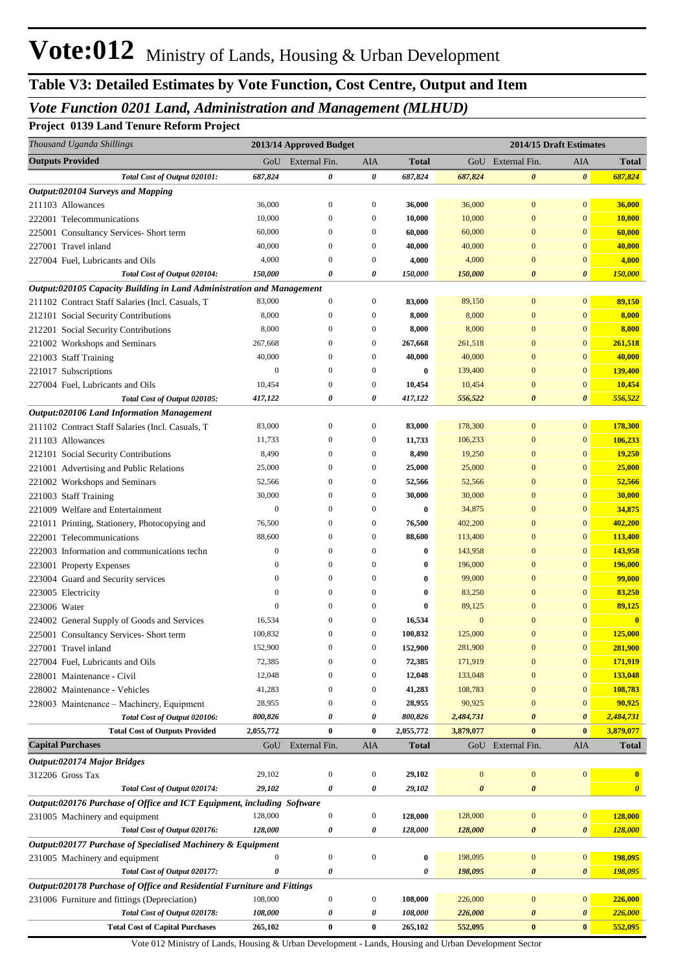## *Vote Function 0201 Land, Administration and Management (MLHUD)*

#### **Project 0139 Land Tenure Reform Project**

| <b>Outputs Provided</b><br>External Fin.<br>GoU<br>AIA<br><b>Total</b><br>GoU External Fin.<br>AIA<br><b>Total</b><br>Total Cost of Output 020101:<br>687,824<br>0<br>0<br>687,824<br>687,824<br>0<br>$\boldsymbol{\theta}$<br>687,824<br>Output:020104 Surveys and Mapping<br>211103 Allowances<br>36,000<br>$\boldsymbol{0}$<br>$\boldsymbol{0}$<br>36,000<br>36,000<br>$\boldsymbol{0}$<br>$\mathbf{0}$<br>36,000<br>10,000<br>$\mathbf{0}$<br>$\boldsymbol{0}$<br>10,000<br>10,000<br>$\overline{0}$<br>$\mathbf{0}$<br>10,000<br>222001 Telecommunications<br>60,000<br>$\mathbf{0}$<br>$\boldsymbol{0}$<br>60,000<br>60,000<br>$\overline{0}$<br>$\mathbf{0}$<br>60,000<br>225001 Consultancy Services- Short term<br>227001 Travel inland<br>40,000<br>$\mathbf{0}$<br>40,000<br>40,000<br>$\mathbf{0}$<br>$\boldsymbol{0}$<br>40,000<br>$\mathbf{0}$<br>4,000<br>4,000<br>4,000<br>$\mathbf{0}$<br>4,000<br>227004 Fuel, Lubricants and Oils<br>$\boldsymbol{0}$<br>$\boldsymbol{0}$<br>$\mathbf{0}$<br>Total Cost of Output 020104:<br>150,000<br>0<br>150,000<br>$\boldsymbol{\theta}$<br>150,000<br>0<br>150,000<br>$\boldsymbol{\theta}$<br>Output:020105 Capacity Building in Land Administration and Management<br>83,000<br>83,000<br>$\mathbf{0}$<br>89,150<br>211102 Contract Staff Salaries (Incl. Casuals, T<br>$\boldsymbol{0}$<br>$\boldsymbol{0}$<br>89,150<br>$\mathbf{0}$<br>8,000<br>8,000<br>8,000<br>$\mathbf{0}$<br>8,000<br>212101 Social Security Contributions<br>$\boldsymbol{0}$<br>$\boldsymbol{0}$<br>$\mathbf{0}$<br>8,000<br>$\mathbf{0}$<br>8,000<br>212201 Social Security Contributions<br>8,000<br>$\boldsymbol{0}$<br>$\boldsymbol{0}$<br>8,000<br>$\mathbf{0}$<br>267,668<br>$\mathbf{0}$<br>261,518<br>221002 Workshops and Seminars<br>267,668<br>$\mathbf{0}$<br>$\boldsymbol{0}$<br>261,518<br>$\mathbf{0}$<br>40,000<br>40,000<br>$\mathbf{0}$<br>$\mathbf{0}$<br>40,000<br>221003 Staff Training<br>$\mathbf{0}$<br>$\boldsymbol{0}$<br>40,000<br>$\boldsymbol{0}$<br>$\mathbf{0}$<br>$\mathbf{0}$<br>139,400<br>221017 Subscriptions<br>$\mathbf{0}$<br>$\mathbf{0}$<br>0<br>139,400<br>10,454<br>$\mathbf{0}$<br>10,454<br>227004 Fuel, Lubricants and Oils<br>10,454<br>$\boldsymbol{0}$<br>$\boldsymbol{0}$<br>10,454<br>$\mathbf{0}$<br>Total Cost of Output 020105:<br>0<br>$\boldsymbol{\theta}$<br>556,522<br>417,122<br>0<br>417,122<br>556,522<br>$\boldsymbol{\theta}$<br>Output:020106 Land Information Management<br>83,000<br>83,000<br>$\mathbf{0}$<br>$\mathbf{0}$<br>178,300<br>211102 Contract Staff Salaries (Incl. Casuals, T<br>$\boldsymbol{0}$<br>$\boldsymbol{0}$<br>178,300<br>211103 Allowances<br>11,733<br>$\mathbf{0}$<br>106,233<br>11,733<br>$\boldsymbol{0}$<br>$\boldsymbol{0}$<br>106,233<br>$\mathbf{0}$<br>8,490<br>$\mathbf{0}$<br>19,250<br>8,490<br>$\mathbf{0}$<br>$\boldsymbol{0}$<br>19,250<br>$\mathbf{0}$<br>212101 Social Security Contributions<br>$\boldsymbol{0}$<br>25,000<br>$\mathbf{0}$<br>0<br>25,000<br>25,000<br>$\mathbf{0}$<br>25,000<br>221001 Advertising and Public Relations<br>$\mathbf{0}$<br>52,566<br>$\mathbf{0}$<br>$\boldsymbol{0}$<br>52,566<br>52,566<br>$\mathbf{0}$<br>52,566<br>221002 Workshops and Seminars<br>$\mathbf{0}$<br>221003 Staff Training<br>30,000<br>$\mathbf{0}$<br>$\boldsymbol{0}$<br>30,000<br>30,000<br>$\mathbf{0}$<br>30,000<br>$\boldsymbol{0}$<br>$\mathbf{0}$<br>221009 Welfare and Entertainment<br>$\mathbf{0}$<br>0<br>0<br>34,875<br>$\mathbf{0}$<br>34,875<br>$\boldsymbol{0}$<br>76,500<br>$\mathbf{0}$<br>$\boldsymbol{0}$<br>76,500<br>402,200<br>$\mathbf{0}$<br>402,200<br>221011 Printing, Stationery, Photocopying and<br>88,600<br>$\mathbf{0}$<br>$\mathbf{0}$<br>$\boldsymbol{0}$<br>88,600<br>113,400<br>$\mathbf{0}$<br>113,400<br>222001 Telecommunications<br>$\boldsymbol{0}$<br>$\boldsymbol{0}$<br>$\mathbf{0}$<br>$\boldsymbol{0}$<br>0<br>143,958<br>$\mathbf{0}$<br>143,958<br>222003 Information and communications techn<br>$\boldsymbol{0}$<br>$\boldsymbol{0}$<br>$\mathbf{0}$<br>$\boldsymbol{0}$<br>196,000<br>$\mathbf{0}$<br>196,000<br>223001 Property Expenses<br>0<br>$\mathbf{0}$<br>$\boldsymbol{0}$<br>99,000<br>$\mathbf{0}$<br>$\mathbf{0}$<br>$\bf{0}$<br>99,000<br>$\mathbf{0}$<br>223004 Guard and Security services<br>$\boldsymbol{0}$<br>$\boldsymbol{0}$<br>$\mathbf{0}$<br>$\boldsymbol{0}$<br>$\bf{0}$<br>83,250<br>$\mathbf{0}$<br>83,250<br>223005 Electricity<br>$\mathbf{0}$<br>$\boldsymbol{0}$<br>$\mathbf{0}$<br>$\theta$<br>$\bf{0}$<br>89,125<br>$\mathbf{0}$<br>89,125<br>223006 Water<br>16,534<br>$\mathbf{0}$<br>$\mathbf{0}$<br>224002 General Supply of Goods and Services<br>16,534<br>$\mathbf{0}$<br>$\boldsymbol{0}$<br>$\mathbf{0}$<br>$\mathbf{0}$<br>100.832<br>$\overline{0}$<br>100,832<br>125,000<br>$\overline{0}$<br>125,000<br>225001 Consultancy Services- Short term<br>$\boldsymbol{0}$<br>$\mathbf{0}$<br>152,900<br>281,900<br>281,900<br>227001 Travel inland<br>152,900<br>$\mathbf{0}$<br>$\boldsymbol{0}$<br>$\mathbf{0}$<br>$\boldsymbol{0}$<br>72,385<br>$\bf{0}$<br>171,919<br>227004 Fuel, Lubricants and Oils<br>72,385<br>171,919<br>$\mathbf{0}$<br>133,048<br>12,048<br>$\boldsymbol{0}$<br>12,048<br>133,048<br>$\overline{0}$<br>$\mathbf{0}$<br>228001 Maintenance - Civil<br>$\mathbf{0}$<br>41,283<br>$\boldsymbol{0}$<br>41,283<br>108,783<br>$\overline{0}$<br>$\mathbf{0}$<br>108,783<br>228002 Maintenance - Vehicles<br>$\mathbf{0}$<br>90,925<br>28,955<br>$\boldsymbol{0}$<br>28,955<br>90,925<br>$\overline{0}$<br>$\mathbf{0}$<br>228003 Maintenance - Machinery, Equipment<br>$\mathbf{0}$<br>Total Cost of Output 020106:<br>800,826<br>0<br>800,826<br>$\boldsymbol{\theta}$<br>2,484,731<br>0<br>2,484,731<br>$\boldsymbol{\theta}$<br>$\bf{0}$<br>$\bf{0}$<br><b>Total Cost of Outputs Provided</b><br>2,055,772<br>0<br>2,055,772<br>3,879,077<br>$\bf{0}$<br>3,879,077<br><b>Capital Purchases</b><br>External Fin.<br>AIA<br><b>Total</b><br>GoU External Fin.<br><b>Total</b><br>GoU<br>AIA<br>Output:020174 Major Bridges<br>$\boldsymbol{0}$<br>29,102<br>$\boldsymbol{0}$<br>$\boldsymbol{0}$<br>29,102<br>$\boldsymbol{0}$<br>312206 Gross Tax<br>$\boldsymbol{0}$<br>$\mathbf{0}$<br>Total Cost of Output 020174:<br>29,102<br>0<br>0<br>29,102<br>$\boldsymbol{\theta}$<br>$\pmb{\theta}$<br>$\boldsymbol{\theta}$<br>Output:020176 Purchase of Office and ICT Equipment, including Software<br>128,000<br>128,000<br>$\boldsymbol{0}$<br>$\boldsymbol{0}$<br>128,000<br>128,000<br>$\boldsymbol{0}$<br>$\mathbf{0}$<br>231005 Machinery and equipment<br>Total Cost of Output 020176:<br>128,000<br>128,000<br>0<br>128,000<br>128,000<br>$\pmb{\theta}$<br>0<br>0<br>Output:020177 Purchase of Specialised Machinery & Equipment<br>198,095<br>$\boldsymbol{0}$<br>$\boldsymbol{0}$<br>0<br>198,095<br>$\mathbf{0}$<br>231005 Machinery and equipment<br>$\boldsymbol{0}$<br>$\boldsymbol{0}$<br>198,095<br>Total Cost of Output 020177:<br>0<br>0<br>198,095<br>$\pmb{\theta}$<br>0<br>0<br>Output:020178 Purchase of Office and Residential Furniture and Fittings<br>108,000<br>$\boldsymbol{0}$<br>108,000<br>$\mathbf{0}$<br>226,000<br>231006 Furniture and fittings (Depreciation)<br>$\boldsymbol{0}$<br>226,000<br>$\boldsymbol{0}$<br>226,000<br>Total Cost of Output 020178:<br>108,000<br>108,000<br>226,000<br>$\pmb{\theta}$<br>0<br>0<br>0<br>$\boldsymbol{0}$<br>552,095<br><b>Total Cost of Capital Purchases</b><br>265,102<br>$\bf{0}$<br>$\bf{0}$<br>552,095<br>$\bf{0}$<br>265,102 | Thousand Uganda Shillings | 2013/14 Approved Budget |  | 2014/15 Draft Estimates |  |
|------------------------------------------------------------------------------------------------------------------------------------------------------------------------------------------------------------------------------------------------------------------------------------------------------------------------------------------------------------------------------------------------------------------------------------------------------------------------------------------------------------------------------------------------------------------------------------------------------------------------------------------------------------------------------------------------------------------------------------------------------------------------------------------------------------------------------------------------------------------------------------------------------------------------------------------------------------------------------------------------------------------------------------------------------------------------------------------------------------------------------------------------------------------------------------------------------------------------------------------------------------------------------------------------------------------------------------------------------------------------------------------------------------------------------------------------------------------------------------------------------------------------------------------------------------------------------------------------------------------------------------------------------------------------------------------------------------------------------------------------------------------------------------------------------------------------------------------------------------------------------------------------------------------------------------------------------------------------------------------------------------------------------------------------------------------------------------------------------------------------------------------------------------------------------------------------------------------------------------------------------------------------------------------------------------------------------------------------------------------------------------------------------------------------------------------------------------------------------------------------------------------------------------------------------------------------------------------------------------------------------------------------------------------------------------------------------------------------------------------------------------------------------------------------------------------------------------------------------------------------------------------------------------------------------------------------------------------------------------------------------------------------------------------------------------------------------------------------------------------------------------------------------------------------------------------------------------------------------------------------------------------------------------------------------------------------------------------------------------------------------------------------------------------------------------------------------------------------------------------------------------------------------------------------------------------------------------------------------------------------------------------------------------------------------------------------------------------------------------------------------------------------------------------------------------------------------------------------------------------------------------------------------------------------------------------------------------------------------------------------------------------------------------------------------------------------------------------------------------------------------------------------------------------------------------------------------------------------------------------------------------------------------------------------------------------------------------------------------------------------------------------------------------------------------------------------------------------------------------------------------------------------------------------------------------------------------------------------------------------------------------------------------------------------------------------------------------------------------------------------------------------------------------------------------------------------------------------------------------------------------------------------------------------------------------------------------------------------------------------------------------------------------------------------------------------------------------------------------------------------------------------------------------------------------------------------------------------------------------------------------------------------------------------------------------------------------------------------------------------------------------------------------------------------------------------------------------------------------------------------------------------------------------------------------------------------------------------------------------------------------------------------------------------------------------------------------------------------------------------------------------------------------------------------------------------------------------------------------------------------------------------------------------------------------------------------------------------------------------------------------------------------------------------------------------------------------------------------------------------------------------------------------------------------------------------------------------------------------------------------------------------------------------------------------------------------------------------------------------------------------------------------------------------------------------------------------------------------------------------------------------------------------------------------------------------------------------------------------------------------------------------------------------------------------------------------------------------------------------------------------------------------------------------------------------------------------------------------------------------------------------------------------------------------------------------------------------------------------------------------------------------------------------------------------------------------------------------------------------------------------------------------------------------------------------------------------------------------------------------------------------------------------------------------------------------------------------------------------------------------------------------------------------------------------------------------------------------------------------------------------------------------------------------------------------------------------------------|---------------------------|-------------------------|--|-------------------------|--|
|                                                                                                                                                                                                                                                                                                                                                                                                                                                                                                                                                                                                                                                                                                                                                                                                                                                                                                                                                                                                                                                                                                                                                                                                                                                                                                                                                                                                                                                                                                                                                                                                                                                                                                                                                                                                                                                                                                                                                                                                                                                                                                                                                                                                                                                                                                                                                                                                                                                                                                                                                                                                                                                                                                                                                                                                                                                                                                                                                                                                                                                                                                                                                                                                                                                                                                                                                                                                                                                                                                                                                                                                                                                                                                                                                                                                                                                                                                                                                                                                                                                                                                                                                                                                                                                                                                                                                                                                                                                                                                                                                                                                                                                                                                                                                                                                                                                                                                                                                                                                                                                                                                                                                                                                                                                                                                                                                                                                                                                                                                                                                                                                                                                                                                                                                                                                                                                                                                                                                                                                                                                                                                                                                                                                                                                                                                                                                                                                                                                                                                                                                                                                                                                                                                                                                                                                                                                                                                                                                                                                                                                                                                                                                                                                                                                                                                                                                                                                                                                                                                                                                                                          |                           |                         |  |                         |  |
|                                                                                                                                                                                                                                                                                                                                                                                                                                                                                                                                                                                                                                                                                                                                                                                                                                                                                                                                                                                                                                                                                                                                                                                                                                                                                                                                                                                                                                                                                                                                                                                                                                                                                                                                                                                                                                                                                                                                                                                                                                                                                                                                                                                                                                                                                                                                                                                                                                                                                                                                                                                                                                                                                                                                                                                                                                                                                                                                                                                                                                                                                                                                                                                                                                                                                                                                                                                                                                                                                                                                                                                                                                                                                                                                                                                                                                                                                                                                                                                                                                                                                                                                                                                                                                                                                                                                                                                                                                                                                                                                                                                                                                                                                                                                                                                                                                                                                                                                                                                                                                                                                                                                                                                                                                                                                                                                                                                                                                                                                                                                                                                                                                                                                                                                                                                                                                                                                                                                                                                                                                                                                                                                                                                                                                                                                                                                                                                                                                                                                                                                                                                                                                                                                                                                                                                                                                                                                                                                                                                                                                                                                                                                                                                                                                                                                                                                                                                                                                                                                                                                                                                          |                           |                         |  |                         |  |
|                                                                                                                                                                                                                                                                                                                                                                                                                                                                                                                                                                                                                                                                                                                                                                                                                                                                                                                                                                                                                                                                                                                                                                                                                                                                                                                                                                                                                                                                                                                                                                                                                                                                                                                                                                                                                                                                                                                                                                                                                                                                                                                                                                                                                                                                                                                                                                                                                                                                                                                                                                                                                                                                                                                                                                                                                                                                                                                                                                                                                                                                                                                                                                                                                                                                                                                                                                                                                                                                                                                                                                                                                                                                                                                                                                                                                                                                                                                                                                                                                                                                                                                                                                                                                                                                                                                                                                                                                                                                                                                                                                                                                                                                                                                                                                                                                                                                                                                                                                                                                                                                                                                                                                                                                                                                                                                                                                                                                                                                                                                                                                                                                                                                                                                                                                                                                                                                                                                                                                                                                                                                                                                                                                                                                                                                                                                                                                                                                                                                                                                                                                                                                                                                                                                                                                                                                                                                                                                                                                                                                                                                                                                                                                                                                                                                                                                                                                                                                                                                                                                                                                                          |                           |                         |  |                         |  |
|                                                                                                                                                                                                                                                                                                                                                                                                                                                                                                                                                                                                                                                                                                                                                                                                                                                                                                                                                                                                                                                                                                                                                                                                                                                                                                                                                                                                                                                                                                                                                                                                                                                                                                                                                                                                                                                                                                                                                                                                                                                                                                                                                                                                                                                                                                                                                                                                                                                                                                                                                                                                                                                                                                                                                                                                                                                                                                                                                                                                                                                                                                                                                                                                                                                                                                                                                                                                                                                                                                                                                                                                                                                                                                                                                                                                                                                                                                                                                                                                                                                                                                                                                                                                                                                                                                                                                                                                                                                                                                                                                                                                                                                                                                                                                                                                                                                                                                                                                                                                                                                                                                                                                                                                                                                                                                                                                                                                                                                                                                                                                                                                                                                                                                                                                                                                                                                                                                                                                                                                                                                                                                                                                                                                                                                                                                                                                                                                                                                                                                                                                                                                                                                                                                                                                                                                                                                                                                                                                                                                                                                                                                                                                                                                                                                                                                                                                                                                                                                                                                                                                                                          |                           |                         |  |                         |  |
|                                                                                                                                                                                                                                                                                                                                                                                                                                                                                                                                                                                                                                                                                                                                                                                                                                                                                                                                                                                                                                                                                                                                                                                                                                                                                                                                                                                                                                                                                                                                                                                                                                                                                                                                                                                                                                                                                                                                                                                                                                                                                                                                                                                                                                                                                                                                                                                                                                                                                                                                                                                                                                                                                                                                                                                                                                                                                                                                                                                                                                                                                                                                                                                                                                                                                                                                                                                                                                                                                                                                                                                                                                                                                                                                                                                                                                                                                                                                                                                                                                                                                                                                                                                                                                                                                                                                                                                                                                                                                                                                                                                                                                                                                                                                                                                                                                                                                                                                                                                                                                                                                                                                                                                                                                                                                                                                                                                                                                                                                                                                                                                                                                                                                                                                                                                                                                                                                                                                                                                                                                                                                                                                                                                                                                                                                                                                                                                                                                                                                                                                                                                                                                                                                                                                                                                                                                                                                                                                                                                                                                                                                                                                                                                                                                                                                                                                                                                                                                                                                                                                                                                          |                           |                         |  |                         |  |
|                                                                                                                                                                                                                                                                                                                                                                                                                                                                                                                                                                                                                                                                                                                                                                                                                                                                                                                                                                                                                                                                                                                                                                                                                                                                                                                                                                                                                                                                                                                                                                                                                                                                                                                                                                                                                                                                                                                                                                                                                                                                                                                                                                                                                                                                                                                                                                                                                                                                                                                                                                                                                                                                                                                                                                                                                                                                                                                                                                                                                                                                                                                                                                                                                                                                                                                                                                                                                                                                                                                                                                                                                                                                                                                                                                                                                                                                                                                                                                                                                                                                                                                                                                                                                                                                                                                                                                                                                                                                                                                                                                                                                                                                                                                                                                                                                                                                                                                                                                                                                                                                                                                                                                                                                                                                                                                                                                                                                                                                                                                                                                                                                                                                                                                                                                                                                                                                                                                                                                                                                                                                                                                                                                                                                                                                                                                                                                                                                                                                                                                                                                                                                                                                                                                                                                                                                                                                                                                                                                                                                                                                                                                                                                                                                                                                                                                                                                                                                                                                                                                                                                                          |                           |                         |  |                         |  |
|                                                                                                                                                                                                                                                                                                                                                                                                                                                                                                                                                                                                                                                                                                                                                                                                                                                                                                                                                                                                                                                                                                                                                                                                                                                                                                                                                                                                                                                                                                                                                                                                                                                                                                                                                                                                                                                                                                                                                                                                                                                                                                                                                                                                                                                                                                                                                                                                                                                                                                                                                                                                                                                                                                                                                                                                                                                                                                                                                                                                                                                                                                                                                                                                                                                                                                                                                                                                                                                                                                                                                                                                                                                                                                                                                                                                                                                                                                                                                                                                                                                                                                                                                                                                                                                                                                                                                                                                                                                                                                                                                                                                                                                                                                                                                                                                                                                                                                                                                                                                                                                                                                                                                                                                                                                                                                                                                                                                                                                                                                                                                                                                                                                                                                                                                                                                                                                                                                                                                                                                                                                                                                                                                                                                                                                                                                                                                                                                                                                                                                                                                                                                                                                                                                                                                                                                                                                                                                                                                                                                                                                                                                                                                                                                                                                                                                                                                                                                                                                                                                                                                                                          |                           |                         |  |                         |  |
|                                                                                                                                                                                                                                                                                                                                                                                                                                                                                                                                                                                                                                                                                                                                                                                                                                                                                                                                                                                                                                                                                                                                                                                                                                                                                                                                                                                                                                                                                                                                                                                                                                                                                                                                                                                                                                                                                                                                                                                                                                                                                                                                                                                                                                                                                                                                                                                                                                                                                                                                                                                                                                                                                                                                                                                                                                                                                                                                                                                                                                                                                                                                                                                                                                                                                                                                                                                                                                                                                                                                                                                                                                                                                                                                                                                                                                                                                                                                                                                                                                                                                                                                                                                                                                                                                                                                                                                                                                                                                                                                                                                                                                                                                                                                                                                                                                                                                                                                                                                                                                                                                                                                                                                                                                                                                                                                                                                                                                                                                                                                                                                                                                                                                                                                                                                                                                                                                                                                                                                                                                                                                                                                                                                                                                                                                                                                                                                                                                                                                                                                                                                                                                                                                                                                                                                                                                                                                                                                                                                                                                                                                                                                                                                                                                                                                                                                                                                                                                                                                                                                                                                          |                           |                         |  |                         |  |
|                                                                                                                                                                                                                                                                                                                                                                                                                                                                                                                                                                                                                                                                                                                                                                                                                                                                                                                                                                                                                                                                                                                                                                                                                                                                                                                                                                                                                                                                                                                                                                                                                                                                                                                                                                                                                                                                                                                                                                                                                                                                                                                                                                                                                                                                                                                                                                                                                                                                                                                                                                                                                                                                                                                                                                                                                                                                                                                                                                                                                                                                                                                                                                                                                                                                                                                                                                                                                                                                                                                                                                                                                                                                                                                                                                                                                                                                                                                                                                                                                                                                                                                                                                                                                                                                                                                                                                                                                                                                                                                                                                                                                                                                                                                                                                                                                                                                                                                                                                                                                                                                                                                                                                                                                                                                                                                                                                                                                                                                                                                                                                                                                                                                                                                                                                                                                                                                                                                                                                                                                                                                                                                                                                                                                                                                                                                                                                                                                                                                                                                                                                                                                                                                                                                                                                                                                                                                                                                                                                                                                                                                                                                                                                                                                                                                                                                                                                                                                                                                                                                                                                                          |                           |                         |  |                         |  |
|                                                                                                                                                                                                                                                                                                                                                                                                                                                                                                                                                                                                                                                                                                                                                                                                                                                                                                                                                                                                                                                                                                                                                                                                                                                                                                                                                                                                                                                                                                                                                                                                                                                                                                                                                                                                                                                                                                                                                                                                                                                                                                                                                                                                                                                                                                                                                                                                                                                                                                                                                                                                                                                                                                                                                                                                                                                                                                                                                                                                                                                                                                                                                                                                                                                                                                                                                                                                                                                                                                                                                                                                                                                                                                                                                                                                                                                                                                                                                                                                                                                                                                                                                                                                                                                                                                                                                                                                                                                                                                                                                                                                                                                                                                                                                                                                                                                                                                                                                                                                                                                                                                                                                                                                                                                                                                                                                                                                                                                                                                                                                                                                                                                                                                                                                                                                                                                                                                                                                                                                                                                                                                                                                                                                                                                                                                                                                                                                                                                                                                                                                                                                                                                                                                                                                                                                                                                                                                                                                                                                                                                                                                                                                                                                                                                                                                                                                                                                                                                                                                                                                                                          |                           |                         |  |                         |  |
|                                                                                                                                                                                                                                                                                                                                                                                                                                                                                                                                                                                                                                                                                                                                                                                                                                                                                                                                                                                                                                                                                                                                                                                                                                                                                                                                                                                                                                                                                                                                                                                                                                                                                                                                                                                                                                                                                                                                                                                                                                                                                                                                                                                                                                                                                                                                                                                                                                                                                                                                                                                                                                                                                                                                                                                                                                                                                                                                                                                                                                                                                                                                                                                                                                                                                                                                                                                                                                                                                                                                                                                                                                                                                                                                                                                                                                                                                                                                                                                                                                                                                                                                                                                                                                                                                                                                                                                                                                                                                                                                                                                                                                                                                                                                                                                                                                                                                                                                                                                                                                                                                                                                                                                                                                                                                                                                                                                                                                                                                                                                                                                                                                                                                                                                                                                                                                                                                                                                                                                                                                                                                                                                                                                                                                                                                                                                                                                                                                                                                                                                                                                                                                                                                                                                                                                                                                                                                                                                                                                                                                                                                                                                                                                                                                                                                                                                                                                                                                                                                                                                                                                          |                           |                         |  |                         |  |
|                                                                                                                                                                                                                                                                                                                                                                                                                                                                                                                                                                                                                                                                                                                                                                                                                                                                                                                                                                                                                                                                                                                                                                                                                                                                                                                                                                                                                                                                                                                                                                                                                                                                                                                                                                                                                                                                                                                                                                                                                                                                                                                                                                                                                                                                                                                                                                                                                                                                                                                                                                                                                                                                                                                                                                                                                                                                                                                                                                                                                                                                                                                                                                                                                                                                                                                                                                                                                                                                                                                                                                                                                                                                                                                                                                                                                                                                                                                                                                                                                                                                                                                                                                                                                                                                                                                                                                                                                                                                                                                                                                                                                                                                                                                                                                                                                                                                                                                                                                                                                                                                                                                                                                                                                                                                                                                                                                                                                                                                                                                                                                                                                                                                                                                                                                                                                                                                                                                                                                                                                                                                                                                                                                                                                                                                                                                                                                                                                                                                                                                                                                                                                                                                                                                                                                                                                                                                                                                                                                                                                                                                                                                                                                                                                                                                                                                                                                                                                                                                                                                                                                                          |                           |                         |  |                         |  |
|                                                                                                                                                                                                                                                                                                                                                                                                                                                                                                                                                                                                                                                                                                                                                                                                                                                                                                                                                                                                                                                                                                                                                                                                                                                                                                                                                                                                                                                                                                                                                                                                                                                                                                                                                                                                                                                                                                                                                                                                                                                                                                                                                                                                                                                                                                                                                                                                                                                                                                                                                                                                                                                                                                                                                                                                                                                                                                                                                                                                                                                                                                                                                                                                                                                                                                                                                                                                                                                                                                                                                                                                                                                                                                                                                                                                                                                                                                                                                                                                                                                                                                                                                                                                                                                                                                                                                                                                                                                                                                                                                                                                                                                                                                                                                                                                                                                                                                                                                                                                                                                                                                                                                                                                                                                                                                                                                                                                                                                                                                                                                                                                                                                                                                                                                                                                                                                                                                                                                                                                                                                                                                                                                                                                                                                                                                                                                                                                                                                                                                                                                                                                                                                                                                                                                                                                                                                                                                                                                                                                                                                                                                                                                                                                                                                                                                                                                                                                                                                                                                                                                                                          |                           |                         |  |                         |  |
|                                                                                                                                                                                                                                                                                                                                                                                                                                                                                                                                                                                                                                                                                                                                                                                                                                                                                                                                                                                                                                                                                                                                                                                                                                                                                                                                                                                                                                                                                                                                                                                                                                                                                                                                                                                                                                                                                                                                                                                                                                                                                                                                                                                                                                                                                                                                                                                                                                                                                                                                                                                                                                                                                                                                                                                                                                                                                                                                                                                                                                                                                                                                                                                                                                                                                                                                                                                                                                                                                                                                                                                                                                                                                                                                                                                                                                                                                                                                                                                                                                                                                                                                                                                                                                                                                                                                                                                                                                                                                                                                                                                                                                                                                                                                                                                                                                                                                                                                                                                                                                                                                                                                                                                                                                                                                                                                                                                                                                                                                                                                                                                                                                                                                                                                                                                                                                                                                                                                                                                                                                                                                                                                                                                                                                                                                                                                                                                                                                                                                                                                                                                                                                                                                                                                                                                                                                                                                                                                                                                                                                                                                                                                                                                                                                                                                                                                                                                                                                                                                                                                                                                          |                           |                         |  |                         |  |
|                                                                                                                                                                                                                                                                                                                                                                                                                                                                                                                                                                                                                                                                                                                                                                                                                                                                                                                                                                                                                                                                                                                                                                                                                                                                                                                                                                                                                                                                                                                                                                                                                                                                                                                                                                                                                                                                                                                                                                                                                                                                                                                                                                                                                                                                                                                                                                                                                                                                                                                                                                                                                                                                                                                                                                                                                                                                                                                                                                                                                                                                                                                                                                                                                                                                                                                                                                                                                                                                                                                                                                                                                                                                                                                                                                                                                                                                                                                                                                                                                                                                                                                                                                                                                                                                                                                                                                                                                                                                                                                                                                                                                                                                                                                                                                                                                                                                                                                                                                                                                                                                                                                                                                                                                                                                                                                                                                                                                                                                                                                                                                                                                                                                                                                                                                                                                                                                                                                                                                                                                                                                                                                                                                                                                                                                                                                                                                                                                                                                                                                                                                                                                                                                                                                                                                                                                                                                                                                                                                                                                                                                                                                                                                                                                                                                                                                                                                                                                                                                                                                                                                                          |                           |                         |  |                         |  |
|                                                                                                                                                                                                                                                                                                                                                                                                                                                                                                                                                                                                                                                                                                                                                                                                                                                                                                                                                                                                                                                                                                                                                                                                                                                                                                                                                                                                                                                                                                                                                                                                                                                                                                                                                                                                                                                                                                                                                                                                                                                                                                                                                                                                                                                                                                                                                                                                                                                                                                                                                                                                                                                                                                                                                                                                                                                                                                                                                                                                                                                                                                                                                                                                                                                                                                                                                                                                                                                                                                                                                                                                                                                                                                                                                                                                                                                                                                                                                                                                                                                                                                                                                                                                                                                                                                                                                                                                                                                                                                                                                                                                                                                                                                                                                                                                                                                                                                                                                                                                                                                                                                                                                                                                                                                                                                                                                                                                                                                                                                                                                                                                                                                                                                                                                                                                                                                                                                                                                                                                                                                                                                                                                                                                                                                                                                                                                                                                                                                                                                                                                                                                                                                                                                                                                                                                                                                                                                                                                                                                                                                                                                                                                                                                                                                                                                                                                                                                                                                                                                                                                                                          |                           |                         |  |                         |  |
|                                                                                                                                                                                                                                                                                                                                                                                                                                                                                                                                                                                                                                                                                                                                                                                                                                                                                                                                                                                                                                                                                                                                                                                                                                                                                                                                                                                                                                                                                                                                                                                                                                                                                                                                                                                                                                                                                                                                                                                                                                                                                                                                                                                                                                                                                                                                                                                                                                                                                                                                                                                                                                                                                                                                                                                                                                                                                                                                                                                                                                                                                                                                                                                                                                                                                                                                                                                                                                                                                                                                                                                                                                                                                                                                                                                                                                                                                                                                                                                                                                                                                                                                                                                                                                                                                                                                                                                                                                                                                                                                                                                                                                                                                                                                                                                                                                                                                                                                                                                                                                                                                                                                                                                                                                                                                                                                                                                                                                                                                                                                                                                                                                                                                                                                                                                                                                                                                                                                                                                                                                                                                                                                                                                                                                                                                                                                                                                                                                                                                                                                                                                                                                                                                                                                                                                                                                                                                                                                                                                                                                                                                                                                                                                                                                                                                                                                                                                                                                                                                                                                                                                          |                           |                         |  |                         |  |
|                                                                                                                                                                                                                                                                                                                                                                                                                                                                                                                                                                                                                                                                                                                                                                                                                                                                                                                                                                                                                                                                                                                                                                                                                                                                                                                                                                                                                                                                                                                                                                                                                                                                                                                                                                                                                                                                                                                                                                                                                                                                                                                                                                                                                                                                                                                                                                                                                                                                                                                                                                                                                                                                                                                                                                                                                                                                                                                                                                                                                                                                                                                                                                                                                                                                                                                                                                                                                                                                                                                                                                                                                                                                                                                                                                                                                                                                                                                                                                                                                                                                                                                                                                                                                                                                                                                                                                                                                                                                                                                                                                                                                                                                                                                                                                                                                                                                                                                                                                                                                                                                                                                                                                                                                                                                                                                                                                                                                                                                                                                                                                                                                                                                                                                                                                                                                                                                                                                                                                                                                                                                                                                                                                                                                                                                                                                                                                                                                                                                                                                                                                                                                                                                                                                                                                                                                                                                                                                                                                                                                                                                                                                                                                                                                                                                                                                                                                                                                                                                                                                                                                                          |                           |                         |  |                         |  |
|                                                                                                                                                                                                                                                                                                                                                                                                                                                                                                                                                                                                                                                                                                                                                                                                                                                                                                                                                                                                                                                                                                                                                                                                                                                                                                                                                                                                                                                                                                                                                                                                                                                                                                                                                                                                                                                                                                                                                                                                                                                                                                                                                                                                                                                                                                                                                                                                                                                                                                                                                                                                                                                                                                                                                                                                                                                                                                                                                                                                                                                                                                                                                                                                                                                                                                                                                                                                                                                                                                                                                                                                                                                                                                                                                                                                                                                                                                                                                                                                                                                                                                                                                                                                                                                                                                                                                                                                                                                                                                                                                                                                                                                                                                                                                                                                                                                                                                                                                                                                                                                                                                                                                                                                                                                                                                                                                                                                                                                                                                                                                                                                                                                                                                                                                                                                                                                                                                                                                                                                                                                                                                                                                                                                                                                                                                                                                                                                                                                                                                                                                                                                                                                                                                                                                                                                                                                                                                                                                                                                                                                                                                                                                                                                                                                                                                                                                                                                                                                                                                                                                                                          |                           |                         |  |                         |  |
|                                                                                                                                                                                                                                                                                                                                                                                                                                                                                                                                                                                                                                                                                                                                                                                                                                                                                                                                                                                                                                                                                                                                                                                                                                                                                                                                                                                                                                                                                                                                                                                                                                                                                                                                                                                                                                                                                                                                                                                                                                                                                                                                                                                                                                                                                                                                                                                                                                                                                                                                                                                                                                                                                                                                                                                                                                                                                                                                                                                                                                                                                                                                                                                                                                                                                                                                                                                                                                                                                                                                                                                                                                                                                                                                                                                                                                                                                                                                                                                                                                                                                                                                                                                                                                                                                                                                                                                                                                                                                                                                                                                                                                                                                                                                                                                                                                                                                                                                                                                                                                                                                                                                                                                                                                                                                                                                                                                                                                                                                                                                                                                                                                                                                                                                                                                                                                                                                                                                                                                                                                                                                                                                                                                                                                                                                                                                                                                                                                                                                                                                                                                                                                                                                                                                                                                                                                                                                                                                                                                                                                                                                                                                                                                                                                                                                                                                                                                                                                                                                                                                                                                          |                           |                         |  |                         |  |
|                                                                                                                                                                                                                                                                                                                                                                                                                                                                                                                                                                                                                                                                                                                                                                                                                                                                                                                                                                                                                                                                                                                                                                                                                                                                                                                                                                                                                                                                                                                                                                                                                                                                                                                                                                                                                                                                                                                                                                                                                                                                                                                                                                                                                                                                                                                                                                                                                                                                                                                                                                                                                                                                                                                                                                                                                                                                                                                                                                                                                                                                                                                                                                                                                                                                                                                                                                                                                                                                                                                                                                                                                                                                                                                                                                                                                                                                                                                                                                                                                                                                                                                                                                                                                                                                                                                                                                                                                                                                                                                                                                                                                                                                                                                                                                                                                                                                                                                                                                                                                                                                                                                                                                                                                                                                                                                                                                                                                                                                                                                                                                                                                                                                                                                                                                                                                                                                                                                                                                                                                                                                                                                                                                                                                                                                                                                                                                                                                                                                                                                                                                                                                                                                                                                                                                                                                                                                                                                                                                                                                                                                                                                                                                                                                                                                                                                                                                                                                                                                                                                                                                                          |                           |                         |  |                         |  |
|                                                                                                                                                                                                                                                                                                                                                                                                                                                                                                                                                                                                                                                                                                                                                                                                                                                                                                                                                                                                                                                                                                                                                                                                                                                                                                                                                                                                                                                                                                                                                                                                                                                                                                                                                                                                                                                                                                                                                                                                                                                                                                                                                                                                                                                                                                                                                                                                                                                                                                                                                                                                                                                                                                                                                                                                                                                                                                                                                                                                                                                                                                                                                                                                                                                                                                                                                                                                                                                                                                                                                                                                                                                                                                                                                                                                                                                                                                                                                                                                                                                                                                                                                                                                                                                                                                                                                                                                                                                                                                                                                                                                                                                                                                                                                                                                                                                                                                                                                                                                                                                                                                                                                                                                                                                                                                                                                                                                                                                                                                                                                                                                                                                                                                                                                                                                                                                                                                                                                                                                                                                                                                                                                                                                                                                                                                                                                                                                                                                                                                                                                                                                                                                                                                                                                                                                                                                                                                                                                                                                                                                                                                                                                                                                                                                                                                                                                                                                                                                                                                                                                                                          |                           |                         |  |                         |  |
|                                                                                                                                                                                                                                                                                                                                                                                                                                                                                                                                                                                                                                                                                                                                                                                                                                                                                                                                                                                                                                                                                                                                                                                                                                                                                                                                                                                                                                                                                                                                                                                                                                                                                                                                                                                                                                                                                                                                                                                                                                                                                                                                                                                                                                                                                                                                                                                                                                                                                                                                                                                                                                                                                                                                                                                                                                                                                                                                                                                                                                                                                                                                                                                                                                                                                                                                                                                                                                                                                                                                                                                                                                                                                                                                                                                                                                                                                                                                                                                                                                                                                                                                                                                                                                                                                                                                                                                                                                                                                                                                                                                                                                                                                                                                                                                                                                                                                                                                                                                                                                                                                                                                                                                                                                                                                                                                                                                                                                                                                                                                                                                                                                                                                                                                                                                                                                                                                                                                                                                                                                                                                                                                                                                                                                                                                                                                                                                                                                                                                                                                                                                                                                                                                                                                                                                                                                                                                                                                                                                                                                                                                                                                                                                                                                                                                                                                                                                                                                                                                                                                                                                          |                           |                         |  |                         |  |
|                                                                                                                                                                                                                                                                                                                                                                                                                                                                                                                                                                                                                                                                                                                                                                                                                                                                                                                                                                                                                                                                                                                                                                                                                                                                                                                                                                                                                                                                                                                                                                                                                                                                                                                                                                                                                                                                                                                                                                                                                                                                                                                                                                                                                                                                                                                                                                                                                                                                                                                                                                                                                                                                                                                                                                                                                                                                                                                                                                                                                                                                                                                                                                                                                                                                                                                                                                                                                                                                                                                                                                                                                                                                                                                                                                                                                                                                                                                                                                                                                                                                                                                                                                                                                                                                                                                                                                                                                                                                                                                                                                                                                                                                                                                                                                                                                                                                                                                                                                                                                                                                                                                                                                                                                                                                                                                                                                                                                                                                                                                                                                                                                                                                                                                                                                                                                                                                                                                                                                                                                                                                                                                                                                                                                                                                                                                                                                                                                                                                                                                                                                                                                                                                                                                                                                                                                                                                                                                                                                                                                                                                                                                                                                                                                                                                                                                                                                                                                                                                                                                                                                                          |                           |                         |  |                         |  |
|                                                                                                                                                                                                                                                                                                                                                                                                                                                                                                                                                                                                                                                                                                                                                                                                                                                                                                                                                                                                                                                                                                                                                                                                                                                                                                                                                                                                                                                                                                                                                                                                                                                                                                                                                                                                                                                                                                                                                                                                                                                                                                                                                                                                                                                                                                                                                                                                                                                                                                                                                                                                                                                                                                                                                                                                                                                                                                                                                                                                                                                                                                                                                                                                                                                                                                                                                                                                                                                                                                                                                                                                                                                                                                                                                                                                                                                                                                                                                                                                                                                                                                                                                                                                                                                                                                                                                                                                                                                                                                                                                                                                                                                                                                                                                                                                                                                                                                                                                                                                                                                                                                                                                                                                                                                                                                                                                                                                                                                                                                                                                                                                                                                                                                                                                                                                                                                                                                                                                                                                                                                                                                                                                                                                                                                                                                                                                                                                                                                                                                                                                                                                                                                                                                                                                                                                                                                                                                                                                                                                                                                                                                                                                                                                                                                                                                                                                                                                                                                                                                                                                                                          |                           |                         |  |                         |  |
|                                                                                                                                                                                                                                                                                                                                                                                                                                                                                                                                                                                                                                                                                                                                                                                                                                                                                                                                                                                                                                                                                                                                                                                                                                                                                                                                                                                                                                                                                                                                                                                                                                                                                                                                                                                                                                                                                                                                                                                                                                                                                                                                                                                                                                                                                                                                                                                                                                                                                                                                                                                                                                                                                                                                                                                                                                                                                                                                                                                                                                                                                                                                                                                                                                                                                                                                                                                                                                                                                                                                                                                                                                                                                                                                                                                                                                                                                                                                                                                                                                                                                                                                                                                                                                                                                                                                                                                                                                                                                                                                                                                                                                                                                                                                                                                                                                                                                                                                                                                                                                                                                                                                                                                                                                                                                                                                                                                                                                                                                                                                                                                                                                                                                                                                                                                                                                                                                                                                                                                                                                                                                                                                                                                                                                                                                                                                                                                                                                                                                                                                                                                                                                                                                                                                                                                                                                                                                                                                                                                                                                                                                                                                                                                                                                                                                                                                                                                                                                                                                                                                                                                          |                           |                         |  |                         |  |
|                                                                                                                                                                                                                                                                                                                                                                                                                                                                                                                                                                                                                                                                                                                                                                                                                                                                                                                                                                                                                                                                                                                                                                                                                                                                                                                                                                                                                                                                                                                                                                                                                                                                                                                                                                                                                                                                                                                                                                                                                                                                                                                                                                                                                                                                                                                                                                                                                                                                                                                                                                                                                                                                                                                                                                                                                                                                                                                                                                                                                                                                                                                                                                                                                                                                                                                                                                                                                                                                                                                                                                                                                                                                                                                                                                                                                                                                                                                                                                                                                                                                                                                                                                                                                                                                                                                                                                                                                                                                                                                                                                                                                                                                                                                                                                                                                                                                                                                                                                                                                                                                                                                                                                                                                                                                                                                                                                                                                                                                                                                                                                                                                                                                                                                                                                                                                                                                                                                                                                                                                                                                                                                                                                                                                                                                                                                                                                                                                                                                                                                                                                                                                                                                                                                                                                                                                                                                                                                                                                                                                                                                                                                                                                                                                                                                                                                                                                                                                                                                                                                                                                                          |                           |                         |  |                         |  |
|                                                                                                                                                                                                                                                                                                                                                                                                                                                                                                                                                                                                                                                                                                                                                                                                                                                                                                                                                                                                                                                                                                                                                                                                                                                                                                                                                                                                                                                                                                                                                                                                                                                                                                                                                                                                                                                                                                                                                                                                                                                                                                                                                                                                                                                                                                                                                                                                                                                                                                                                                                                                                                                                                                                                                                                                                                                                                                                                                                                                                                                                                                                                                                                                                                                                                                                                                                                                                                                                                                                                                                                                                                                                                                                                                                                                                                                                                                                                                                                                                                                                                                                                                                                                                                                                                                                                                                                                                                                                                                                                                                                                                                                                                                                                                                                                                                                                                                                                                                                                                                                                                                                                                                                                                                                                                                                                                                                                                                                                                                                                                                                                                                                                                                                                                                                                                                                                                                                                                                                                                                                                                                                                                                                                                                                                                                                                                                                                                                                                                                                                                                                                                                                                                                                                                                                                                                                                                                                                                                                                                                                                                                                                                                                                                                                                                                                                                                                                                                                                                                                                                                                          |                           |                         |  |                         |  |
|                                                                                                                                                                                                                                                                                                                                                                                                                                                                                                                                                                                                                                                                                                                                                                                                                                                                                                                                                                                                                                                                                                                                                                                                                                                                                                                                                                                                                                                                                                                                                                                                                                                                                                                                                                                                                                                                                                                                                                                                                                                                                                                                                                                                                                                                                                                                                                                                                                                                                                                                                                                                                                                                                                                                                                                                                                                                                                                                                                                                                                                                                                                                                                                                                                                                                                                                                                                                                                                                                                                                                                                                                                                                                                                                                                                                                                                                                                                                                                                                                                                                                                                                                                                                                                                                                                                                                                                                                                                                                                                                                                                                                                                                                                                                                                                                                                                                                                                                                                                                                                                                                                                                                                                                                                                                                                                                                                                                                                                                                                                                                                                                                                                                                                                                                                                                                                                                                                                                                                                                                                                                                                                                                                                                                                                                                                                                                                                                                                                                                                                                                                                                                                                                                                                                                                                                                                                                                                                                                                                                                                                                                                                                                                                                                                                                                                                                                                                                                                                                                                                                                                                          |                           |                         |  |                         |  |
|                                                                                                                                                                                                                                                                                                                                                                                                                                                                                                                                                                                                                                                                                                                                                                                                                                                                                                                                                                                                                                                                                                                                                                                                                                                                                                                                                                                                                                                                                                                                                                                                                                                                                                                                                                                                                                                                                                                                                                                                                                                                                                                                                                                                                                                                                                                                                                                                                                                                                                                                                                                                                                                                                                                                                                                                                                                                                                                                                                                                                                                                                                                                                                                                                                                                                                                                                                                                                                                                                                                                                                                                                                                                                                                                                                                                                                                                                                                                                                                                                                                                                                                                                                                                                                                                                                                                                                                                                                                                                                                                                                                                                                                                                                                                                                                                                                                                                                                                                                                                                                                                                                                                                                                                                                                                                                                                                                                                                                                                                                                                                                                                                                                                                                                                                                                                                                                                                                                                                                                                                                                                                                                                                                                                                                                                                                                                                                                                                                                                                                                                                                                                                                                                                                                                                                                                                                                                                                                                                                                                                                                                                                                                                                                                                                                                                                                                                                                                                                                                                                                                                                                          |                           |                         |  |                         |  |
|                                                                                                                                                                                                                                                                                                                                                                                                                                                                                                                                                                                                                                                                                                                                                                                                                                                                                                                                                                                                                                                                                                                                                                                                                                                                                                                                                                                                                                                                                                                                                                                                                                                                                                                                                                                                                                                                                                                                                                                                                                                                                                                                                                                                                                                                                                                                                                                                                                                                                                                                                                                                                                                                                                                                                                                                                                                                                                                                                                                                                                                                                                                                                                                                                                                                                                                                                                                                                                                                                                                                                                                                                                                                                                                                                                                                                                                                                                                                                                                                                                                                                                                                                                                                                                                                                                                                                                                                                                                                                                                                                                                                                                                                                                                                                                                                                                                                                                                                                                                                                                                                                                                                                                                                                                                                                                                                                                                                                                                                                                                                                                                                                                                                                                                                                                                                                                                                                                                                                                                                                                                                                                                                                                                                                                                                                                                                                                                                                                                                                                                                                                                                                                                                                                                                                                                                                                                                                                                                                                                                                                                                                                                                                                                                                                                                                                                                                                                                                                                                                                                                                                                          |                           |                         |  |                         |  |
|                                                                                                                                                                                                                                                                                                                                                                                                                                                                                                                                                                                                                                                                                                                                                                                                                                                                                                                                                                                                                                                                                                                                                                                                                                                                                                                                                                                                                                                                                                                                                                                                                                                                                                                                                                                                                                                                                                                                                                                                                                                                                                                                                                                                                                                                                                                                                                                                                                                                                                                                                                                                                                                                                                                                                                                                                                                                                                                                                                                                                                                                                                                                                                                                                                                                                                                                                                                                                                                                                                                                                                                                                                                                                                                                                                                                                                                                                                                                                                                                                                                                                                                                                                                                                                                                                                                                                                                                                                                                                                                                                                                                                                                                                                                                                                                                                                                                                                                                                                                                                                                                                                                                                                                                                                                                                                                                                                                                                                                                                                                                                                                                                                                                                                                                                                                                                                                                                                                                                                                                                                                                                                                                                                                                                                                                                                                                                                                                                                                                                                                                                                                                                                                                                                                                                                                                                                                                                                                                                                                                                                                                                                                                                                                                                                                                                                                                                                                                                                                                                                                                                                                          |                           |                         |  |                         |  |
|                                                                                                                                                                                                                                                                                                                                                                                                                                                                                                                                                                                                                                                                                                                                                                                                                                                                                                                                                                                                                                                                                                                                                                                                                                                                                                                                                                                                                                                                                                                                                                                                                                                                                                                                                                                                                                                                                                                                                                                                                                                                                                                                                                                                                                                                                                                                                                                                                                                                                                                                                                                                                                                                                                                                                                                                                                                                                                                                                                                                                                                                                                                                                                                                                                                                                                                                                                                                                                                                                                                                                                                                                                                                                                                                                                                                                                                                                                                                                                                                                                                                                                                                                                                                                                                                                                                                                                                                                                                                                                                                                                                                                                                                                                                                                                                                                                                                                                                                                                                                                                                                                                                                                                                                                                                                                                                                                                                                                                                                                                                                                                                                                                                                                                                                                                                                                                                                                                                                                                                                                                                                                                                                                                                                                                                                                                                                                                                                                                                                                                                                                                                                                                                                                                                                                                                                                                                                                                                                                                                                                                                                                                                                                                                                                                                                                                                                                                                                                                                                                                                                                                                          |                           |                         |  |                         |  |
|                                                                                                                                                                                                                                                                                                                                                                                                                                                                                                                                                                                                                                                                                                                                                                                                                                                                                                                                                                                                                                                                                                                                                                                                                                                                                                                                                                                                                                                                                                                                                                                                                                                                                                                                                                                                                                                                                                                                                                                                                                                                                                                                                                                                                                                                                                                                                                                                                                                                                                                                                                                                                                                                                                                                                                                                                                                                                                                                                                                                                                                                                                                                                                                                                                                                                                                                                                                                                                                                                                                                                                                                                                                                                                                                                                                                                                                                                                                                                                                                                                                                                                                                                                                                                                                                                                                                                                                                                                                                                                                                                                                                                                                                                                                                                                                                                                                                                                                                                                                                                                                                                                                                                                                                                                                                                                                                                                                                                                                                                                                                                                                                                                                                                                                                                                                                                                                                                                                                                                                                                                                                                                                                                                                                                                                                                                                                                                                                                                                                                                                                                                                                                                                                                                                                                                                                                                                                                                                                                                                                                                                                                                                                                                                                                                                                                                                                                                                                                                                                                                                                                                                          |                           |                         |  |                         |  |
|                                                                                                                                                                                                                                                                                                                                                                                                                                                                                                                                                                                                                                                                                                                                                                                                                                                                                                                                                                                                                                                                                                                                                                                                                                                                                                                                                                                                                                                                                                                                                                                                                                                                                                                                                                                                                                                                                                                                                                                                                                                                                                                                                                                                                                                                                                                                                                                                                                                                                                                                                                                                                                                                                                                                                                                                                                                                                                                                                                                                                                                                                                                                                                                                                                                                                                                                                                                                                                                                                                                                                                                                                                                                                                                                                                                                                                                                                                                                                                                                                                                                                                                                                                                                                                                                                                                                                                                                                                                                                                                                                                                                                                                                                                                                                                                                                                                                                                                                                                                                                                                                                                                                                                                                                                                                                                                                                                                                                                                                                                                                                                                                                                                                                                                                                                                                                                                                                                                                                                                                                                                                                                                                                                                                                                                                                                                                                                                                                                                                                                                                                                                                                                                                                                                                                                                                                                                                                                                                                                                                                                                                                                                                                                                                                                                                                                                                                                                                                                                                                                                                                                                          |                           |                         |  |                         |  |
|                                                                                                                                                                                                                                                                                                                                                                                                                                                                                                                                                                                                                                                                                                                                                                                                                                                                                                                                                                                                                                                                                                                                                                                                                                                                                                                                                                                                                                                                                                                                                                                                                                                                                                                                                                                                                                                                                                                                                                                                                                                                                                                                                                                                                                                                                                                                                                                                                                                                                                                                                                                                                                                                                                                                                                                                                                                                                                                                                                                                                                                                                                                                                                                                                                                                                                                                                                                                                                                                                                                                                                                                                                                                                                                                                                                                                                                                                                                                                                                                                                                                                                                                                                                                                                                                                                                                                                                                                                                                                                                                                                                                                                                                                                                                                                                                                                                                                                                                                                                                                                                                                                                                                                                                                                                                                                                                                                                                                                                                                                                                                                                                                                                                                                                                                                                                                                                                                                                                                                                                                                                                                                                                                                                                                                                                                                                                                                                                                                                                                                                                                                                                                                                                                                                                                                                                                                                                                                                                                                                                                                                                                                                                                                                                                                                                                                                                                                                                                                                                                                                                                                                          |                           |                         |  |                         |  |
|                                                                                                                                                                                                                                                                                                                                                                                                                                                                                                                                                                                                                                                                                                                                                                                                                                                                                                                                                                                                                                                                                                                                                                                                                                                                                                                                                                                                                                                                                                                                                                                                                                                                                                                                                                                                                                                                                                                                                                                                                                                                                                                                                                                                                                                                                                                                                                                                                                                                                                                                                                                                                                                                                                                                                                                                                                                                                                                                                                                                                                                                                                                                                                                                                                                                                                                                                                                                                                                                                                                                                                                                                                                                                                                                                                                                                                                                                                                                                                                                                                                                                                                                                                                                                                                                                                                                                                                                                                                                                                                                                                                                                                                                                                                                                                                                                                                                                                                                                                                                                                                                                                                                                                                                                                                                                                                                                                                                                                                                                                                                                                                                                                                                                                                                                                                                                                                                                                                                                                                                                                                                                                                                                                                                                                                                                                                                                                                                                                                                                                                                                                                                                                                                                                                                                                                                                                                                                                                                                                                                                                                                                                                                                                                                                                                                                                                                                                                                                                                                                                                                                                                          |                           |                         |  |                         |  |
|                                                                                                                                                                                                                                                                                                                                                                                                                                                                                                                                                                                                                                                                                                                                                                                                                                                                                                                                                                                                                                                                                                                                                                                                                                                                                                                                                                                                                                                                                                                                                                                                                                                                                                                                                                                                                                                                                                                                                                                                                                                                                                                                                                                                                                                                                                                                                                                                                                                                                                                                                                                                                                                                                                                                                                                                                                                                                                                                                                                                                                                                                                                                                                                                                                                                                                                                                                                                                                                                                                                                                                                                                                                                                                                                                                                                                                                                                                                                                                                                                                                                                                                                                                                                                                                                                                                                                                                                                                                                                                                                                                                                                                                                                                                                                                                                                                                                                                                                                                                                                                                                                                                                                                                                                                                                                                                                                                                                                                                                                                                                                                                                                                                                                                                                                                                                                                                                                                                                                                                                                                                                                                                                                                                                                                                                                                                                                                                                                                                                                                                                                                                                                                                                                                                                                                                                                                                                                                                                                                                                                                                                                                                                                                                                                                                                                                                                                                                                                                                                                                                                                                                          |                           |                         |  |                         |  |
|                                                                                                                                                                                                                                                                                                                                                                                                                                                                                                                                                                                                                                                                                                                                                                                                                                                                                                                                                                                                                                                                                                                                                                                                                                                                                                                                                                                                                                                                                                                                                                                                                                                                                                                                                                                                                                                                                                                                                                                                                                                                                                                                                                                                                                                                                                                                                                                                                                                                                                                                                                                                                                                                                                                                                                                                                                                                                                                                                                                                                                                                                                                                                                                                                                                                                                                                                                                                                                                                                                                                                                                                                                                                                                                                                                                                                                                                                                                                                                                                                                                                                                                                                                                                                                                                                                                                                                                                                                                                                                                                                                                                                                                                                                                                                                                                                                                                                                                                                                                                                                                                                                                                                                                                                                                                                                                                                                                                                                                                                                                                                                                                                                                                                                                                                                                                                                                                                                                                                                                                                                                                                                                                                                                                                                                                                                                                                                                                                                                                                                                                                                                                                                                                                                                                                                                                                                                                                                                                                                                                                                                                                                                                                                                                                                                                                                                                                                                                                                                                                                                                                                                          |                           |                         |  |                         |  |
|                                                                                                                                                                                                                                                                                                                                                                                                                                                                                                                                                                                                                                                                                                                                                                                                                                                                                                                                                                                                                                                                                                                                                                                                                                                                                                                                                                                                                                                                                                                                                                                                                                                                                                                                                                                                                                                                                                                                                                                                                                                                                                                                                                                                                                                                                                                                                                                                                                                                                                                                                                                                                                                                                                                                                                                                                                                                                                                                                                                                                                                                                                                                                                                                                                                                                                                                                                                                                                                                                                                                                                                                                                                                                                                                                                                                                                                                                                                                                                                                                                                                                                                                                                                                                                                                                                                                                                                                                                                                                                                                                                                                                                                                                                                                                                                                                                                                                                                                                                                                                                                                                                                                                                                                                                                                                                                                                                                                                                                                                                                                                                                                                                                                                                                                                                                                                                                                                                                                                                                                                                                                                                                                                                                                                                                                                                                                                                                                                                                                                                                                                                                                                                                                                                                                                                                                                                                                                                                                                                                                                                                                                                                                                                                                                                                                                                                                                                                                                                                                                                                                                                                          |                           |                         |  |                         |  |
|                                                                                                                                                                                                                                                                                                                                                                                                                                                                                                                                                                                                                                                                                                                                                                                                                                                                                                                                                                                                                                                                                                                                                                                                                                                                                                                                                                                                                                                                                                                                                                                                                                                                                                                                                                                                                                                                                                                                                                                                                                                                                                                                                                                                                                                                                                                                                                                                                                                                                                                                                                                                                                                                                                                                                                                                                                                                                                                                                                                                                                                                                                                                                                                                                                                                                                                                                                                                                                                                                                                                                                                                                                                                                                                                                                                                                                                                                                                                                                                                                                                                                                                                                                                                                                                                                                                                                                                                                                                                                                                                                                                                                                                                                                                                                                                                                                                                                                                                                                                                                                                                                                                                                                                                                                                                                                                                                                                                                                                                                                                                                                                                                                                                                                                                                                                                                                                                                                                                                                                                                                                                                                                                                                                                                                                                                                                                                                                                                                                                                                                                                                                                                                                                                                                                                                                                                                                                                                                                                                                                                                                                                                                                                                                                                                                                                                                                                                                                                                                                                                                                                                                          |                           |                         |  |                         |  |
|                                                                                                                                                                                                                                                                                                                                                                                                                                                                                                                                                                                                                                                                                                                                                                                                                                                                                                                                                                                                                                                                                                                                                                                                                                                                                                                                                                                                                                                                                                                                                                                                                                                                                                                                                                                                                                                                                                                                                                                                                                                                                                                                                                                                                                                                                                                                                                                                                                                                                                                                                                                                                                                                                                                                                                                                                                                                                                                                                                                                                                                                                                                                                                                                                                                                                                                                                                                                                                                                                                                                                                                                                                                                                                                                                                                                                                                                                                                                                                                                                                                                                                                                                                                                                                                                                                                                                                                                                                                                                                                                                                                                                                                                                                                                                                                                                                                                                                                                                                                                                                                                                                                                                                                                                                                                                                                                                                                                                                                                                                                                                                                                                                                                                                                                                                                                                                                                                                                                                                                                                                                                                                                                                                                                                                                                                                                                                                                                                                                                                                                                                                                                                                                                                                                                                                                                                                                                                                                                                                                                                                                                                                                                                                                                                                                                                                                                                                                                                                                                                                                                                                                          |                           |                         |  |                         |  |
|                                                                                                                                                                                                                                                                                                                                                                                                                                                                                                                                                                                                                                                                                                                                                                                                                                                                                                                                                                                                                                                                                                                                                                                                                                                                                                                                                                                                                                                                                                                                                                                                                                                                                                                                                                                                                                                                                                                                                                                                                                                                                                                                                                                                                                                                                                                                                                                                                                                                                                                                                                                                                                                                                                                                                                                                                                                                                                                                                                                                                                                                                                                                                                                                                                                                                                                                                                                                                                                                                                                                                                                                                                                                                                                                                                                                                                                                                                                                                                                                                                                                                                                                                                                                                                                                                                                                                                                                                                                                                                                                                                                                                                                                                                                                                                                                                                                                                                                                                                                                                                                                                                                                                                                                                                                                                                                                                                                                                                                                                                                                                                                                                                                                                                                                                                                                                                                                                                                                                                                                                                                                                                                                                                                                                                                                                                                                                                                                                                                                                                                                                                                                                                                                                                                                                                                                                                                                                                                                                                                                                                                                                                                                                                                                                                                                                                                                                                                                                                                                                                                                                                                          |                           |                         |  |                         |  |
|                                                                                                                                                                                                                                                                                                                                                                                                                                                                                                                                                                                                                                                                                                                                                                                                                                                                                                                                                                                                                                                                                                                                                                                                                                                                                                                                                                                                                                                                                                                                                                                                                                                                                                                                                                                                                                                                                                                                                                                                                                                                                                                                                                                                                                                                                                                                                                                                                                                                                                                                                                                                                                                                                                                                                                                                                                                                                                                                                                                                                                                                                                                                                                                                                                                                                                                                                                                                                                                                                                                                                                                                                                                                                                                                                                                                                                                                                                                                                                                                                                                                                                                                                                                                                                                                                                                                                                                                                                                                                                                                                                                                                                                                                                                                                                                                                                                                                                                                                                                                                                                                                                                                                                                                                                                                                                                                                                                                                                                                                                                                                                                                                                                                                                                                                                                                                                                                                                                                                                                                                                                                                                                                                                                                                                                                                                                                                                                                                                                                                                                                                                                                                                                                                                                                                                                                                                                                                                                                                                                                                                                                                                                                                                                                                                                                                                                                                                                                                                                                                                                                                                                          |                           |                         |  |                         |  |
|                                                                                                                                                                                                                                                                                                                                                                                                                                                                                                                                                                                                                                                                                                                                                                                                                                                                                                                                                                                                                                                                                                                                                                                                                                                                                                                                                                                                                                                                                                                                                                                                                                                                                                                                                                                                                                                                                                                                                                                                                                                                                                                                                                                                                                                                                                                                                                                                                                                                                                                                                                                                                                                                                                                                                                                                                                                                                                                                                                                                                                                                                                                                                                                                                                                                                                                                                                                                                                                                                                                                                                                                                                                                                                                                                                                                                                                                                                                                                                                                                                                                                                                                                                                                                                                                                                                                                                                                                                                                                                                                                                                                                                                                                                                                                                                                                                                                                                                                                                                                                                                                                                                                                                                                                                                                                                                                                                                                                                                                                                                                                                                                                                                                                                                                                                                                                                                                                                                                                                                                                                                                                                                                                                                                                                                                                                                                                                                                                                                                                                                                                                                                                                                                                                                                                                                                                                                                                                                                                                                                                                                                                                                                                                                                                                                                                                                                                                                                                                                                                                                                                                                          |                           |                         |  |                         |  |
|                                                                                                                                                                                                                                                                                                                                                                                                                                                                                                                                                                                                                                                                                                                                                                                                                                                                                                                                                                                                                                                                                                                                                                                                                                                                                                                                                                                                                                                                                                                                                                                                                                                                                                                                                                                                                                                                                                                                                                                                                                                                                                                                                                                                                                                                                                                                                                                                                                                                                                                                                                                                                                                                                                                                                                                                                                                                                                                                                                                                                                                                                                                                                                                                                                                                                                                                                                                                                                                                                                                                                                                                                                                                                                                                                                                                                                                                                                                                                                                                                                                                                                                                                                                                                                                                                                                                                                                                                                                                                                                                                                                                                                                                                                                                                                                                                                                                                                                                                                                                                                                                                                                                                                                                                                                                                                                                                                                                                                                                                                                                                                                                                                                                                                                                                                                                                                                                                                                                                                                                                                                                                                                                                                                                                                                                                                                                                                                                                                                                                                                                                                                                                                                                                                                                                                                                                                                                                                                                                                                                                                                                                                                                                                                                                                                                                                                                                                                                                                                                                                                                                                                          |                           |                         |  |                         |  |
|                                                                                                                                                                                                                                                                                                                                                                                                                                                                                                                                                                                                                                                                                                                                                                                                                                                                                                                                                                                                                                                                                                                                                                                                                                                                                                                                                                                                                                                                                                                                                                                                                                                                                                                                                                                                                                                                                                                                                                                                                                                                                                                                                                                                                                                                                                                                                                                                                                                                                                                                                                                                                                                                                                                                                                                                                                                                                                                                                                                                                                                                                                                                                                                                                                                                                                                                                                                                                                                                                                                                                                                                                                                                                                                                                                                                                                                                                                                                                                                                                                                                                                                                                                                                                                                                                                                                                                                                                                                                                                                                                                                                                                                                                                                                                                                                                                                                                                                                                                                                                                                                                                                                                                                                                                                                                                                                                                                                                                                                                                                                                                                                                                                                                                                                                                                                                                                                                                                                                                                                                                                                                                                                                                                                                                                                                                                                                                                                                                                                                                                                                                                                                                                                                                                                                                                                                                                                                                                                                                                                                                                                                                                                                                                                                                                                                                                                                                                                                                                                                                                                                                                          |                           |                         |  |                         |  |
|                                                                                                                                                                                                                                                                                                                                                                                                                                                                                                                                                                                                                                                                                                                                                                                                                                                                                                                                                                                                                                                                                                                                                                                                                                                                                                                                                                                                                                                                                                                                                                                                                                                                                                                                                                                                                                                                                                                                                                                                                                                                                                                                                                                                                                                                                                                                                                                                                                                                                                                                                                                                                                                                                                                                                                                                                                                                                                                                                                                                                                                                                                                                                                                                                                                                                                                                                                                                                                                                                                                                                                                                                                                                                                                                                                                                                                                                                                                                                                                                                                                                                                                                                                                                                                                                                                                                                                                                                                                                                                                                                                                                                                                                                                                                                                                                                                                                                                                                                                                                                                                                                                                                                                                                                                                                                                                                                                                                                                                                                                                                                                                                                                                                                                                                                                                                                                                                                                                                                                                                                                                                                                                                                                                                                                                                                                                                                                                                                                                                                                                                                                                                                                                                                                                                                                                                                                                                                                                                                                                                                                                                                                                                                                                                                                                                                                                                                                                                                                                                                                                                                                                          |                           |                         |  |                         |  |
|                                                                                                                                                                                                                                                                                                                                                                                                                                                                                                                                                                                                                                                                                                                                                                                                                                                                                                                                                                                                                                                                                                                                                                                                                                                                                                                                                                                                                                                                                                                                                                                                                                                                                                                                                                                                                                                                                                                                                                                                                                                                                                                                                                                                                                                                                                                                                                                                                                                                                                                                                                                                                                                                                                                                                                                                                                                                                                                                                                                                                                                                                                                                                                                                                                                                                                                                                                                                                                                                                                                                                                                                                                                                                                                                                                                                                                                                                                                                                                                                                                                                                                                                                                                                                                                                                                                                                                                                                                                                                                                                                                                                                                                                                                                                                                                                                                                                                                                                                                                                                                                                                                                                                                                                                                                                                                                                                                                                                                                                                                                                                                                                                                                                                                                                                                                                                                                                                                                                                                                                                                                                                                                                                                                                                                                                                                                                                                                                                                                                                                                                                                                                                                                                                                                                                                                                                                                                                                                                                                                                                                                                                                                                                                                                                                                                                                                                                                                                                                                                                                                                                                                          |                           |                         |  |                         |  |
|                                                                                                                                                                                                                                                                                                                                                                                                                                                                                                                                                                                                                                                                                                                                                                                                                                                                                                                                                                                                                                                                                                                                                                                                                                                                                                                                                                                                                                                                                                                                                                                                                                                                                                                                                                                                                                                                                                                                                                                                                                                                                                                                                                                                                                                                                                                                                                                                                                                                                                                                                                                                                                                                                                                                                                                                                                                                                                                                                                                                                                                                                                                                                                                                                                                                                                                                                                                                                                                                                                                                                                                                                                                                                                                                                                                                                                                                                                                                                                                                                                                                                                                                                                                                                                                                                                                                                                                                                                                                                                                                                                                                                                                                                                                                                                                                                                                                                                                                                                                                                                                                                                                                                                                                                                                                                                                                                                                                                                                                                                                                                                                                                                                                                                                                                                                                                                                                                                                                                                                                                                                                                                                                                                                                                                                                                                                                                                                                                                                                                                                                                                                                                                                                                                                                                                                                                                                                                                                                                                                                                                                                                                                                                                                                                                                                                                                                                                                                                                                                                                                                                                                          |                           |                         |  |                         |  |
|                                                                                                                                                                                                                                                                                                                                                                                                                                                                                                                                                                                                                                                                                                                                                                                                                                                                                                                                                                                                                                                                                                                                                                                                                                                                                                                                                                                                                                                                                                                                                                                                                                                                                                                                                                                                                                                                                                                                                                                                                                                                                                                                                                                                                                                                                                                                                                                                                                                                                                                                                                                                                                                                                                                                                                                                                                                                                                                                                                                                                                                                                                                                                                                                                                                                                                                                                                                                                                                                                                                                                                                                                                                                                                                                                                                                                                                                                                                                                                                                                                                                                                                                                                                                                                                                                                                                                                                                                                                                                                                                                                                                                                                                                                                                                                                                                                                                                                                                                                                                                                                                                                                                                                                                                                                                                                                                                                                                                                                                                                                                                                                                                                                                                                                                                                                                                                                                                                                                                                                                                                                                                                                                                                                                                                                                                                                                                                                                                                                                                                                                                                                                                                                                                                                                                                                                                                                                                                                                                                                                                                                                                                                                                                                                                                                                                                                                                                                                                                                                                                                                                                                          |                           |                         |  |                         |  |
|                                                                                                                                                                                                                                                                                                                                                                                                                                                                                                                                                                                                                                                                                                                                                                                                                                                                                                                                                                                                                                                                                                                                                                                                                                                                                                                                                                                                                                                                                                                                                                                                                                                                                                                                                                                                                                                                                                                                                                                                                                                                                                                                                                                                                                                                                                                                                                                                                                                                                                                                                                                                                                                                                                                                                                                                                                                                                                                                                                                                                                                                                                                                                                                                                                                                                                                                                                                                                                                                                                                                                                                                                                                                                                                                                                                                                                                                                                                                                                                                                                                                                                                                                                                                                                                                                                                                                                                                                                                                                                                                                                                                                                                                                                                                                                                                                                                                                                                                                                                                                                                                                                                                                                                                                                                                                                                                                                                                                                                                                                                                                                                                                                                                                                                                                                                                                                                                                                                                                                                                                                                                                                                                                                                                                                                                                                                                                                                                                                                                                                                                                                                                                                                                                                                                                                                                                                                                                                                                                                                                                                                                                                                                                                                                                                                                                                                                                                                                                                                                                                                                                                                          |                           |                         |  |                         |  |
|                                                                                                                                                                                                                                                                                                                                                                                                                                                                                                                                                                                                                                                                                                                                                                                                                                                                                                                                                                                                                                                                                                                                                                                                                                                                                                                                                                                                                                                                                                                                                                                                                                                                                                                                                                                                                                                                                                                                                                                                                                                                                                                                                                                                                                                                                                                                                                                                                                                                                                                                                                                                                                                                                                                                                                                                                                                                                                                                                                                                                                                                                                                                                                                                                                                                                                                                                                                                                                                                                                                                                                                                                                                                                                                                                                                                                                                                                                                                                                                                                                                                                                                                                                                                                                                                                                                                                                                                                                                                                                                                                                                                                                                                                                                                                                                                                                                                                                                                                                                                                                                                                                                                                                                                                                                                                                                                                                                                                                                                                                                                                                                                                                                                                                                                                                                                                                                                                                                                                                                                                                                                                                                                                                                                                                                                                                                                                                                                                                                                                                                                                                                                                                                                                                                                                                                                                                                                                                                                                                                                                                                                                                                                                                                                                                                                                                                                                                                                                                                                                                                                                                                          |                           |                         |  |                         |  |
|                                                                                                                                                                                                                                                                                                                                                                                                                                                                                                                                                                                                                                                                                                                                                                                                                                                                                                                                                                                                                                                                                                                                                                                                                                                                                                                                                                                                                                                                                                                                                                                                                                                                                                                                                                                                                                                                                                                                                                                                                                                                                                                                                                                                                                                                                                                                                                                                                                                                                                                                                                                                                                                                                                                                                                                                                                                                                                                                                                                                                                                                                                                                                                                                                                                                                                                                                                                                                                                                                                                                                                                                                                                                                                                                                                                                                                                                                                                                                                                                                                                                                                                                                                                                                                                                                                                                                                                                                                                                                                                                                                                                                                                                                                                                                                                                                                                                                                                                                                                                                                                                                                                                                                                                                                                                                                                                                                                                                                                                                                                                                                                                                                                                                                                                                                                                                                                                                                                                                                                                                                                                                                                                                                                                                                                                                                                                                                                                                                                                                                                                                                                                                                                                                                                                                                                                                                                                                                                                                                                                                                                                                                                                                                                                                                                                                                                                                                                                                                                                                                                                                                                          |                           |                         |  |                         |  |
|                                                                                                                                                                                                                                                                                                                                                                                                                                                                                                                                                                                                                                                                                                                                                                                                                                                                                                                                                                                                                                                                                                                                                                                                                                                                                                                                                                                                                                                                                                                                                                                                                                                                                                                                                                                                                                                                                                                                                                                                                                                                                                                                                                                                                                                                                                                                                                                                                                                                                                                                                                                                                                                                                                                                                                                                                                                                                                                                                                                                                                                                                                                                                                                                                                                                                                                                                                                                                                                                                                                                                                                                                                                                                                                                                                                                                                                                                                                                                                                                                                                                                                                                                                                                                                                                                                                                                                                                                                                                                                                                                                                                                                                                                                                                                                                                                                                                                                                                                                                                                                                                                                                                                                                                                                                                                                                                                                                                                                                                                                                                                                                                                                                                                                                                                                                                                                                                                                                                                                                                                                                                                                                                                                                                                                                                                                                                                                                                                                                                                                                                                                                                                                                                                                                                                                                                                                                                                                                                                                                                                                                                                                                                                                                                                                                                                                                                                                                                                                                                                                                                                                                          |                           |                         |  |                         |  |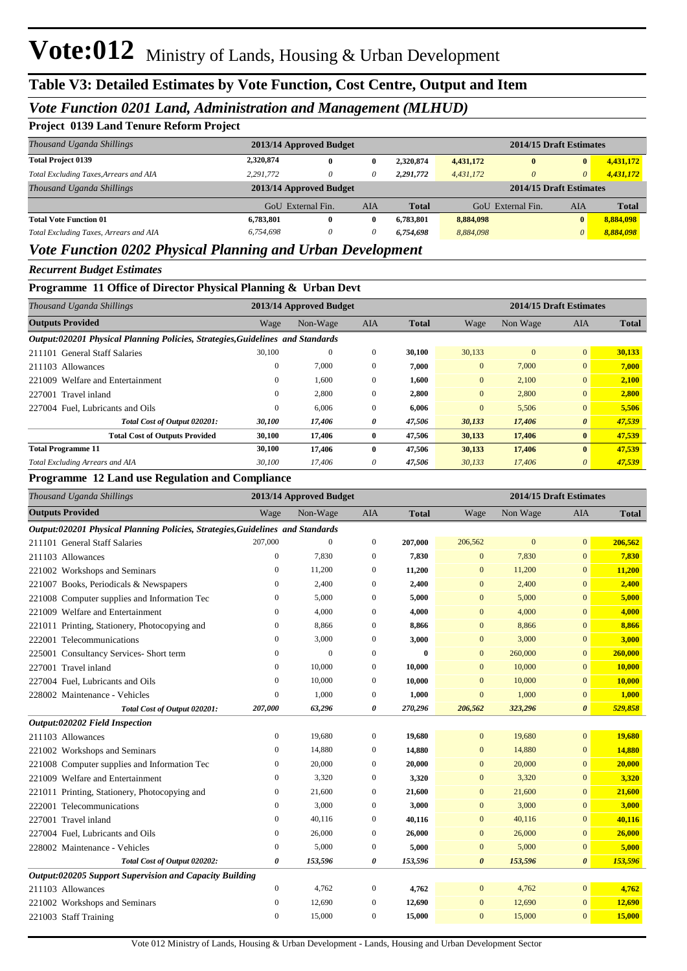### *Vote Function 0201 Land, Administration and Management (MLHUD)*

#### **Project 0139 Land Tenure Reform Project**

| Thousand Uganda Shillings              | 2013/14 Approved Budget |          |     |              | 2014/15 Draft Estimates |                         |              |              |
|----------------------------------------|-------------------------|----------|-----|--------------|-------------------------|-------------------------|--------------|--------------|
| <b>Total Project 0139</b>              | 2,320,874               | 0        | 0   | 2,320,874    | 4,431,172               | $\mathbf{0}$            | $\bf{0}$     | 4,431,172    |
| Total Excluding Taxes, Arrears and AIA | 2,291,772               | 0        | 0   | 2,291,772    | 4,431,172               | 0                       | $\theta$     | 4,431,172    |
| Thousand Uganda Shillings              | 2013/14 Approved Budget |          |     |              |                         | 2014/15 Draft Estimates |              |              |
|                                        | GoU External Fin.       |          | AIA | <b>Total</b> |                         | GoU External Fin.       | AIA          | <b>Total</b> |
| <b>Total Vote Function 01</b>          | 6.783.801               | $\bf{0}$ | 0   | 6.783.801    | 8,884,098               |                         | $\mathbf{0}$ | 8,884,098    |
| Total Excluding Taxes, Arrears and AIA | 6.754.698               | 0        | 0   | 6.754.698    | 8,884,098               |                         | 0            | 8,884,098    |
| .<br>.                                 |                         |          |     |              |                         |                         |              |              |

#### *Vote Function 0202 Physical Planning and Urban Development*

#### *Recurrent Budget Estimates*

#### **Programme 11 Office of Director Physical Planning & Urban Devt**

| Thousand Uganda Shillings                                                      |          | 2013/14 Approved Budget |              |              |              | 2014/15 Draft Estimates |                       |              |
|--------------------------------------------------------------------------------|----------|-------------------------|--------------|--------------|--------------|-------------------------|-----------------------|--------------|
| <b>Outputs Provided</b>                                                        | Wage     | Non-Wage                | <b>AIA</b>   | <b>Total</b> | Wage         | Non Wage                | <b>AIA</b>            | <b>Total</b> |
| Output:020201 Physical Planning Policies, Strategies, Guidelines and Standards |          |                         |              |              |              |                         |                       |              |
| 211101 General Staff Salaries                                                  | 30,100   | $\mathbf{0}$            | $\mathbf{0}$ | 30.100       | 30,133       | $\Omega$                | $\overline{0}$        | 30,133       |
| 211103 Allowances                                                              | 0        | 7,000                   | $\mathbf{0}$ | 7.000        | $\mathbf{0}$ | 7,000                   | $\overline{0}$        | 7,000        |
| 221009 Welfare and Entertainment                                               | 0        | 1,600                   | $\mathbf{0}$ | 1,600        | $\mathbf{0}$ | 2,100                   | $\overline{0}$        | 2,100        |
| 227001<br>Travel inland                                                        | 0        | 2,800                   | $\mathbf{0}$ | 2,800        | $\mathbf{0}$ | 2.800                   | $\overline{0}$        | 2,800        |
| 227004 Fuel, Lubricants and Oils                                               | $\Omega$ | 6.006                   | $\mathbf{0}$ | 6.006        | $\mathbf{0}$ | 5,506                   | $\mathbf{0}$          | 5,506        |
| Total Cost of Output 020201:                                                   | 30,100   | 17,406                  | 0            | 47,506       | 30,133       | 17,406                  | $\boldsymbol{\theta}$ | 47,539       |
| <b>Total Cost of Outputs Provided</b>                                          | 30,100   | 17,406                  | $\bf{0}$     | 47,506       | 30,133       | 17,406                  | $\bf{0}$              | 47,539       |
| <b>Total Programme 11</b>                                                      | 30,100   | 17,406                  | $\mathbf{0}$ | 47,506       | 30,133       | 17,406                  | $\mathbf{0}$          | 47,539       |
| Total Excluding Arrears and AIA                                                | 30,100   | 17.406                  | 0            | 47,506       | 30,133       | 17,406                  | $\theta$              | 47,539       |

#### **Programme 12 Land use Regulation and Compliance**

| Thousand Uganda Shillings                                                      |                  | 2013/14 Approved Budget |                  |              | 2014/15 Draft Estimates |              |                       |              |
|--------------------------------------------------------------------------------|------------------|-------------------------|------------------|--------------|-------------------------|--------------|-----------------------|--------------|
| <b>Outputs Provided</b>                                                        | Wage             | Non-Wage                | <b>AIA</b>       | <b>Total</b> | Wage                    | Non Wage     | <b>AIA</b>            | <b>Total</b> |
| Output:020201 Physical Planning Policies, Strategies, Guidelines and Standards |                  |                         |                  |              |                         |              |                       |              |
| 211101 General Staff Salaries                                                  | 207,000          | $\theta$                | $\mathbf{0}$     | 207,000      | 206,562                 | $\mathbf{0}$ | $\overline{0}$        | 206,562      |
| 211103 Allowances                                                              | $\mathbf{0}$     | 7.830                   | $\mathbf{0}$     | 7,830        | $\mathbf{0}$            | 7,830        | $\overline{0}$        | 7,830        |
| 221002 Workshops and Seminars                                                  | $\boldsymbol{0}$ | 11,200                  | $\boldsymbol{0}$ | 11,200       | $\mathbf{0}$            | 11,200       | $\mathbf{0}$          | 11,200       |
| 221007 Books, Periodicals & Newspapers                                         | $\mathbf{0}$     | 2,400                   | $\mathbf{0}$     | 2,400        | $\mathbf{0}$            | 2,400        | $\Omega$              | 2,400        |
| 221008 Computer supplies and Information Tec                                   | $\mathbf{0}$     | 5,000                   | $\mathbf{0}$     | 5,000        | $\mathbf{0}$            | 5,000        | $\overline{0}$        | 5,000        |
| 221009 Welfare and Entertainment                                               | $\mathbf{0}$     | 4,000                   | $\mathbf{0}$     | 4,000        | $\mathbf{0}$            | 4,000        | $\mathbf{0}$          | 4,000        |
| 221011 Printing, Stationery, Photocopying and                                  | $\mathbf{0}$     | 8,866                   | $\mathbf{0}$     | 8,866        | $\mathbf{0}$            | 8,866        | $\Omega$              | 8,866        |
| 222001 Telecommunications                                                      | $\mathbf{0}$     | 3,000                   | $\mathbf{0}$     | 3,000        | $\mathbf{0}$            | 3,000        | $\overline{0}$        | 3,000        |
| 225001 Consultancy Services- Short term                                        | $\mathbf{0}$     | $\overline{0}$          | $\mathbf{0}$     | $\bf{0}$     | $\mathbf{0}$            | 260,000      | $\overline{0}$        | 260,000      |
| 227001 Travel inland                                                           | $\mathbf{0}$     | 10,000                  | $\mathbf{0}$     | 10,000       | $\mathbf{0}$            | 10,000       | $\overline{0}$        | 10,000       |
| 227004 Fuel, Lubricants and Oils                                               | $\mathbf{0}$     | 10,000                  | $\mathbf{0}$     | 10,000       | $\mathbf{0}$            | 10,000       | $\mathbf{0}$          | 10,000       |
| 228002 Maintenance - Vehicles                                                  | $\boldsymbol{0}$ | 1,000                   | $\boldsymbol{0}$ | 1,000        | $\mathbf{0}$            | 1,000        | $\mathbf{0}$          | 1,000        |
| Total Cost of Output 020201:                                                   | 207,000          | 63,296                  | 0                | 270,296      | 206,562                 | 323,296      | $\boldsymbol{\theta}$ | 529,858      |
| Output:020202 Field Inspection                                                 |                  |                         |                  |              |                         |              |                       |              |
| 211103 Allowances                                                              | $\boldsymbol{0}$ | 19,680                  | $\boldsymbol{0}$ | 19,680       | $\mathbf{0}$            | 19,680       | $\overline{0}$        | 19,680       |
| 221002 Workshops and Seminars                                                  | $\mathbf{0}$     | 14,880                  | $\mathbf{0}$     | 14,880       | $\mathbf{0}$            | 14,880       | $\overline{0}$        | 14,880       |
| 221008 Computer supplies and Information Tec                                   | $\mathbf{0}$     | 20,000                  | $\mathbf{0}$     | 20,000       | $\mathbf{0}$            | 20,000       | $\overline{0}$        | 20,000       |
| 221009 Welfare and Entertainment                                               | $\mathbf{0}$     | 3,320                   | $\mathbf{0}$     | 3,320        | $\mathbf{0}$            | 3,320        | $\overline{0}$        | 3,320        |
| 221011 Printing, Stationery, Photocopying and                                  | $\boldsymbol{0}$ | 21,600                  | $\mathbf{0}$     | 21,600       | $\mathbf{0}$            | 21,600       | $\overline{0}$        | 21,600       |
| 222001 Telecommunications                                                      | $\mathbf{0}$     | 3,000                   | $\mathbf{0}$     | 3,000        | $\mathbf{0}$            | 3,000        | $\Omega$              | 3,000        |
| 227001 Travel inland                                                           | $\mathbf{0}$     | 40,116                  | $\mathbf{0}$     | 40,116       | $\mathbf{0}$            | 40,116       | $\overline{0}$        | 40,116       |
| 227004 Fuel. Lubricants and Oils                                               | $\boldsymbol{0}$ | 26,000                  | $\mathbf{0}$     | 26,000       | $\mathbf{0}$            | 26,000       | $\overline{0}$        | 26,000       |
| 228002 Maintenance - Vehicles                                                  | $\boldsymbol{0}$ | 5,000                   | $\mathbf{0}$     | 5,000        | $\mathbf{0}$            | 5,000        | $\mathbf{0}$          | 5,000        |
| Total Cost of Output 020202:                                                   | 0                | 153,596                 | 0                | 153,596      | $\boldsymbol{\theta}$   | 153,596      | $\boldsymbol{\theta}$ | 153,596      |
| Output:020205 Support Supervision and Capacity Building                        |                  |                         |                  |              |                         |              |                       |              |
| 211103 Allowances                                                              | $\boldsymbol{0}$ | 4,762                   | $\mathbf{0}$     | 4,762        | $\mathbf{0}$            | 4,762        | $\overline{0}$        | 4,762        |
| 221002 Workshops and Seminars                                                  | $\mathbf{0}$     | 12,690                  | $\mathbf{0}$     | 12,690       | $\mathbf{0}$            | 12,690       | $\overline{0}$        | 12,690       |
| 221003 Staff Training                                                          | $\mathbf{0}$     | 15,000                  | $\mathbf{0}$     | 15,000       | $\overline{0}$          | 15,000       | $\overline{0}$        | 15,000       |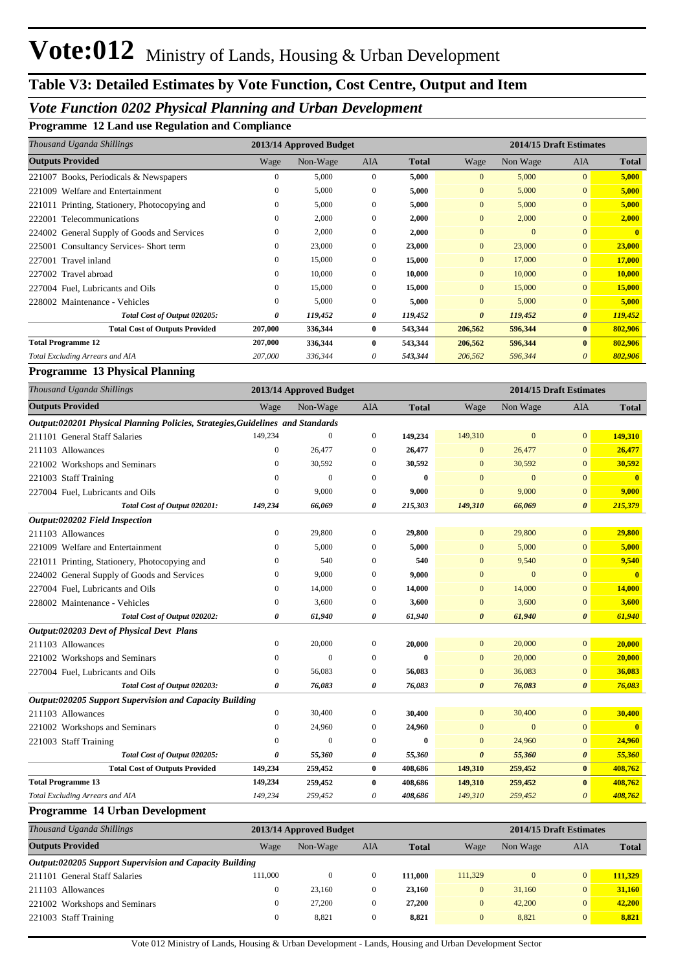## *Vote Function 0202 Physical Planning and Urban Development*

**Programme 12 Land use Regulation and Compliance**

| Thousand Uganda Shillings                     |              | 2013/14 Approved Budget |              |              | 2014/15 Draft Estimates |              |                       |              |
|-----------------------------------------------|--------------|-------------------------|--------------|--------------|-------------------------|--------------|-----------------------|--------------|
| <b>Outputs Provided</b>                       | Wage         | Non-Wage                | AIA          | <b>Total</b> | Wage                    | Non Wage     | <b>AIA</b>            | <b>Total</b> |
| 221007 Books, Periodicals & Newspapers        |              | 5,000                   | $\mathbf{0}$ | 5,000        | $\overline{0}$          | 5,000        | $\overline{0}$        | 5,000        |
| Welfare and Entertainment<br>221009           | 0            | 5,000                   | $\mathbf{0}$ | 5,000        | $\overline{0}$          | 5,000        | $\overline{0}$        | 5,000        |
| 221011 Printing, Stationery, Photocopying and | $\mathbf{0}$ | 5,000                   | $\mathbf{0}$ | 5,000        | $\overline{0}$          | 5,000        | $\overline{0}$        | 5,000        |
| 222001 Telecommunications                     | $\Omega$     | 2,000                   | $\Omega$     | 2,000        | $\overline{0}$          | 2,000        | $\overline{0}$        | 2,000        |
| 224002 General Supply of Goods and Services   | 0            | 2,000                   | $\Omega$     | 2,000        | $\mathbf{0}$            | $\mathbf{0}$ | $\Omega$              |              |
| 225001 Consultancy Services- Short term       | $\mathbf{0}$ | 23,000                  | $\mathbf{0}$ | 23,000       | $\overline{0}$          | 23,000       | $\overline{0}$        | 23,000       |
| 227001 Travel inland                          | $\Omega$     | 15,000                  | $\Omega$     | 15,000       | $\overline{0}$          | 17,000       | $\Omega$              | 17,000       |
| 227002 Travel abroad                          | $\Omega$     | 10,000                  | $\Omega$     | 10,000       | $\Omega$                | 10,000       | $\Omega$              | 10,000       |
| 227004 Fuel, Lubricants and Oils              | $\Omega$     | 15,000                  | $\Omega$     | 15,000       | $\overline{0}$          | 15,000       | $\overline{0}$        | 15,000       |
| 228002 Maintenance - Vehicles                 | $\mathbf{0}$ | 5,000                   | $\mathbf{0}$ | 5,000        | $\overline{0}$          | 5,000        | $\overline{0}$        | 5,000        |
| Total Cost of Output 020205:                  | 0            | 119,452                 | 0            | 119,452      | $\theta$                | 119,452      | $\boldsymbol{\theta}$ | 119,452      |
| <b>Total Cost of Outputs Provided</b>         | 207,000      | 336,344                 | $\bf{0}$     | 543,344      | 206,562                 | 596,344      | $\mathbf{0}$          | 802,906      |
| <b>Total Programme 12</b>                     | 207,000      | 336,344                 | 0            | 543,344      | 206,562                 | 596,344      | $\mathbf{0}$          | 802,906      |
| Total Excluding Arrears and AIA               | 207,000      | 336,344                 | 0            | 543,344      | 206,562                 | 596,344      | $\theta$              | 802,906      |

#### **Programme 13 Physical Planning**

| Thousand Uganda Shillings                                                      |              | 2013/14 Approved Budget |                  | 2014/15 Draft Estimates |                       |                  |                       |                |
|--------------------------------------------------------------------------------|--------------|-------------------------|------------------|-------------------------|-----------------------|------------------|-----------------------|----------------|
| <b>Outputs Provided</b>                                                        | Wage         | Non-Wage                | <b>AIA</b>       | <b>Total</b>            | Wage                  | Non Wage         | <b>AIA</b>            | <b>Total</b>   |
| Output:020201 Physical Planning Policies, Strategies, Guidelines and Standards |              |                         |                  |                         |                       |                  |                       |                |
| 211101 General Staff Salaries                                                  | 149,234      | $\mathbf{0}$            | $\mathbf{0}$     | 149,234                 | 149,310               | $\overline{0}$   | $\overline{0}$        | 149,310        |
| 211103 Allowances                                                              | $\mathbf{0}$ | 26,477                  | $\mathbf{0}$     | 26,477                  | $\mathbf{0}$          | 26,477           | $\overline{0}$        | 26,477         |
| 221002 Workshops and Seminars                                                  | $\Omega$     | 30,592                  | $\mathbf{0}$     | 30,592                  | $\mathbf{0}$          | 30,592           | $\mathbf{0}$          | 30,592         |
| 221003 Staff Training                                                          | 0            | $\mathbf{0}$            | $\theta$         | $\bf{0}$                | $\Omega$              | $\boldsymbol{0}$ | $\overline{0}$        | $\overline{0}$ |
| 227004 Fuel, Lubricants and Oils                                               | $\Omega$     | 9,000                   | $\mathbf{0}$     | 9,000                   | $\Omega$              | 9,000            | $\overline{0}$        | 9,000          |
| Total Cost of Output 020201:                                                   | 149,234      | 66,069                  | 0                | 215,303                 | 149,310               | 66,069           | $\boldsymbol{\theta}$ | 215,379        |
| Output:020202 Field Inspection                                                 |              |                         |                  |                         |                       |                  |                       |                |
| 211103 Allowances                                                              | $\mathbf{0}$ | 29,800                  | $\mathbf{0}$     | 29,800                  | $\mathbf{0}$          | 29,800           | $\overline{0}$        | 29,800         |
| 221009 Welfare and Entertainment                                               | $\mathbf{0}$ | 5,000                   | $\theta$         | 5,000                   | $\Omega$              | 5,000            | $\Omega$              | 5,000          |
| 221011 Printing, Stationery, Photocopying and                                  | 0            | 540                     | $\mathbf{0}$     | 540                     | $\Omega$              | 9,540            | $\mathbf{0}$          | 9,540          |
| 224002 General Supply of Goods and Services                                    | 0            | 9,000                   | $\boldsymbol{0}$ | 9,000                   | $\mathbf{0}$          | $\boldsymbol{0}$ | $\mathbf{0}$          | $\mathbf{0}$   |
| 227004 Fuel, Lubricants and Oils                                               | $\mathbf{0}$ | 14,000                  | $\mathbf{0}$     | 14,000                  | $\mathbf{0}$          | 14,000           | $\overline{0}$        | 14,000         |
| 228002 Maintenance - Vehicles                                                  | $\mathbf{0}$ | 3,600                   | $\theta$         | 3,600                   | $\mathbf{0}$          | 3,600            | $\mathbf{0}$          | 3,600          |
| Total Cost of Output 020202:                                                   | 0            | 61,940                  | 0                | 61,940                  | $\boldsymbol{\theta}$ | 61,940           | 0                     | 61,940         |
| Output:020203 Devt of Physical Devt Plans                                      |              |                         |                  |                         |                       |                  |                       |                |
| 211103 Allowances                                                              | $\mathbf{0}$ | 20,000                  | $\mathbf{0}$     | 20,000                  | $\Omega$              | 20,000           | $\overline{0}$        | 20,000         |
| 221002 Workshops and Seminars                                                  | 0            | $\mathbf{0}$            | $\theta$         | $\mathbf{0}$            | $\Omega$              | 20,000           | $\overline{0}$        | 20,000         |
| 227004 Fuel, Lubricants and Oils                                               | 0            | 56,083                  | $\mathbf{0}$     | 56,083                  | $\mathbf{0}$          | 36,083           | $\mathbf{0}$          | 36,083         |
| Total Cost of Output 020203:                                                   | 0            | 76,083                  | 0                | 76,083                  | $\boldsymbol{\theta}$ | 76,083           | $\boldsymbol{\theta}$ | 76,083         |
| Output:020205 Support Supervision and Capacity Building                        |              |                         |                  |                         |                       |                  |                       |                |
| 211103 Allowances                                                              | 0            | 30,400                  | $\mathbf{0}$     | 30,400                  | $\mathbf{0}$          | 30,400           | $\overline{0}$        | 30,400         |
| 221002 Workshops and Seminars                                                  | $\mathbf{0}$ | 24,960                  | $\mathbf{0}$     | 24,960                  | $\mathbf{0}$          | $\mathbf{0}$     | $\mathbf{0}$          |                |
| 221003 Staff Training                                                          | 0            | $\mathbf{0}$            | $\theta$         | 0                       | $\Omega$              | 24,960           | $\mathbf{0}$          | 24,960         |
| Total Cost of Output 020205:                                                   | 0            | 55,360                  | 0                | 55,360                  | $\boldsymbol{\theta}$ | 55,360           | $\boldsymbol{\theta}$ | 55,360         |
| <b>Total Cost of Outputs Provided</b>                                          | 149,234      | 259,452                 | $\bf{0}$         | 408,686                 | 149,310               | 259,452          | $\bf{0}$              | 408,762        |
| <b>Total Programme 13</b>                                                      | 149,234      | 259,452                 | $\bf{0}$         | 408,686                 | 149,310               | 259,452          | $\mathbf{0}$          | 408,762        |
| Total Excluding Arrears and AIA                                                | 149,234      | 259,452                 | 0                | 408,686                 | 149,310               | 259,452          | 0                     | 408,762        |

#### **Programme 14 Urban Development**

| Thousand Uganda Shillings                               | 2013/14 Approved Budget |          |              |              |         |              | 2014/15 Draft Estimates |              |
|---------------------------------------------------------|-------------------------|----------|--------------|--------------|---------|--------------|-------------------------|--------------|
| <b>Outputs Provided</b>                                 | Wage                    | Non-Wage | AIA          | <b>Total</b> | Wage    | Non Wage     | AIA                     | <b>Total</b> |
| Output:020205 Support Supervision and Capacity Building |                         |          |              |              |         |              |                         |              |
| 211101 General Staff Salaries                           | 111.000                 | 0        |              | 111.000      | 111.329 | $\mathbf{0}$ | $\overline{0}$          | 111.329      |
| 211103 Allowances                                       | 0                       | 23,160   | $\Omega$     | 23,160       |         | 31,160       | $\overline{0}$          | 31.160       |
| 221002 Workshops and Seminars                           | 0                       | 27,200   | $\mathbf{0}$ | 27,200       |         | 42,200       | $\overline{0}$          | 42,200       |
| 221003 Staff Training                                   | 0                       | 8,821    | $\mathbf{0}$ | 8,821        |         | 8.821        | $\mathbf{0}$            | 8,821        |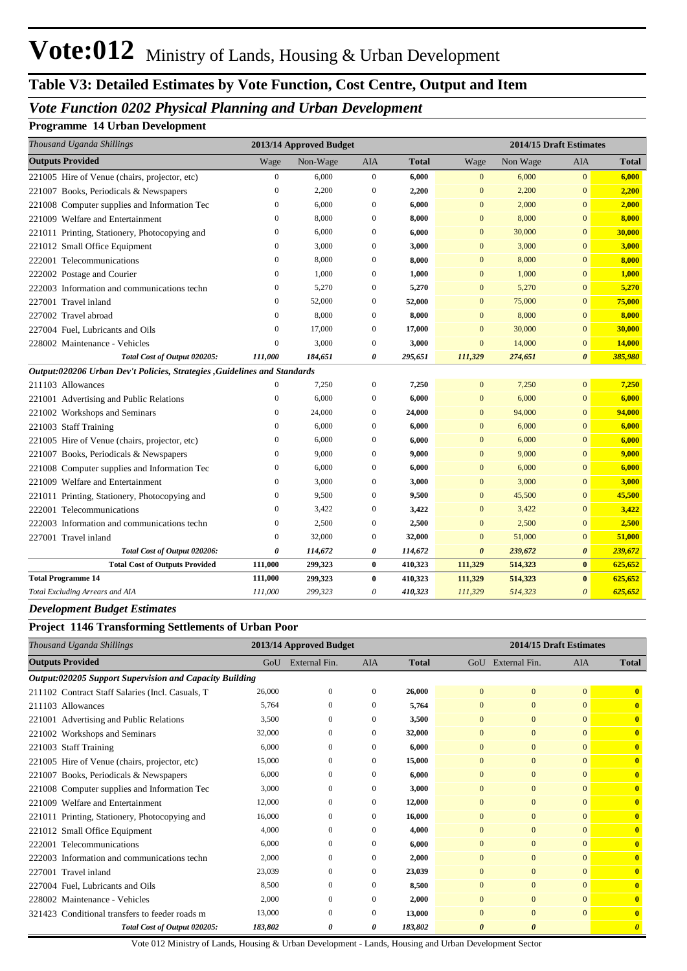## **Table V3: Detailed Estimates by Vote Function, Cost Centre, Output and Item**

### *Vote Function 0202 Physical Planning and Urban Development*

#### **Programme 14 Urban Development**

| Thousand Uganda Shillings                                                 |                  | 2013/14 Approved Budget |                  | 2014/15 Draft Estimates |                       |          |                       |              |
|---------------------------------------------------------------------------|------------------|-------------------------|------------------|-------------------------|-----------------------|----------|-----------------------|--------------|
| <b>Outputs Provided</b>                                                   | Wage             | Non-Wage                | <b>AIA</b>       | <b>Total</b>            | Wage                  | Non Wage | <b>AIA</b>            | <b>Total</b> |
| 221005 Hire of Venue (chairs, projector, etc)                             | $\overline{0}$   | 6,000                   | $\mathbf{0}$     | 6,000                   | $\mathbf{0}$          | 6,000    | $\overline{0}$        | 6,000        |
| 221007 Books, Periodicals & Newspapers                                    | $\boldsymbol{0}$ | 2,200                   | $\theta$         | 2,200                   | $\mathbf{0}$          | 2,200    | $\mathbf{0}$          | 2,200        |
| 221008 Computer supplies and Information Tec                              | $\mathbf{0}$     | 6,000                   | $\mathbf{0}$     | 6,000                   | $\overline{0}$        | 2,000    | $\overline{0}$        | 2,000        |
| 221009 Welfare and Entertainment                                          | $\boldsymbol{0}$ | 8,000                   | $\boldsymbol{0}$ | 8,000                   | $\overline{0}$        | 8,000    | $\mathbf{0}$          | 8,000        |
| 221011 Printing, Stationery, Photocopying and                             | $\mathbf{0}$     | 6,000                   | $\theta$         | 6,000                   | $\mathbf{0}$          | 30,000   | $\overline{0}$        | 30,000       |
| 221012 Small Office Equipment                                             | $\boldsymbol{0}$ | 3,000                   | $\boldsymbol{0}$ | 3,000                   | $\mathbf{0}$          | 3,000    | $\mathbf{0}$          | 3,000        |
| 222001 Telecommunications                                                 | $\mathbf{0}$     | 8,000                   | $\mathbf{0}$     | 8,000                   | $\overline{0}$        | 8,000    | $\mathbf{0}$          | 8,000        |
| 222002 Postage and Courier                                                | $\mathbf{0}$     | 1,000                   | $\mathbf{0}$     | 1,000                   | $\overline{0}$        | 1,000    | $\mathbf{0}$          | 1,000        |
| 222003 Information and communications techn                               | $\overline{0}$   | 5,270                   | $\overline{0}$   | 5,270                   | $\overline{0}$        | 5,270    | $\overline{0}$        | 5,270        |
| 227001 Travel inland                                                      | $\mathbf{0}$     | 52,000                  | $\mathbf{0}$     | 52,000                  | $\mathbf{0}$          | 75,000   | $\overline{0}$        | 75,000       |
| 227002 Travel abroad                                                      | $\mathbf{0}$     | 8,000                   | $\mathbf{0}$     | 8,000                   | $\overline{0}$        | 8,000    | $\overline{0}$        | 8,000        |
| 227004 Fuel, Lubricants and Oils                                          | $\mathbf{0}$     | 17,000                  | $\mathbf{0}$     | 17,000                  | $\overline{0}$        | 30,000   | $\mathbf{0}$          | 30,000       |
| 228002 Maintenance - Vehicles                                             | $\overline{0}$   | 3,000                   | $\boldsymbol{0}$ | 3,000                   | $\mathbf{0}$          | 14,000   | $\overline{0}$        | 14,000       |
| Total Cost of Output 020205:                                              | 111,000          | 184,651                 | 0                | 295,651                 | 111,329               | 274,651  | $\boldsymbol{\theta}$ | 385,980      |
| Output:020206 Urban Dev't Policies, Strategies , Guidelines and Standards |                  |                         |                  |                         |                       |          |                       |              |
| 211103 Allowances                                                         | $\boldsymbol{0}$ | 7,250                   | $\boldsymbol{0}$ | 7,250                   | $\mathbf{0}$          | 7,250    | $\overline{0}$        | 7,250        |
| 221001 Advertising and Public Relations                                   | $\mathbf{0}$     | 6,000                   | $\boldsymbol{0}$ | 6,000                   | $\mathbf{0}$          | 6,000    | $\mathbf{0}$          | 6,000        |
| 221002 Workshops and Seminars                                             | $\mathbf{0}$     | 24,000                  | $\mathbf{0}$     | 24,000                  | $\mathbf{0}$          | 94,000   | $\overline{0}$        | 94,000       |
| 221003 Staff Training                                                     | $\mathbf{0}$     | 6,000                   | $\theta$         | 6,000                   | $\mathbf{0}$          | 6,000    | $\overline{0}$        | 6,000        |
| 221005 Hire of Venue (chairs, projector, etc)                             | $\mathbf{0}$     | 6,000                   | $\overline{0}$   | 6,000                   | $\mathbf{0}$          | 6,000    | $\mathbf{0}$          | 6,000        |
| 221007 Books, Periodicals & Newspapers                                    | $\mathbf{0}$     | 9,000                   | $\boldsymbol{0}$ | 9,000                   | $\mathbf{0}$          | 9,000    | $\mathbf{0}$          | 9,000        |
| 221008 Computer supplies and Information Tec                              | $\mathbf{0}$     | 6,000                   | $\mathbf{0}$     | 6,000                   | $\mathbf{0}$          | 6,000    | $\overline{0}$        | 6,000        |
| 221009 Welfare and Entertainment                                          | $\mathbf{0}$     | 3,000                   | $\mathbf{0}$     | 3,000                   | $\mathbf{0}$          | 3,000    | $\overline{0}$        | 3,000        |
| 221011 Printing, Stationery, Photocopying and                             | $\mathbf{0}$     | 9,500                   | $\overline{0}$   | 9,500                   | $\overline{0}$        | 45,500   | $\overline{0}$        | 45,500       |
| 222001 Telecommunications                                                 | $\overline{0}$   | 3,422                   | $\mathbf{0}$     | 3,422                   | $\mathbf{0}$          | 3,422    | $\mathbf{0}$          | 3,422        |
| 222003 Information and communications techn                               | $\boldsymbol{0}$ | 2,500                   | $\boldsymbol{0}$ | 2,500                   | $\mathbf{0}$          | 2,500    | $\mathbf{0}$          | 2,500        |
| 227001 Travel inland                                                      | $\mathbf{0}$     | 32,000                  | $\mathbf{0}$     | 32,000                  | $\mathbf{0}$          | 51,000   | $\mathbf{0}$          | 51,000       |
| Total Cost of Output 020206:                                              | 0                | 114,672                 | 0                | 114,672                 | $\boldsymbol{\theta}$ | 239,672  | $\boldsymbol{\theta}$ | 239,672      |
| <b>Total Cost of Outputs Provided</b>                                     | 111,000          | 299,323                 | $\bf{0}$         | 410,323                 | 111,329               | 514,323  | $\bf{0}$              | 625,652      |
| <b>Total Programme 14</b>                                                 | 111,000          | 299,323                 | $\bf{0}$         | 410,323                 | 111,329               | 514,323  | $\bf{0}$              | 625,652      |
| Total Excluding Arrears and AIA                                           | 111,000          | 299,323                 | 0                | 410,323                 | 111,329               | 514,323  | $\boldsymbol{\theta}$ | 625,652      |

#### *Development Budget Estimates*

#### **Project 1146 Transforming Settlements of Urban Poor**

| Thousand Uganda Shillings                               |         | 2013/14 Approved Budget |            |              | 2014/15 Draft Estimates |                       |                |                         |
|---------------------------------------------------------|---------|-------------------------|------------|--------------|-------------------------|-----------------------|----------------|-------------------------|
| <b>Outputs Provided</b>                                 | GoU     | External Fin.           | <b>AIA</b> | <b>Total</b> |                         | GoU External Fin.     | <b>AIA</b>     | <b>Total</b>            |
| Output:020205 Support Supervision and Capacity Building |         |                         |            |              |                         |                       |                |                         |
| 211102 Contract Staff Salaries (Incl. Casuals, T.       | 26,000  | $\Omega$                | 0          | 26,000       | $\mathbf{0}$            | $\mathbf{0}$          | $\overline{0}$ | $\overline{\mathbf{0}}$ |
| 211103 Allowances                                       | 5,764   | $\Omega$                | $\Omega$   | 5,764        | $\mathbf{0}$            | $\mathbf{0}$          | $\Omega$       | $\overline{\mathbf{0}}$ |
| 221001 Advertising and Public Relations                 | 3,500   | $\Omega$                | 0          | 3,500        | $\Omega$                | $\Omega$              | $\Omega$       | $\overline{\mathbf{0}}$ |
| 221002 Workshops and Seminars                           | 32,000  | $\Omega$                | 0          | 32,000       | $\mathbf{0}$            | $\Omega$              | $\Omega$       | $\overline{\mathbf{0}}$ |
| 221003 Staff Training                                   | 6,000   | $\mathbf{0}$            | 0          | 6,000        | $\mathbf{0}$            | $\overline{0}$        | $\Omega$       | $\overline{\mathbf{0}}$ |
| 221005 Hire of Venue (chairs, projector, etc)           | 15,000  | $\Omega$                | 0          | 15,000       | $\Omega$                | $\Omega$              | $\Omega$       | $\mathbf{0}$            |
| 221007 Books, Periodicals & Newspapers                  | 6.000   | $\Omega$                | $\Omega$   | 6,000        | $\mathbf{0}$            | $\Omega$              | $\Omega$       | $\mathbf{0}$            |
| 221008 Computer supplies and Information Tec            | 3,000   | $\Omega$                | 0          | 3,000        | $\Omega$                | $\Omega$              | $\Omega$       | $\mathbf{0}$            |
| 221009 Welfare and Entertainment                        | 12,000  | $\mathbf{0}$            | 0          | 12,000       | $\mathbf{0}$            | $\overline{0}$        | $\Omega$       | $\overline{\mathbf{0}}$ |
| 221011 Printing, Stationery, Photocopying and           | 16,000  | $\Omega$                | 0          | 16,000       | $\mathbf{0}$            | $\Omega$              | $\Omega$       | $\bf{0}$                |
| 221012 Small Office Equipment                           | 4.000   | $\Omega$                | 0          | 4,000        | $\mathbf{0}$            | $\mathbf{0}$          | $\mathbf{0}$   | $\overline{\mathbf{0}}$ |
| 222001 Telecommunications                               | 6,000   | $\Omega$                | 0          | 6,000        | $\mathbf{0}$            | $\Omega$              | $\Omega$       | $\mathbf{0}$            |
| 222003 Information and communications techn             | 2,000   | $\Omega$                | $\Omega$   | 2,000        | $\mathbf{0}$            | $\mathbf{0}$          | $\Omega$       | $\overline{\mathbf{0}}$ |
| 227001 Travel inland                                    | 23,039  | $\Omega$                | $\Omega$   | 23,039       | $\mathbf{0}$            | $\Omega$              | $\Omega$       | $\overline{\mathbf{0}}$ |
| 227004 Fuel, Lubricants and Oils                        | 8,500   | $\mathbf{0}$            | 0          | 8,500        | $\mathbf{0}$            | $\mathbf{0}$          | $\mathbf{0}$   | $\mathbf{0}$            |
| 228002 Maintenance - Vehicles                           | 2,000   | $\Omega$                | 0          | 2,000        | $\mathbf{0}$            | $\Omega$              | $\Omega$       | $\mathbf{0}$            |
| 321423 Conditional transfers to feeder roads m          | 13,000  | $\Omega$                | 0          | 13,000       | $\mathbf{0}$            | $\mathbf{0}$          | $\Omega$       | $\overline{0}$          |
| Total Cost of Output 020205:                            | 183,802 | f)                      | 0          | 183,802      | 0                       | $\boldsymbol{\theta}$ |                | $\boldsymbol{\theta}$   |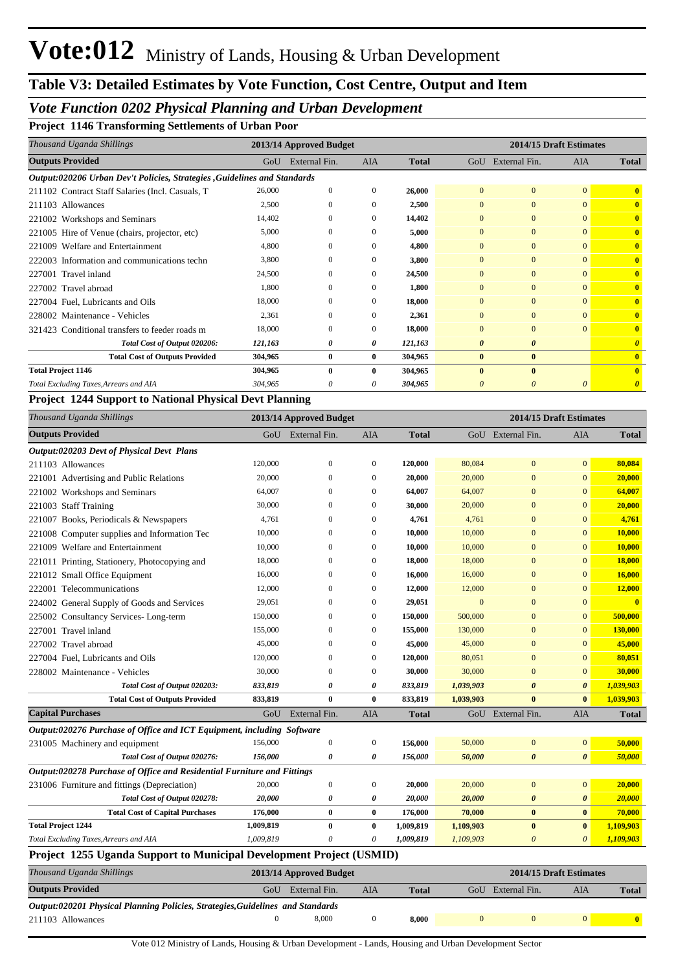## *Vote Function 0202 Physical Planning and Urban Development*

**Project 1146 Transforming Settlements of Urban Poor**

| Thousand Uganda Shillings                                                | 2013/14 Approved Budget<br>2014/15 Draft Estimates |               |            |              |                |                       |                |                         |
|--------------------------------------------------------------------------|----------------------------------------------------|---------------|------------|--------------|----------------|-----------------------|----------------|-------------------------|
| <b>Outputs Provided</b>                                                  | GoU                                                | External Fin. | <b>AIA</b> | <b>Total</b> | GoU            | External Fin.         | AIA            | <b>Total</b>            |
| Output:020206 Urban Dev't Policies, Strategies, Guidelines and Standards |                                                    |               |            |              |                |                       |                |                         |
| 211102 Contract Staff Salaries (Incl. Casuals, T                         | 26,000                                             | $\Omega$      | $\Omega$   | 26,000       | $\overline{0}$ | $\overline{0}$        | $\overline{0}$ | $\mathbf{0}$            |
| 211103 Allowances                                                        | 2,500                                              | $\Omega$      |            | 2,500        | $\Omega$       | $\mathbf{0}$          | $\Omega$       | $\mathbf{0}$            |
| 221002 Workshops and Seminars                                            | 14,402                                             | $\Omega$      | $\Omega$   | 14,402       | $\Omega$       | $\Omega$              | $\Omega$       | $\mathbf{0}$            |
| 221005 Hire of Venue (chairs, projector, etc)                            | 5,000                                              | $\Omega$      | $\Omega$   | 5,000        | $\Omega$       | $\Omega$              | $\Omega$       | $\overline{\mathbf{0}}$ |
| Welfare and Entertainment<br>221009                                      | 4,800                                              | $\Omega$      | $\Omega$   | 4,800        | $\Omega$       | $\overline{0}$        | $\Omega$       | $\overline{0}$          |
| 222003 Information and communications techn                              | 3,800                                              | $\Omega$      | $\Omega$   | 3,800        | $\Omega$       | $\Omega$              | $\Omega$       | $\overline{0}$          |
| 227001 Travel inland                                                     | 24,500                                             | $\Omega$      |            | 24,500       | $\Omega$       | $\mathbf{0}$          | $\Omega$       | $\overline{0}$          |
| 227002 Travel abroad                                                     | 1,800                                              | $\Omega$      | $\Omega$   | 1,800        | $\Omega$       | $\Omega$              | $\Omega$       | $\overline{0}$          |
| 227004 Fuel, Lubricants and Oils                                         | 18,000                                             | $\Omega$      |            | 18,000       | $\Omega$       | $\overline{0}$        | $\Omega$       | $\overline{0}$          |
| 228002 Maintenance - Vehicles                                            | 2,361                                              | $\Omega$      |            | 2,361        | $\Omega$       | $\Omega$              | $\Omega$       | $\overline{0}$          |
| 321423 Conditional transfers to feeder roads m                           | 18,000                                             | $\Omega$      |            | 18,000       | $\Omega$       | $\overline{0}$        | $\Omega$       | $\overline{0}$          |
| Total Cost of Output 020206:                                             | 121,163                                            | 0             | 0          | 121,163      | $\theta$       | $\boldsymbol{\theta}$ |                | $\theta$                |
| <b>Total Cost of Outputs Provided</b>                                    | 304,965                                            | $\bf{0}$      | $\bf{0}$   | 304,965      | $\bf{0}$       | $\bf{0}$              |                | $\overline{0}$          |
| <b>Total Project 1146</b>                                                | 304,965                                            | $\mathbf{0}$  |            | 304,965      | $\mathbf{0}$   | $\mathbf{0}$          |                | $\mathbf{0}$            |
| Total Excluding Taxes, Arrears and AIA                                   | 304,965                                            | 0             | 0          | 304,965      |                | 0                     |                | $\boldsymbol{\theta}$   |

#### **Project 1244 Support to National Physical Devt Planning**

| Thousand Uganda Shillings                                                      |                  | 2013/14 Approved Budget |                  |              | 2014/15 Draft Estimates |                         |                       |                         |
|--------------------------------------------------------------------------------|------------------|-------------------------|------------------|--------------|-------------------------|-------------------------|-----------------------|-------------------------|
| <b>Outputs Provided</b>                                                        |                  | GoU External Fin.       | <b>AIA</b>       | <b>Total</b> |                         | GoU External Fin.       | <b>AIA</b>            | <b>Total</b>            |
| Output:020203 Devt of Physical Devt Plans                                      |                  |                         |                  |              |                         |                         |                       |                         |
| 211103 Allowances                                                              | 120,000          | $\theta$                | $\mathbf{0}$     | 120,000      | 80,084                  | $\overline{0}$          | $\mathbf{0}$          | 80,084                  |
| 221001 Advertising and Public Relations                                        | 20,000           | $\mathbf{0}$            | $\mathbf{0}$     | 20,000       | 20,000                  | $\overline{0}$          | $\mathbf{0}$          | 20,000                  |
| 221002 Workshops and Seminars                                                  | 64,007           | $\mathbf{0}$            | $\mathbf{0}$     | 64,007       | 64,007                  | $\overline{0}$          | $\mathbf{0}$          | 64,007                  |
| 221003 Staff Training                                                          | 30,000           | $\mathbf{0}$            | $\mathbf{0}$     | 30,000       | 20,000                  | $\overline{0}$          | $\mathbf{0}$          | 20,000                  |
| 221007 Books, Periodicals & Newspapers                                         | 4,761            | $\mathbf{0}$            | $\mathbf{0}$     | 4,761        | 4,761                   | $\overline{0}$          | $\overline{0}$        | 4,761                   |
| 221008 Computer supplies and Information Tec                                   | 10,000           | $\mathbf{0}$            | $\mathbf{0}$     | 10,000       | 10,000                  | $\overline{0}$          | $\mathbf{0}$          | 10,000                  |
| 221009 Welfare and Entertainment                                               | 10,000           | $\mathbf{0}$            | $\mathbf{0}$     | 10,000       | 10,000                  | $\overline{0}$          | $\mathbf{0}$          | 10,000                  |
| 221011 Printing, Stationery, Photocopying and                                  | 18,000           | $\mathbf{0}$            | $\mathbf{0}$     | 18,000       | 18,000                  | $\overline{0}$          | $\mathbf{0}$          | 18,000                  |
| 221012 Small Office Equipment                                                  | 16,000           | $\boldsymbol{0}$        | $\mathbf{0}$     | 16,000       | 16,000                  | $\overline{0}$          | $\mathbf{0}$          | 16,000                  |
| 222001 Telecommunications                                                      | 12,000           | $\boldsymbol{0}$        | $\mathbf{0}$     | 12,000       | 12,000                  | $\boldsymbol{0}$        | $\mathbf{0}$          | 12,000                  |
| 224002 General Supply of Goods and Services                                    | 29,051           | $\mathbf{0}$            | $\mathbf{0}$     | 29,051       | $\mathbf{0}$            | $\overline{0}$          | $\overline{0}$        | $\overline{\mathbf{0}}$ |
| 225002 Consultancy Services-Long-term                                          | 150,000          | $\mathbf{0}$            | $\mathbf{0}$     | 150,000      | 500,000                 | $\overline{0}$          | $\mathbf{0}$          | 500,000                 |
| 227001 Travel inland                                                           | 155,000          | $\mathbf{0}$            | $\mathbf{0}$     | 155,000      | 130,000                 | $\overline{0}$          | $\mathbf{0}$          | 130,000                 |
| 227002 Travel abroad                                                           | 45,000           | $\mathbf{0}$            | $\mathbf{0}$     | 45,000       | 45,000                  | $\overline{0}$          | $\mathbf{0}$          | 45,000                  |
| 227004 Fuel, Lubricants and Oils                                               | 120,000          | $\mathbf{0}$            | $\mathbf{0}$     | 120,000      | 80,051                  | $\overline{0}$          | $\mathbf{0}$          | 80,051                  |
| 228002 Maintenance - Vehicles                                                  | 30,000           | $\mathbf{0}$            | $\mathbf{0}$     | 30,000       | 30,000                  | $\overline{0}$          | $\mathbf{0}$          | 30,000                  |
| Total Cost of Output 020203:                                                   | 833,819          | 0                       | 0                | 833,819      | 1,039,903               | $\boldsymbol{\theta}$   | $\boldsymbol{\theta}$ | 1,039,903               |
| <b>Total Cost of Outputs Provided</b>                                          | 833,819          | $\bf{0}$                | $\bf{0}$         | 833,819      | 1,039,903               | $\bf{0}$                | $\bf{0}$              | 1,039,903               |
| <b>Capital Purchases</b>                                                       | GoU              | External Fin.           | <b>AIA</b>       | <b>Total</b> |                         | GoU External Fin.       | <b>AIA</b>            | <b>Total</b>            |
| Output:020276 Purchase of Office and ICT Equipment, including Software         |                  |                         |                  |              |                         |                         |                       |                         |
| 231005 Machinery and equipment                                                 | 156,000          | $\boldsymbol{0}$        | $\mathbf{0}$     | 156,000      | 50,000                  | $\mathbf{0}$            | $\mathbf{0}$          | 50,000                  |
| Total Cost of Output 020276:                                                   | 156,000          | $\boldsymbol{\theta}$   | $\theta$         | 156,000      | 50,000                  | $\boldsymbol{\theta}$   | $\boldsymbol{\theta}$ | 50,000                  |
| Output:020278 Purchase of Office and Residential Furniture and Fittings        |                  |                         |                  |              |                         |                         |                       |                         |
| 231006 Furniture and fittings (Depreciation)                                   | 20,000           | $\boldsymbol{0}$        | $\boldsymbol{0}$ | 20,000       | 20,000                  | $\bf{0}$                | $\mathbf{0}$          | 20,000                  |
| Total Cost of Output 020278:                                                   | 20,000           | 0                       | 0                | 20,000       | 20,000                  | $\boldsymbol{\theta}$   | $\boldsymbol{\theta}$ | 20,000                  |
| <b>Total Cost of Capital Purchases</b>                                         | 176,000          | $\bf{0}$                | $\bf{0}$         | 176,000      | 70,000                  | $\bf{0}$                | $\bf{0}$              | 70,000                  |
| <b>Total Project 1244</b>                                                      | 1,009,819        | $\bf{0}$                | $\bf{0}$         | 1,009,819    | 1,109,903               | $\bf{0}$                | $\bf{0}$              | 1,109,903               |
| Total Excluding Taxes, Arrears and AIA                                         | 1,009,819        | 0                       | 0                | 1,009,819    | 1,109,903               | $\boldsymbol{\theta}$   | $\boldsymbol{0}$      | 1,109,903               |
| Project 1255 Uganda Support to Municipal Development Project (USMID)           |                  |                         |                  |              |                         |                         |                       |                         |
| Thousand Uganda Shillings                                                      |                  | 2013/14 Approved Budget |                  |              |                         | 2014/15 Draft Estimates |                       |                         |
| <b>Outputs Provided</b>                                                        | GoU              | External Fin.           | <b>AIA</b>       | <b>Total</b> |                         | GoU External Fin.       | AIA                   | <b>Total</b>            |
| Output:020201 Physical Planning Policies, Strategies, Guidelines and Standards |                  |                         |                  |              |                         |                         |                       |                         |
| 211103 Allowances                                                              | $\boldsymbol{0}$ | 8,000                   | $\boldsymbol{0}$ | 8,000        | $\mathbf{0}$            | $\mathbf{0}$            | $\mathbf{0}$          | $\mathbf{0}$            |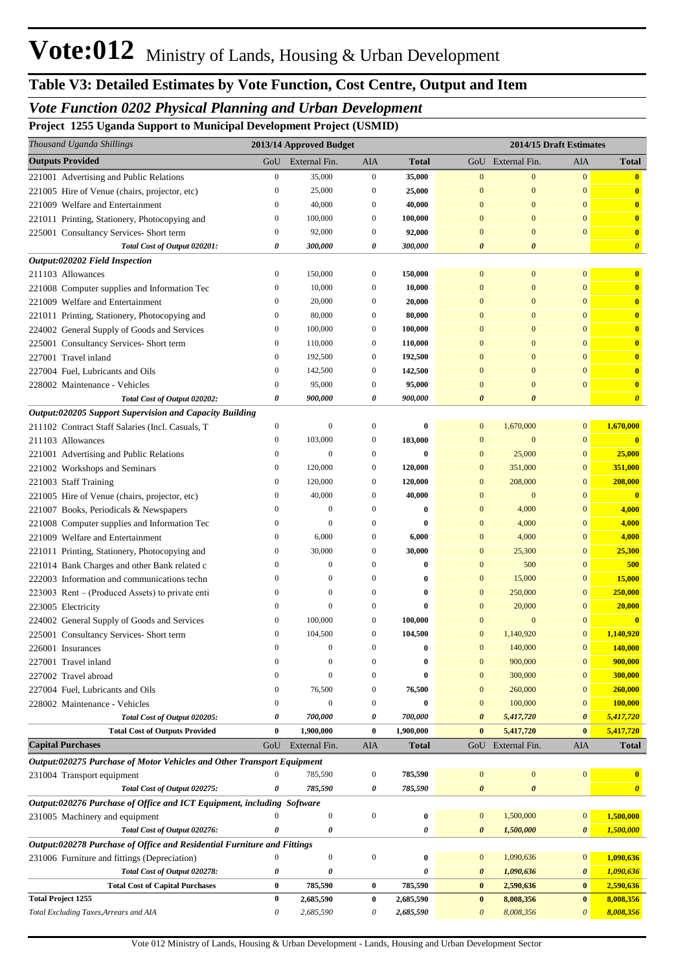## *Vote Function 0202 Physical Planning and Urban Development*

**Project 1255 Uganda Support to Municipal Development Project (USMID)**

| Thousand Uganda Shillings                                               |                          | 2013/14 Approved Budget      |                                      |                      |                              |                       | 2014/15 Draft Estimates      |                         |
|-------------------------------------------------------------------------|--------------------------|------------------------------|--------------------------------------|----------------------|------------------------------|-----------------------|------------------------------|-------------------------|
| <b>Outputs Provided</b>                                                 | GoU                      | External Fin.                | AIA                                  | <b>Total</b>         |                              | GoU External Fin.     | AIA                          | <b>Total</b>            |
| 221001 Advertising and Public Relations                                 | $\boldsymbol{0}$         | 35,000                       | $\boldsymbol{0}$                     | 35,000               | $\mathbf{0}$                 | $\mathbf{0}$          | $\mathbf{0}$                 | $\mathbf{0}$            |
| 221005 Hire of Venue (chairs, projector, etc)                           | 0                        | 25,000                       | 0                                    | 25,000               | $\mathbf{0}$                 | $\mathbf{0}$          | $\Omega$                     | $\mathbf{0}$            |
| 221009 Welfare and Entertainment                                        | $\mathbf{0}$             | 40,000                       | 0                                    | 40,000               | $\mathbf{0}$                 | $\mathbf{0}$          | $\overline{0}$               | $\mathbf{0}$            |
| 221011 Printing, Stationery, Photocopying and                           | 0                        | 100,000                      | $\boldsymbol{0}$                     | 100,000              | $\mathbf{0}$                 | $\mathbf{0}$          | $\overline{0}$               | $\mathbf{0}$            |
| 225001 Consultancy Services- Short term                                 | $\mathbf{0}$             | 92,000                       | $\boldsymbol{0}$                     | 92,000               | $\mathbf{0}$                 | $\mathbf{0}$          | $\mathbf{0}$                 | $\mathbf{0}$            |
| Total Cost of Output 020201:                                            | 0                        | 300,000                      | 0                                    | 300,000              | $\boldsymbol{\theta}$        | $\boldsymbol{\theta}$ |                              | $\boldsymbol{\theta}$   |
| Output:020202 Field Inspection                                          |                          |                              |                                      |                      |                              |                       |                              |                         |
| 211103 Allowances                                                       | $\boldsymbol{0}$         | 150,000                      | $\mathbf{0}$                         | 150,000              | $\mathbf{0}$                 | $\mathbf{0}$          | $\overline{0}$               | $\mathbf{0}$            |
| 221008 Computer supplies and Information Tec                            | 0                        | 10,000                       | $\boldsymbol{0}$                     | 10,000               | $\mathbf{0}$                 | $\mathbf{0}$          | $\overline{0}$               | $\mathbf{0}$            |
| 221009 Welfare and Entertainment                                        | $\mathbf{0}$             | 20,000                       | $\boldsymbol{0}$                     | 20,000               | $\mathbf{0}$                 | $\mathbf{0}$          | $\overline{0}$               | $\mathbf{0}$            |
| 221011 Printing, Stationery, Photocopying and                           | 0                        | 80,000                       | 0                                    | 80,000               | $\mathbf{0}$                 | $\mathbf{0}$          | $\overline{0}$               | $\mathbf{0}$            |
| 224002 General Supply of Goods and Services                             | 0                        | 100,000                      | 0                                    | 100,000              | $\mathbf{0}$                 | $\mathbf{0}$          | $\overline{0}$               | $\mathbf{0}$            |
| 225001 Consultancy Services- Short term                                 | 0                        | 110,000                      | $\boldsymbol{0}$                     | 110,000              | $\mathbf{0}$                 | $\mathbf{0}$          | $\overline{0}$               | $\mathbf{0}$            |
| 227001 Travel inland                                                    | 0                        | 192,500                      | 0                                    | 192,500              | $\mathbf{0}$                 | $\mathbf{0}$          | $\overline{0}$               | $\mathbf{0}$            |
| 227004 Fuel, Lubricants and Oils                                        | $\boldsymbol{0}$         | 142,500                      | 0                                    | 142,500              | $\mathbf{0}$                 | $\mathbf{0}$          | $\overline{0}$               | $\mathbf{0}$            |
| 228002 Maintenance - Vehicles                                           | $\boldsymbol{0}$         | 95,000                       | $\boldsymbol{0}$                     | 95,000               | $\mathbf{0}$                 | $\mathbf{0}$          | $\overline{0}$               | $\bullet$               |
| Total Cost of Output 020202:                                            | 0                        | 900,000                      | 0                                    | 900,000              | $\boldsymbol{\theta}$        | $\boldsymbol{\theta}$ |                              | $\boldsymbol{\theta}$   |
| Output:020205 Support Supervision and Capacity Building                 |                          |                              |                                      |                      |                              |                       |                              |                         |
| 211102 Contract Staff Salaries (Incl. Casuals, T                        | $\boldsymbol{0}$         | $\mathbf{0}$                 | $\boldsymbol{0}$                     | $\bf{0}$             | $\mathbf{0}$                 | 1,670,000             | $\mathbf{0}$                 | 1,670,000               |
| 211103 Allowances                                                       | $\boldsymbol{0}$         | 103,000                      | $\boldsymbol{0}$                     | 103,000              | $\mathbf{0}$                 | $\mathbf{0}$          | $\mathbf{0}$                 | $\mathbf{0}$            |
| 221001 Advertising and Public Relations                                 | 0                        | $\boldsymbol{0}$             | $\boldsymbol{0}$                     | $\bf{0}$             | $\mathbf{0}$                 | 25,000                | $\mathbf{0}$                 | 25,000                  |
| 221002 Workshops and Seminars                                           | 0                        | 120,000                      | 0                                    | 120,000              | $\mathbf{0}$                 | 351,000               | $\mathbf{0}$                 | 351,000                 |
| 221003 Staff Training                                                   | 0                        | 120,000                      | $\boldsymbol{0}$                     | 120,000              | $\mathbf{0}$                 | 208,000               | $\mathbf{0}$                 | 208,000                 |
| 221005 Hire of Venue (chairs, projector, etc)                           | 0                        | 40,000                       | $\boldsymbol{0}$                     | 40,000               | $\mathbf{0}$                 | $\mathbf{0}$          | $\overline{0}$               | $\overline{\mathbf{0}}$ |
| 221007 Books, Periodicals & Newspapers                                  | $\mathbf{0}$             | $\mathbf{0}$                 | $\boldsymbol{0}$                     | $\bf{0}$             | $\mathbf{0}$                 | 4,000                 | $\mathbf{0}$                 | 4,000                   |
| 221008 Computer supplies and Information Tec                            | 0                        | $\theta$                     | $\boldsymbol{0}$                     | $\bf{0}$             | $\mathbf{0}$                 | 4,000                 | $\bf{0}$                     | 4,000                   |
| 221009 Welfare and Entertainment                                        | 0                        | 6,000                        | $\boldsymbol{0}$                     | 6,000                | $\mathbf{0}$                 | 4,000                 | $\mathbf{0}$                 | 4,000                   |
| 221011 Printing, Stationery, Photocopying and                           | 0                        | 30,000                       | $\boldsymbol{0}$                     | 30,000               | $\mathbf{0}$                 | 25,300                | $\mathbf{0}$                 | 25,300                  |
| 221014 Bank Charges and other Bank related c                            | 0                        | $\mathbf{0}$                 | $\boldsymbol{0}$                     | $\bf{0}$             | $\mathbf{0}$                 | 500                   | $\bf{0}$                     | 500                     |
| 222003 Information and communications techn                             | $\mathbf{0}$             | $\mathbf{0}$                 | $\boldsymbol{0}$                     | $\bf{0}$             | $\mathbf{0}$                 | 15,000                | $\mathbf{0}$                 | 15,000                  |
| 223003 Rent – (Produced Assets) to private enti                         | 0                        | $\mathbf{0}$<br>$\mathbf{0}$ | $\boldsymbol{0}$                     | $\bf{0}$             | $\mathbf{0}$                 | 250,000               | $\mathbf{0}$                 | 250,000                 |
| 223005 Electricity                                                      | $\mathbf{0}$             |                              | $\boldsymbol{0}$                     | $\bf{0}$             | $\mathbf{0}$                 | 20,000                | $\mathbf{0}$                 | 20,000                  |
| 224002 General Supply of Goods and Services                             | $\mathbf{0}$             | 100,000                      | $\boldsymbol{0}$                     | 100,000              | $\overline{0}$               | $\mathbf{0}$          | $\overline{0}$               | $\mathbf{0}$            |
| 225001 Consultancy Services- Short term                                 | $\mathbf{0}$<br>$\Omega$ | 104,500                      | $\boldsymbol{0}$<br>$\Omega$         | 104,500              | $\mathbf{0}$                 | 1,140,920             | $\mathbf{0}$                 | 1,140,920               |
| 226001 Insurances                                                       | $\mathbf{0}$             | $\mathbf{0}$                 |                                      |                      |                              | 140,000               | $\boldsymbol{0}$             | 140,000                 |
| 227001 Travel inland                                                    | $\Omega$                 | $\mathbf{0}$<br>$\mathbf{0}$ | $\boldsymbol{0}$<br>$\boldsymbol{0}$ | $\bf{0}$<br>$\bf{0}$ | $\mathbf{0}$<br>$\mathbf{0}$ | 900,000<br>300,000    | $\mathbf{0}$<br>$\mathbf{0}$ | 900,000<br>300,000      |
| 227002 Travel abroad<br>227004 Fuel, Lubricants and Oils                | $\mathbf{0}$             | 76,500                       | $\boldsymbol{0}$                     | 76,500               | $\mathbf{0}$                 | 260,000               | $\mathbf{0}$                 | 260,000                 |
| 228002 Maintenance - Vehicles                                           | $\mathbf{0}$             | $\mathbf{0}$                 | $\boldsymbol{0}$                     | $\bf{0}$             | $\mathbf{0}$                 | 100,000               | $\mathbf{0}$                 | 100,000                 |
| Total Cost of Output 020205:                                            | 0                        | 700,000                      | 0                                    | 700,000              | $\boldsymbol{\theta}$        | 5,417,720             | 0                            | 5,417,720               |
| <b>Total Cost of Outputs Provided</b>                                   | $\bf{0}$                 | 1,900,000                    | $\bf{0}$                             | 1,900,000            | $\bf{0}$                     | 5,417,720             | $\bf{0}$                     | 5,417,720               |
| <b>Capital Purchases</b>                                                | GoU                      | External Fin.                | AIA                                  | <b>Total</b>         |                              | GoU External Fin.     | AIA                          | <b>Total</b>            |
| Output:020275 Purchase of Motor Vehicles and Other Transport Equipment  |                          |                              |                                      |                      |                              |                       |                              |                         |
| 231004 Transport equipment                                              | $\boldsymbol{0}$         | 785,590                      | $\boldsymbol{0}$                     | 785,590              | $\mathbf{0}$                 | $\bf{0}$              | $\boldsymbol{0}$             | $\mathbf{0}$            |
| Total Cost of Output 020275:                                            | 0                        | 785,590                      | 0                                    | 785,590              | $\pmb{\theta}$               | $\pmb{\theta}$        |                              | $\boldsymbol{\theta}$   |
| Output:020276 Purchase of Office and ICT Equipment, including Software  |                          |                              |                                      |                      |                              |                       |                              |                         |
| 231005 Machinery and equipment                                          | $\Omega$                 | $\boldsymbol{0}$             | $\boldsymbol{0}$                     | $\bf{0}$             | $\mathbf{0}$                 | 1,500,000             | $\mathbf{0}$                 | 1,500,000               |
| Total Cost of Output 020276:                                            | 0                        | $\pmb{\theta}$               |                                      | 0                    | 0                            | 1,500,000             | 0                            | 1,500,000               |
| Output:020278 Purchase of Office and Residential Furniture and Fittings |                          |                              |                                      |                      |                              |                       |                              |                         |
| 231006 Furniture and fittings (Depreciation)                            | $\boldsymbol{0}$         | $\boldsymbol{0}$             | $\boldsymbol{0}$                     | $\bf{0}$             | $\mathbf{0}$                 | 1,090,636             | $\mathbf{0}$                 | 1,090,636               |
| Total Cost of Output 020278:                                            | 0                        | 0                            |                                      | 0                    | 0                            | 1,090,636             | $\boldsymbol{\theta}$        | 1,090,636               |
| <b>Total Cost of Capital Purchases</b>                                  | $\bf{0}$                 | 785,590                      | $\bf{0}$                             | 785,590              | $\bf{0}$                     | 2,590,636             | $\bf{0}$                     | 2,590,636               |
| <b>Total Project 1255</b>                                               | $\bf{0}$                 | 2,685,590                    | $\bf{0}$                             | 2,685,590            | $\bf{0}$                     | 8,008,356             | $\bf{0}$                     | 8,008,356               |
| Total Excluding Taxes, Arrears and AIA                                  | 0                        | 2,685,590                    | 0                                    | 2,685,590            | $\boldsymbol{\theta}$        | 8,008,356             | 0                            | 8,008,356               |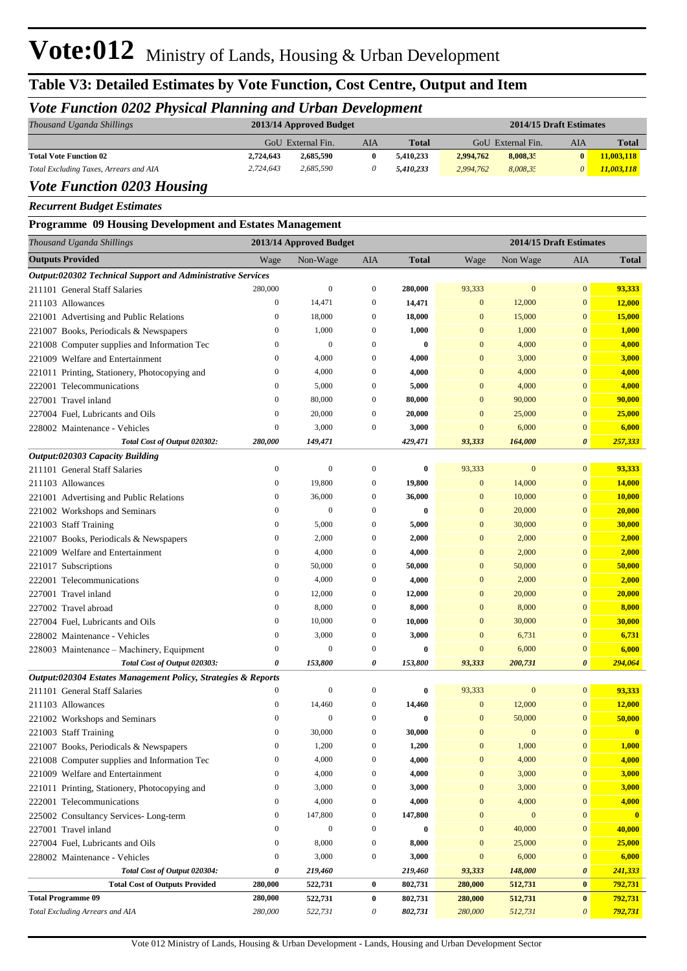## **Table V3: Detailed Estimates by Vote Function, Cost Centre, Output and Item**

### *Vote Function 0202 Physical Planning and Urban Development*

| Thousand Uganda Shillings               | 2013/14 Approved Budget |                   |     |              |                   | 2014/15 Draft Estimates |     |            |  |
|-----------------------------------------|-------------------------|-------------------|-----|--------------|-------------------|-------------------------|-----|------------|--|
|                                         |                         | GoU External Fin. | AIA | <b>Total</b> | GoU External Fin. |                         | AIA | Total      |  |
| <b>Total Vote Function 02</b>           | 2.724.643               | 2.685.590         |     | 5.410.233    | 2,994,762         | 8,008,35                | 0   | 11,003,118 |  |
| Total Excluding Taxes, Arrears and AIA  | 2.724.643               | 2.685,590         |     | 5.410.233    | 2.994.762         | 8.008.35                | 0   | 11,003,118 |  |
| $0.202$ it<br>$\mathbf{r}$ $\mathbf{r}$ |                         |                   |     |              |                   |                         |     |            |  |

#### *Vote Function 0203 Housing*

*Recurrent Budget Estimates*

**Programme 09 Housing Development and Estates Management**

| Thousand Uganda Shillings                                     |                  | 2013/14 Approved Budget |                  |              |                  | 2014/15 Draft Estimates |                       |               |
|---------------------------------------------------------------|------------------|-------------------------|------------------|--------------|------------------|-------------------------|-----------------------|---------------|
| <b>Outputs Provided</b>                                       | Wage             | Non-Wage                | AIA              | <b>Total</b> | Wage             | Non Wage                | AIA                   | <b>Total</b>  |
| Output:020302 Technical Support and Administrative Services   |                  |                         |                  |              |                  |                         |                       |               |
| 211101 General Staff Salaries                                 | 280,000          | $\mathbf{0}$            | $\boldsymbol{0}$ | 280,000      | 93,333           | $\bf{0}$                | $\mathbf{0}$          | 93,333        |
| 211103 Allowances                                             | $\boldsymbol{0}$ | 14,471                  | $\mathbf{0}$     | 14,471       | $\mathbf{0}$     | 12,000                  | $\mathbf{0}$          | 12,000        |
| 221001 Advertising and Public Relations                       | $\boldsymbol{0}$ | 18,000                  | $\overline{0}$   | 18,000       | $\mathbf{0}$     | 15,000                  | $\mathbf{0}$          | 15,000        |
| 221007 Books, Periodicals & Newspapers                        | $\boldsymbol{0}$ | 1,000                   | $\theta$         | 1,000        | $\mathbf{0}$     | 1,000                   | $\mathbf{0}$          | 1,000         |
| 221008 Computer supplies and Information Tec                  | $\boldsymbol{0}$ | $\mathbf{0}$            | $\theta$         | $\bf{0}$     | $\mathbf{0}$     | 4,000                   | $\mathbf{0}$          | 4,000         |
| 221009 Welfare and Entertainment                              | $\boldsymbol{0}$ | 4,000                   | $\overline{0}$   | 4,000        | $\mathbf{0}$     | 3,000                   | $\mathbf{0}$          | 3,000         |
| 221011 Printing, Stationery, Photocopying and                 | $\boldsymbol{0}$ | 4,000                   | $\overline{0}$   | 4,000        | $\mathbf{0}$     | 4,000                   | $\mathbf{0}$          | 4,000         |
| 222001 Telecommunications                                     | $\boldsymbol{0}$ | 5,000                   | $\theta$         | 5,000        | $\mathbf{0}$     | 4,000                   | $\mathbf{0}$          | 4,000         |
| 227001 Travel inland                                          | $\boldsymbol{0}$ | 80,000                  | $\theta$         | 80,000       | $\mathbf{0}$     | 90,000                  | $\mathbf{0}$          | 90,000        |
| 227004 Fuel, Lubricants and Oils                              | $\mathbf{0}$     | 20,000                  | $\theta$         | 20,000       | $\mathbf{0}$     | 25,000                  | $\mathbf{0}$          | 25,000        |
| 228002 Maintenance - Vehicles                                 | $\boldsymbol{0}$ | 3,000                   | $\mathbf{0}$     | 3,000        | $\overline{0}$   | 6,000                   | $\mathbf{0}$          | 6,000         |
| Total Cost of Output 020302:                                  | 280,000          | 149,471                 |                  | 429,471      | 93,333           | 164,000                 | 0                     | 257,333       |
| Output:020303 Capacity Building                               |                  |                         |                  |              |                  |                         |                       |               |
| 211101 General Staff Salaries                                 | $\boldsymbol{0}$ | $\mathbf{0}$            | $\overline{0}$   | $\bf{0}$     | 93,333           | $\boldsymbol{0}$        | $\overline{0}$        | 93,333        |
| 211103 Allowances                                             | $\boldsymbol{0}$ | 19,800                  | $\mathbf{0}$     | 19,800       | $\mathbf{0}$     | 14,000                  | $\mathbf{0}$          | 14,000        |
| 221001 Advertising and Public Relations                       | $\boldsymbol{0}$ | 36,000                  | $\theta$         | 36,000       | $\mathbf{0}$     | 10,000                  | $\mathbf{0}$          | <b>10,000</b> |
| 221002 Workshops and Seminars                                 | $\boldsymbol{0}$ | $\mathbf{0}$            | $\theta$         | $\bf{0}$     | $\mathbf{0}$     | 20,000                  | $\mathbf{0}$          | 20,000        |
| 221003 Staff Training                                         | $\boldsymbol{0}$ | 5,000                   | $\theta$         | 5,000        | $\mathbf{0}$     | 30,000                  | $\mathbf{0}$          | 30,000        |
| 221007 Books, Periodicals & Newspapers                        | $\boldsymbol{0}$ | 2,000                   | $\theta$         | 2,000        | $\mathbf{0}$     | 2,000                   | $\mathbf{0}$          | 2,000         |
| 221009 Welfare and Entertainment                              | $\boldsymbol{0}$ | 4,000                   | $\theta$         | 4,000        | $\mathbf{0}$     | 2,000                   | $\mathbf{0}$          | 2,000         |
| 221017 Subscriptions                                          | $\boldsymbol{0}$ | 50,000                  | $\theta$         | 50,000       | $\mathbf{0}$     | 50,000                  | $\mathbf{0}$          | 50,000        |
| 222001 Telecommunications                                     | $\boldsymbol{0}$ | 4,000                   | $\theta$         | 4,000        | $\mathbf{0}$     | 2,000                   | $\mathbf{0}$          | 2,000         |
| 227001 Travel inland                                          | $\boldsymbol{0}$ | 12,000                  | $\boldsymbol{0}$ | 12,000       | $\mathbf{0}$     | 20,000                  | $\mathbf{0}$          | 20,000        |
| 227002 Travel abroad                                          | $\boldsymbol{0}$ | 8,000                   | $\theta$         | 8,000        | $\mathbf{0}$     | 8,000                   | $\mathbf{0}$          | 8,000         |
| 227004 Fuel, Lubricants and Oils                              | $\boldsymbol{0}$ | 10,000                  | $\theta$         | 10,000       | $\mathbf{0}$     | 30,000                  | $\mathbf{0}$          | 30,000        |
| 228002 Maintenance - Vehicles                                 | $\boldsymbol{0}$ | 3,000                   | $\boldsymbol{0}$ | 3,000        | $\mathbf{0}$     | 6,731                   | $\mathbf{0}$          | 6,731         |
| 228003 Maintenance - Machinery, Equipment                     | $\boldsymbol{0}$ | $\mathbf 0$             | $\overline{0}$   | $\bf{0}$     | $\mathbf{0}$     | 6,000                   | $\mathbf{0}$          | 6,000         |
| Total Cost of Output 020303:                                  | 0                | 153,800                 | 0                | 153,800      | 93,333           | 200,731                 | $\boldsymbol{\theta}$ | 294,064       |
| Output:020304 Estates Management Policy, Strategies & Reports |                  |                         |                  |              |                  |                         |                       |               |
| 211101 General Staff Salaries                                 | $\boldsymbol{0}$ | $\mathbf{0}$            | $\boldsymbol{0}$ | $\bf{0}$     | 93,333           | $\boldsymbol{0}$        | $\mathbf{0}$          | 93,333        |
| 211103 Allowances                                             | $\boldsymbol{0}$ | 14,460                  | $\boldsymbol{0}$ | 14,460       | $\mathbf{0}$     | 12,000                  | $\boldsymbol{0}$      | 12,000        |
| 221002 Workshops and Seminars                                 | $\boldsymbol{0}$ | $\mathbf{0}$            | $\boldsymbol{0}$ | $\bf{0}$     | $\mathbf{0}$     | 50,000                  | $\mathbf{0}$          | 50,000        |
| 221003 Staff Training                                         | $\boldsymbol{0}$ | 30,000                  | $\boldsymbol{0}$ | 30,000       | $\mathbf{0}$     | $\boldsymbol{0}$        | $\mathbf{0}$          | $\bf{0}$      |
| 221007 Books, Periodicals & Newspapers                        | $\mathbf{0}$     | 1,200                   | $\Omega$         | 1,200        | $\mathbf{0}$     | 1,000                   | $\mathbf{0}$          | 1,000         |
| 221008 Computer supplies and Information Tec                  | $\boldsymbol{0}$ | 4,000                   | $\boldsymbol{0}$ | 4,000        | $\bf{0}$         | 4,000                   | $\bf{0}$              | 4,000         |
| 221009 Welfare and Entertainment                              | $\boldsymbol{0}$ | 4,000                   | 0                | 4,000        | $\boldsymbol{0}$ | 3,000                   | $\mathbf{0}$          | 3,000         |
| 221011 Printing, Stationery, Photocopying and                 | $\boldsymbol{0}$ | 3,000                   | $\boldsymbol{0}$ | 3,000        | $\boldsymbol{0}$ | 3,000                   | $\mathbf{0}$          | 3,000         |
| 222001 Telecommunications                                     | $\boldsymbol{0}$ | 4,000                   | $\boldsymbol{0}$ | 4,000        | $\boldsymbol{0}$ | 4,000                   | $\mathbf{0}$          | 4,000         |
| 225002 Consultancy Services-Long-term                         | $\boldsymbol{0}$ | 147,800                 | $\boldsymbol{0}$ | 147,800      | $\mathbf{0}$     | $\bf{0}$                | $\bf{0}$              | $\mathbf{0}$  |
| 227001 Travel inland                                          | $\boldsymbol{0}$ | $\mathbf{0}$            | $\boldsymbol{0}$ | $\bf{0}$     | $\boldsymbol{0}$ | 40,000                  | $\mathbf{0}$          | 40,000        |
| 227004 Fuel, Lubricants and Oils                              | $\boldsymbol{0}$ | 8,000                   | $\boldsymbol{0}$ | 8,000        | $\boldsymbol{0}$ | 25,000                  | $\mathbf{0}$          | 25,000        |
| 228002 Maintenance - Vehicles                                 | $\boldsymbol{0}$ | 3,000                   | $\boldsymbol{0}$ | 3,000        | $\boldsymbol{0}$ | 6,000                   | $\mathbf{0}$          | 6,000         |
| Total Cost of Output 020304:                                  | 0                | 219,460                 |                  | 219,460      | 93,333           | 148,000                 | 0                     | 241,333       |
| <b>Total Cost of Outputs Provided</b>                         | 280,000          | 522,731                 | 0                | 802,731      | 280,000          | 512,731                 | $\bf{0}$              | 792,731       |
| <b>Total Programme 09</b>                                     | 280,000          | 522,731                 | 0                | 802,731      | 280,000          | 512,731                 | $\bf{0}$              | 792,731       |
| Total Excluding Arrears and AIA                               | 280,000          | 522,731                 | 0                | 802,731      | 280,000          | 512,731                 | $\boldsymbol{\theta}$ | 792,731       |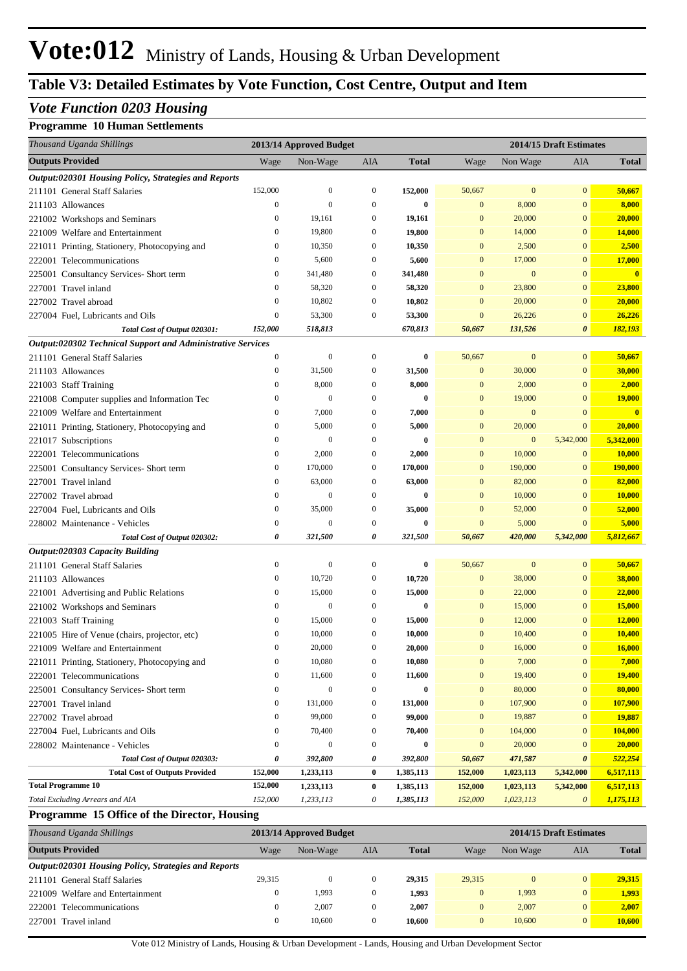## **Table V3: Detailed Estimates by Vote Function, Cost Centre, Output and Item**

## *Vote Function 0203 Housing*

#### **Programme 10 Human Settlements**

| Thousand Uganda Shillings                                   |                  | 2013/14 Approved Budget |                  |              | 2014/15 Draft Estimates |              |                       |                 |
|-------------------------------------------------------------|------------------|-------------------------|------------------|--------------|-------------------------|--------------|-----------------------|-----------------|
| <b>Outputs Provided</b>                                     | Wage             | Non-Wage                | AIA              | <b>Total</b> | Wage                    | Non Wage     | AIA                   | <b>Total</b>    |
| Output:020301 Housing Policy, Strategies and Reports        |                  |                         |                  |              |                         |              |                       |                 |
| 211101 General Staff Salaries                               | 152,000          | $\boldsymbol{0}$        | $\mathbf{0}$     | 152,000      | 50,667                  | $\mathbf{0}$ | $\bf{0}$              | 50,667          |
| 211103 Allowances                                           | $\boldsymbol{0}$ | $\boldsymbol{0}$        | $\mathbf{0}$     | 0            | $\mathbf{0}$            | 8,000        | $\mathbf{0}$          | 8,000           |
| 221002 Workshops and Seminars                               | $\mathbf{0}$     | 19,161                  | $\mathbf{0}$     | 19,161       | $\mathbf{0}$            | 20,000       | $\mathbf{0}$          | 20,000          |
| 221009 Welfare and Entertainment                            | $\mathbf{0}$     | 19,800                  | $\mathbf{0}$     | 19,800       | $\mathbf{0}$            | 14,000       | $\mathbf{0}$          | 14,000          |
| 221011 Printing, Stationery, Photocopying and               | $\boldsymbol{0}$ | 10,350                  | $\mathbf{0}$     | 10,350       | $\mathbf{0}$            | 2,500        | $\mathbf{0}$          | 2,500           |
| 222001 Telecommunications                                   | $\mathbf{0}$     | 5,600                   | $\mathbf{0}$     | 5,600        | $\mathbf{0}$            | 17,000       | $\mathbf{0}$          | 17,000          |
| 225001 Consultancy Services- Short term                     | $\boldsymbol{0}$ | 341,480                 | $\mathbf{0}$     | 341,480      | $\mathbf{0}$            | $\mathbf{0}$ | $\mathbf{0}$          | $\bf{0}$        |
| 227001 Travel inland                                        | $\mathbf{0}$     | 58,320                  | $\mathbf{0}$     | 58,320       | $\mathbf{0}$            | 23,800       | $\mathbf{0}$          | 23,800          |
| 227002 Travel abroad                                        | $\boldsymbol{0}$ | 10,802                  | $\mathbf{0}$     | 10,802       | $\mathbf{0}$            | 20,000       | $\mathbf{0}$          | 20,000          |
| 227004 Fuel, Lubricants and Oils                            | $\boldsymbol{0}$ | 53,300                  | $\mathbf{0}$     | 53,300       | $\mathbf{0}$            | 26,226       | $\mathbf{0}$          | 26,226          |
| Total Cost of Output 020301:                                | 152,000          | 518,813                 |                  | 670,813      | 50,667                  | 131,526      | $\boldsymbol{\theta}$ | <u>182,193 </u> |
| Output:020302 Technical Support and Administrative Services |                  |                         |                  |              |                         |              |                       |                 |
| 211101 General Staff Salaries                               | $\mathbf{0}$     | $\boldsymbol{0}$        | $\mathbf{0}$     | 0            | 50,667                  | $\mathbf{0}$ | $\mathbf{0}$          | 50,667          |
| 211103 Allowances                                           | 0                | 31,500                  | $\mathbf{0}$     | 31,500       | $\mathbf{0}$            | 30,000       | $\mathbf{0}$          | 30,000          |
| 221003 Staff Training                                       | $\boldsymbol{0}$ | 8,000                   | $\mathbf{0}$     | 8,000        | $\mathbf{0}$            | 2,000        | $\mathbf{0}$          | 2,000           |
| 221008 Computer supplies and Information Tec                | $\boldsymbol{0}$ | $\boldsymbol{0}$        | $\mathbf{0}$     | 0            | $\mathbf{0}$            | 19,000       | $\mathbf{0}$          | <b>19,000</b>   |
| 221009 Welfare and Entertainment                            | 0                | 7,000                   | $\mathbf{0}$     | 7,000        | $\mathbf{0}$            | $\mathbf{0}$ | $\mathbf{0}$          | $\bf{0}$        |
| 221011 Printing, Stationery, Photocopying and               | $\boldsymbol{0}$ | 5,000                   | $\mathbf{0}$     | 5,000        | $\mathbf{0}$            | 20,000       | $\mathbf{0}$          | 20,000          |
| 221017 Subscriptions                                        | 0                | $\boldsymbol{0}$        | $\mathbf{0}$     | 0            | $\mathbf{0}$            | $\mathbf{0}$ | 5,342,000             | 5,342,000       |
| 222001 Telecommunications                                   | 0                | 2,000                   | $\mathbf{0}$     | 2,000        | $\mathbf{0}$            | 10,000       | $\mathbf{0}$          | 10,000          |
| 225001 Consultancy Services- Short term                     | $\boldsymbol{0}$ | 170,000                 | $\mathbf{0}$     | 170,000      | $\mathbf{0}$            | 190,000      | $\mathbf{0}$          | 190,000         |
| 227001 Travel inland                                        | 0                | 63,000                  | $\mathbf{0}$     | 63,000       | $\mathbf{0}$            | 82,000       | $\mathbf{0}$          | 82,000          |
| 227002 Travel abroad                                        | $\mathbf{0}$     | $\boldsymbol{0}$        | $\mathbf{0}$     | 0            | $\mathbf{0}$            | 10,000       | $\mathbf{0}$          | 10,000          |
| 227004 Fuel, Lubricants and Oils                            | $\mathbf{0}$     | 35,000                  | $\mathbf{0}$     | 35,000       | $\mathbf{0}$            | 52,000       | $\mathbf{0}$          | 52,000          |
| 228002 Maintenance - Vehicles                               | $\boldsymbol{0}$ | $\boldsymbol{0}$        | $\mathbf{0}$     | 0            | $\mathbf{0}$            | 5,000        | $\mathbf{0}$          | 5,000           |
| Total Cost of Output 020302:                                | 0                | 321,500                 | 0                | 321,500      | 50,667                  | 420,000      | 5,342,000             | 5,812,667       |
| Output:020303 Capacity Building                             |                  |                         |                  |              |                         |              |                       |                 |
| 211101 General Staff Salaries                               | $\boldsymbol{0}$ | $\boldsymbol{0}$        | $\mathbf{0}$     | 0            | 50,667                  | $\mathbf{0}$ | $\mathbf{0}$          | 50,667          |
| 211103 Allowances                                           | 0                | 10,720                  | $\mathbf{0}$     | 10,720       | $\mathbf{0}$            | 38,000       | $\mathbf{0}$          | 38,000          |
| 221001 Advertising and Public Relations                     | $\boldsymbol{0}$ | 15,000                  | $\mathbf{0}$     | 15,000       | $\mathbf{0}$            | 22,000       | $\mathbf{0}$          | 22,000          |
| 221002 Workshops and Seminars                               | $\mathbf{0}$     | $\boldsymbol{0}$        | $\mathbf{0}$     | 0            | $\mathbf{0}$            | 15,000       | $\mathbf{0}$          | 15,000          |
| 221003 Staff Training                                       | $\mathbf{0}$     | 15,000                  | $\mathbf{0}$     | 15,000       | $\mathbf{0}$            | 12,000       | $\mathbf{0}$          | 12,000          |
| 221005 Hire of Venue (chairs, projector, etc)               | $\mathbf{0}$     | 10,000                  | $\mathbf{0}$     | 10,000       | $\mathbf{0}$            | 10,400       | $\mathbf{0}$          | 10,400          |
| 221009 Welfare and Entertainment                            | $\mathbf{0}$     | 20,000                  | 0                | 20,000       | $\mathbf{0}$            | 16,000       | $\overline{0}$        | <b>16,000</b>   |
| 221011 Printing, Stationery, Photocopying and               | $\mathbf{0}$     | 10,080                  | $\boldsymbol{0}$ | 10,080       | $\mathbf{0}$            | 7,000        | $\bf{0}$              | 7,000           |
| 222001 Telecommunications                                   | $\boldsymbol{0}$ | 11,600                  | $\mathbf{0}$     | 11,600       | $\mathbf{0}$            | 19,400       | $\mathbf{0}$          | 19,400          |
| 225001 Consultancy Services- Short term                     | $\boldsymbol{0}$ | $\boldsymbol{0}$        | $\mathbf{0}$     | 0            | $\mathbf{0}$            | 80,000       | $\mathbf{0}$          | 80,000          |
| 227001 Travel inland                                        | 0                | 131,000                 | $\boldsymbol{0}$ | 131,000      | $\mathbf{0}$            | 107,900      | $\mathbf{0}$          | 107,900         |
| 227002 Travel abroad                                        | $\boldsymbol{0}$ | 99,000                  | $\mathbf{0}$     | 99,000       | $\mathbf{0}$            | 19,887       | $\mathbf{0}$          | 19,887          |
| 227004 Fuel, Lubricants and Oils                            | $\boldsymbol{0}$ | 70,400                  | $\mathbf{0}$     | 70,400       | $\mathbf{0}$            | 104,000      | $\mathbf{0}$          | 104,000         |
| 228002 Maintenance - Vehicles                               | $\boldsymbol{0}$ | $\boldsymbol{0}$        | $\mathbf{0}$     | 0            | $\mathbf{0}$            | 20,000       | $\mathbf{0}$          | 20,000          |
| Total Cost of Output 020303:                                | 0                | 392,800                 | 0                | 392,800      | 50,667                  | 471,587      | 0                     | 522,254         |
| <b>Total Cost of Outputs Provided</b>                       | 152,000          | 1,233,113               | $\bf{0}$         | 1,385,113    | 152,000                 | 1,023,113    | 5,342,000             | 6,517,113       |
| <b>Total Programme 10</b>                                   | 152,000          | 1,233,113               | $\bf{0}$         | 1,385,113    | 152,000                 | 1,023,113    | 5,342,000             | 6,517,113       |
| Total Excluding Arrears and AIA                             | 152,000          | 1,233,113               | 0                | 1,385,113    | 152,000                 | 1,023,113    | $\theta$              | 1,175,113       |

#### **Programme 15 Office of the Director, Housing**

| Thousand Uganda Shillings                            |        | 2013/14 Approved Budget |              |              |                | 2014/15 Draft Estimates |                |              |  |
|------------------------------------------------------|--------|-------------------------|--------------|--------------|----------------|-------------------------|----------------|--------------|--|
| <b>Outputs Provided</b>                              | Wage   | Non-Wage                | AIA          | <b>Total</b> | Wage           | Non Wage                | AIA            | <b>Total</b> |  |
| Output:020301 Housing Policy, Strategies and Reports |        |                         |              |              |                |                         |                |              |  |
| 211101 General Staff Salaries                        | 29.315 | $\theta$                | $\bf{0}$     | 29.315       | 29.315         |                         | $\overline{0}$ | 29.315       |  |
| 221009 Welfare and Entertainment                     |        | 1,993                   | $\bf{0}$     | 1.993        | $\overline{0}$ | 1,993                   | $\overline{0}$ | 1,993        |  |
| 222001 Telecommunications                            |        | 2.007                   | $\Omega$     | 2.007        | $\Omega$       | 2.007                   | $\overline{0}$ | 2.007        |  |
| 227001 Travel inland                                 |        | 10.600                  | $\mathbf{0}$ | 10.600       | $\Omega$       | 10,600                  | $\overline{0}$ | 10.600       |  |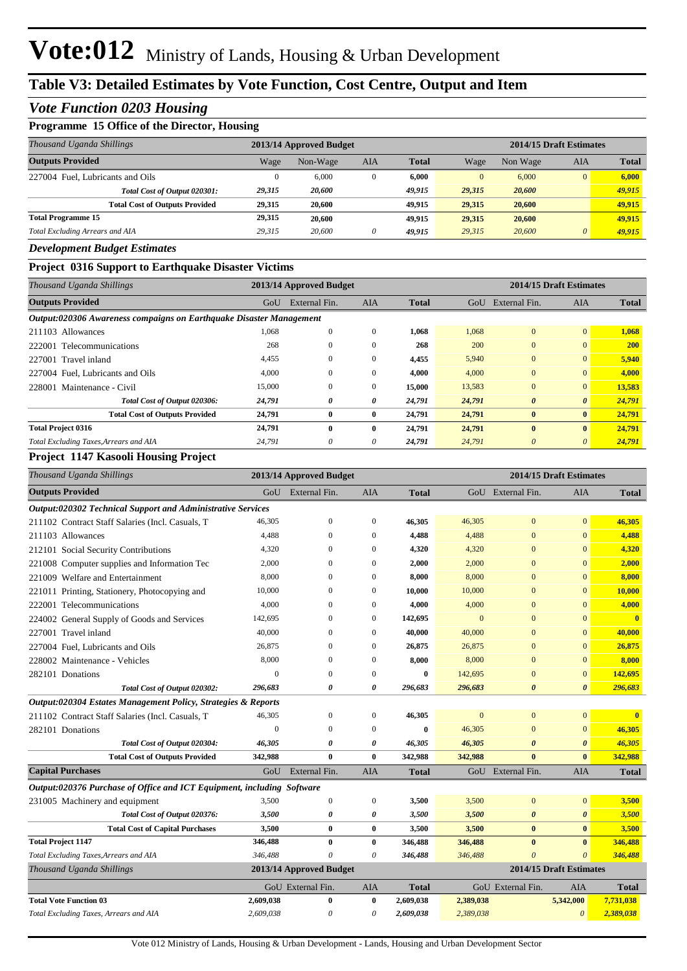#### *Vote Function 0203 Housing*

#### **Programme 15 Office of the Director, Housing**

| Thousand Uganda Shillings              |        | 2013/14 Approved Budget |          |              |          | 2014/15 Draft Estimates |                |              |
|----------------------------------------|--------|-------------------------|----------|--------------|----------|-------------------------|----------------|--------------|
| <b>Outputs Provided</b>                | Wage   | Non-Wage                | AIA      | <b>Total</b> | Wage     | Non Wage                | AIA            | <b>Total</b> |
| 227004 Fuel, Lubricants and Oils       |        | 6,000                   | $\Omega$ | 6.000        | $\Omega$ | 6,000                   | $\overline{0}$ | 6.000        |
| Total Cost of Output 020301:           | 29,315 | 20.600                  |          | 49.915       | 29.315   | 20,600                  |                | 49,915       |
| <b>Total Cost of Outputs Provided</b>  | 29.315 | 20.600                  |          | 49.915       | 29.315   | 20,600                  |                | 49,915       |
| <b>Total Programme 15</b>              | 29,315 | 20.600                  |          | 49.915       | 29.315   | 20,600                  |                | 49.915       |
| <b>Total Excluding Arrears and AIA</b> | 29.315 | 20,600                  | $\theta$ | 49.915       | 29.315   | 20,600                  | $\theta$       | 49.915       |

#### *Development Budget Estimates*

#### **Project 0316 Support to Earthquake Disaster Victims**

| Thousand Uganda Shillings                                           |        | 2013/14 Approved Budget |              |              |        |                       | 2014/15 Draft Estimates |              |
|---------------------------------------------------------------------|--------|-------------------------|--------------|--------------|--------|-----------------------|-------------------------|--------------|
| <b>Outputs Provided</b>                                             | GoU    | External Fin.           | <b>AIA</b>   | <b>Total</b> | GoU    | External Fin.         | <b>AIA</b>              | <b>Total</b> |
| Output:020306 Awareness compaigns on Earthquake Disaster Management |        |                         |              |              |        |                       |                         |              |
| 211103 Allowances                                                   | 1,068  | $\Omega$                | $\mathbf{0}$ | 1,068        | 1.068  | $\mathbf{0}$          | $\overline{0}$          | 1,068        |
| 222001 Telecommunications                                           | 268    | 0                       |              | 268          | 200    |                       | $\overline{0}$          | <b>200</b>   |
| 227001 Travel inland                                                | 4.455  | 0                       | $\mathbf{0}$ | 4,455        | 5.940  |                       | $\overline{0}$          | 5,940        |
| 227004 Fuel. Lubricants and Oils                                    | 4,000  | $\mathbf{0}$            | $\mathbf{0}$ | 4.000        | 4,000  | $\overline{0}$        | $\overline{0}$          | 4,000        |
| 228001 Maintenance - Civil                                          | 15,000 | $\mathbf{0}$            | 0            | 15,000       | 13,583 | $\overline{0}$        | $\overline{0}$          | 13,583       |
| Total Cost of Output 020306:                                        | 24,791 | 0                       | 0            | 24,791       | 24,791 | $\boldsymbol{\theta}$ | $\boldsymbol{\theta}$   | 24,791       |
| <b>Total Cost of Outputs Provided</b>                               | 24,791 | $\bf{0}$                | $\bf{0}$     | 24.791       | 24,791 | $\bf{0}$              | $\bf{0}$                | 24,791       |
| <b>Total Project 0316</b>                                           | 24,791 | $\mathbf{0}$            | $\bf{0}$     | 24,791       | 24,791 | $\mathbf{0}$          | $\bf{0}$                | 24,791       |
| Total Excluding Taxes, Arrears and AIA                              | 24,791 | 0                       | 0            | 24,791       | 24,791 | $\boldsymbol{\theta}$ | $\theta$                | 24,791       |

#### **Project 1147 Kasooli Housing Project**

| Thousand Uganda Shillings                                              |                  | 2013/14 Approved Budget |                  |              |              |                       | 2014/15 Draft Estimates |                         |
|------------------------------------------------------------------------|------------------|-------------------------|------------------|--------------|--------------|-----------------------|-------------------------|-------------------------|
| <b>Outputs Provided</b>                                                | GoU              | External Fin.           | AIA              | <b>Total</b> |              | GoU External Fin.     | AIA                     | <b>Total</b>            |
| Output:020302 Technical Support and Administrative Services            |                  |                         |                  |              |              |                       |                         |                         |
| 211102 Contract Staff Salaries (Incl. Casuals, T                       | 46,305           | $\mathbf{0}$            | $\Omega$         | 46,305       | 46,305       | $\Omega$              | $\Omega$                | 46,305                  |
| 211103 Allowances                                                      | 4.488            | $\mathbf{0}$            | $\mathbf{0}$     | 4,488        | 4.488        | $\mathbf{0}$          | $\mathbf{0}$            | 4,488                   |
| 212101 Social Security Contributions                                   | 4,320            | $\theta$                | $\mathbf{0}$     | 4,320        | 4,320        | $\mathbf{0}$          | $\mathbf{0}$            | 4,320                   |
| 221008 Computer supplies and Information Tec                           | 2,000            | $\theta$                | $\mathbf{0}$     | 2,000        | 2,000        | $\overline{0}$        | $\mathbf{0}$            | 2,000                   |
| 221009 Welfare and Entertainment                                       | 8,000            | $\mathbf{0}$            | $\mathbf{0}$     | 8,000        | 8,000        | $\mathbf{0}$          | $\mathbf{0}$            | 8,000                   |
| 221011 Printing, Stationery, Photocopying and                          | 10,000           | $\mathbf{0}$            | $\mathbf{0}$     | 10,000       | 10,000       | $\mathbf{0}$          | $\mathbf{0}$            | 10,000                  |
| 222001 Telecommunications                                              | 4,000            | $\mathbf{0}$            | $\mathbf{0}$     | 4,000        | 4,000        | $\overline{0}$        | $\mathbf{0}$            | 4,000                   |
| 224002 General Supply of Goods and Services                            | 142,695          | $\mathbf{0}$            | $\mathbf{0}$     | 142,695      | $\mathbf{0}$ | $\overline{0}$        | $\overline{0}$          | $\mathbf{0}$            |
| 227001 Travel inland                                                   | 40,000           | $\Omega$                | $\mathbf{0}$     | 40,000       | 40,000       | $\overline{0}$        | $\mathbf{0}$            | 40,000                  |
| 227004 Fuel. Lubricants and Oils                                       | 26,875           | $\theta$                | $\mathbf{0}$     | 26,875       | 26,875       | $\overline{0}$        | $\mathbf{0}$            | 26,875                  |
| 228002 Maintenance - Vehicles                                          | 8,000            | $\theta$                | $\mathbf{0}$     | 8,000        | 8,000        | $\overline{0}$        | $\mathbf{0}$            | 8,000                   |
| 282101 Donations                                                       | $\boldsymbol{0}$ | $\theta$                | $\boldsymbol{0}$ | $\bf{0}$     | 142,695      | $\overline{0}$        | $\mathbf{0}$            | 142,695                 |
| Total Cost of Output 020302:                                           | 296,683          | 0                       | 0                | 296,683      | 296,683      | $\boldsymbol{\theta}$ | $\boldsymbol{\theta}$   | 296,683                 |
| Output:020304 Estates Management Policy, Strategies & Reports          |                  |                         |                  |              |              |                       |                         |                         |
| 211102 Contract Staff Salaries (Incl. Casuals, T                       | 46,305           | $\theta$                | $\mathbf{0}$     | 46,305       | $\mathbf{0}$ | $\overline{0}$        | $\mathbf{0}$            | $\overline{\mathbf{0}}$ |
| 282101 Donations                                                       | $\mathbf{0}$     | $\Omega$                | $\Omega$         | $\bf{0}$     | 46,305       | $\overline{0}$        | $\mathbf{0}$            | 46,305                  |
| Total Cost of Output 020304:                                           | 46,305           | 0                       | 0                | 46,305       | 46,305       | $\boldsymbol{\theta}$ | $\boldsymbol{\theta}$   | 46,305                  |
| <b>Total Cost of Outputs Provided</b>                                  | 342,988          | $\bf{0}$                | $\mathbf{0}$     | 342,988      | 342,988      | $\mathbf{0}$          | $\bf{0}$                | 342,988                 |
| <b>Capital Purchases</b>                                               | GoU              | External Fin.           | <b>AIA</b>       | <b>Total</b> |              | GoU External Fin.     | AIA                     | <b>Total</b>            |
| Output:020376 Purchase of Office and ICT Equipment, including Software |                  |                         |                  |              |              |                       |                         |                         |
| 231005 Machinery and equipment                                         | 3,500            | $\boldsymbol{0}$        | $\mathbf{0}$     | 3,500        | 3,500        | $\overline{0}$        | $\mathbf{0}$            | 3,500                   |
| Total Cost of Output 020376:                                           | 3,500            | 0                       | 0                | 3,500        | 3,500        | $\boldsymbol{\theta}$ | $\boldsymbol{\theta}$   | 3,500                   |
| <b>Total Cost of Capital Purchases</b>                                 | 3,500            | $\mathbf{0}$            | $\bf{0}$         | 3,500        | 3,500        | $\mathbf{0}$          | $\bf{0}$                | 3,500                   |
| <b>Total Project 1147</b>                                              | 346,488          | $\mathbf{0}$            | $\bf{0}$         | 346,488      | 346,488      | $\bf{0}$              | $\bf{0}$                | 346,488                 |
| Total Excluding Taxes, Arrears and AIA                                 | 346,488          | $\Omega$                | 0                | 346,488      | 346,488      | $\theta$              | $\theta$                | 346,488                 |
| Thousand Uganda Shillings                                              |                  | 2013/14 Approved Budget |                  |              |              |                       | 2014/15 Draft Estimates |                         |
|                                                                        |                  | GoU External Fin.       | AIA              | <b>Total</b> |              | GoU External Fin.     | <b>AIA</b>              | <b>Total</b>            |
| <b>Total Vote Function 03</b>                                          | 2,609,038        | $\bf{0}$                | $\bf{0}$         | 2,609,038    | 2,389,038    |                       | 5,342,000               | 7,731,038               |
| Total Excluding Taxes, Arrears and AIA                                 | 2,609,038        | $\theta$                | 0                | 2,609,038    | 2,389,038    |                       | $\theta$                | 2,389,038               |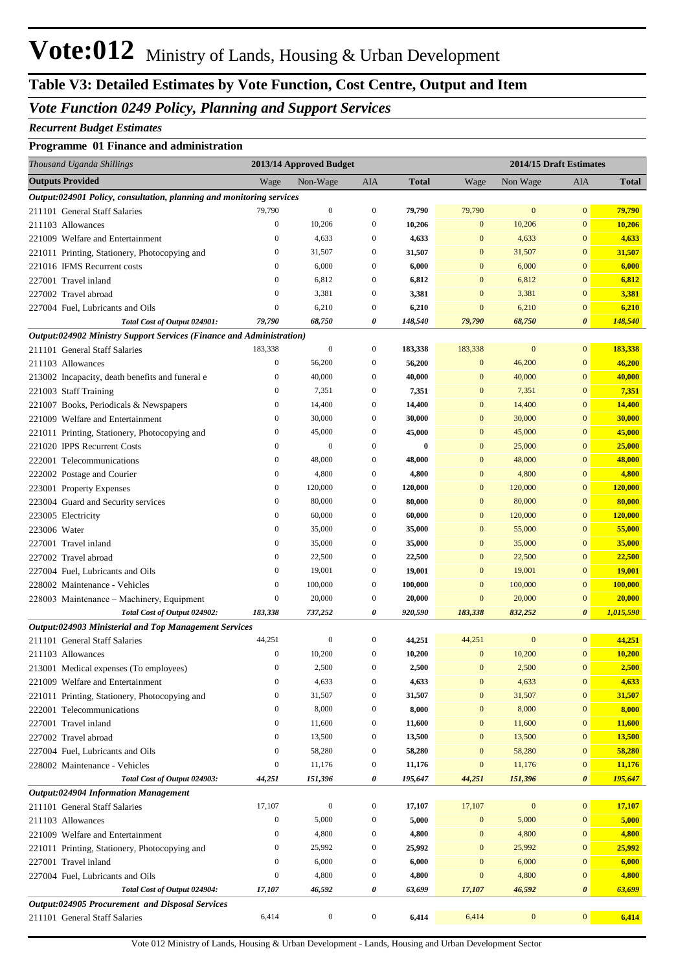### *Vote Function 0249 Policy, Planning and Support Services*

#### *Recurrent Budget Estimates*

#### **Programme 01 Finance and administration**

| Thousand Uganda Shillings                                                 |                                      | 2013/14 Approved Budget |                                      |                   |                              | 2014/15 Draft Estimates |                              |                          |
|---------------------------------------------------------------------------|--------------------------------------|-------------------------|--------------------------------------|-------------------|------------------------------|-------------------------|------------------------------|--------------------------|
| <b>Outputs Provided</b>                                                   | Wage                                 | Non-Wage                | AIA                                  | <b>Total</b>      | Wage                         | Non Wage                | AIA                          | <b>Total</b>             |
| Output:024901 Policy, consultation, planning and monitoring services      |                                      |                         |                                      |                   |                              |                         |                              |                          |
| 211101 General Staff Salaries                                             | 79,790                               | $\boldsymbol{0}$        | $\boldsymbol{0}$                     | 79,790            | 79,790                       | $\bf{0}$                | $\mathbf{0}$                 | 79,790                   |
| 211103 Allowances                                                         | $\boldsymbol{0}$                     | 10,206                  | $\boldsymbol{0}$                     | 10,206            | $\mathbf{0}$                 | 10,206                  | $\mathbf{0}$                 | 10,206                   |
| 221009 Welfare and Entertainment                                          | $\boldsymbol{0}$                     | 4,633                   | $\boldsymbol{0}$                     | 4,633             | $\mathbf{0}$                 | 4,633                   | $\mathbf{0}$                 | 4,633                    |
| 221011 Printing, Stationery, Photocopying and                             | $\boldsymbol{0}$                     | 31,507                  | $\boldsymbol{0}$                     | 31,507            | $\mathbf{0}$                 | 31,507                  | $\mathbf{0}$                 | 31,507                   |
| 221016 IFMS Recurrent costs                                               | $\boldsymbol{0}$                     | 6,000                   | $\boldsymbol{0}$                     | 6,000             | $\mathbf{0}$                 | 6,000                   | $\mathbf{0}$                 | 6,000                    |
| 227001 Travel inland                                                      | $\boldsymbol{0}$                     | 6,812                   | $\boldsymbol{0}$                     | 6,812             | $\mathbf{0}$                 | 6,812                   | $\mathbf{0}$                 | 6,812                    |
| 227002 Travel abroad                                                      | $\boldsymbol{0}$                     | 3,381                   | $\boldsymbol{0}$                     | 3,381             | $\mathbf{0}$                 | 3,381                   | $\mathbf{0}$                 | 3,381                    |
| 227004 Fuel, Lubricants and Oils                                          | $\boldsymbol{0}$                     | 6,210                   | $\boldsymbol{0}$                     | 6,210             | $\mathbf{0}$                 | 6,210                   | $\bf{0}$                     | 6,210                    |
| Total Cost of Output 024901:                                              | 79,790                               | 68,750                  | 0                                    | 148,540           | 79,790                       | 68,750                  | 0                            | 148,540                  |
| Output:024902 Ministry Support Services (Finance and Administration)      |                                      |                         |                                      |                   |                              |                         |                              |                          |
| 211101 General Staff Salaries                                             | 183,338                              | $\boldsymbol{0}$        | $\boldsymbol{0}$                     | 183,338           | 183,338                      | $\boldsymbol{0}$        | $\mathbf{0}$                 | 183,338                  |
| 211103 Allowances                                                         | $\boldsymbol{0}$                     | 56,200                  | $\boldsymbol{0}$                     | 56,200            | $\mathbf{0}$                 | 46,200                  | $\mathbf{0}$                 | 46,200                   |
| 213002 Incapacity, death benefits and funeral e                           | $\boldsymbol{0}$                     | 40,000                  | $\boldsymbol{0}$                     | 40,000            | $\mathbf{0}$                 | 40,000                  | $\mathbf{0}$                 | 40,000                   |
| 221003 Staff Training                                                     | $\boldsymbol{0}$                     | 7,351                   | $\boldsymbol{0}$                     | 7,351             | $\mathbf{0}$                 | 7,351                   | $\mathbf{0}$                 | 7,351                    |
| 221007 Books, Periodicals & Newspapers                                    | $\boldsymbol{0}$                     | 14,400                  | $\boldsymbol{0}$                     | 14,400            | $\mathbf{0}$                 | 14,400                  | $\mathbf{0}$                 | 14,400                   |
| 221009 Welfare and Entertainment                                          | $\boldsymbol{0}$                     | 30,000                  | $\boldsymbol{0}$                     | 30,000            | $\mathbf{0}$                 | 30,000                  | $\mathbf{0}$                 | 30,000                   |
| 221011 Printing, Stationery, Photocopying and                             | $\boldsymbol{0}$                     | 45,000                  | $\boldsymbol{0}$                     | 45,000            | $\mathbf{0}$                 | 45,000                  | $\mathbf{0}$                 | 45,000                   |
| 221020 IPPS Recurrent Costs                                               | $\boldsymbol{0}$                     | $\mathbf{0}$            | $\boldsymbol{0}$                     | $\bf{0}$          | $\mathbf{0}$                 | 25,000                  | $\mathbf{0}$                 | 25,000                   |
| 222001 Telecommunications                                                 | $\boldsymbol{0}$                     | 48,000                  | $\boldsymbol{0}$                     | 48,000            | $\mathbf{0}$                 | 48,000                  | $\mathbf{0}$                 | 48,000                   |
| 222002 Postage and Courier                                                | $\boldsymbol{0}$                     | 4,800                   | $\boldsymbol{0}$                     | 4,800             | $\mathbf{0}$                 | 4,800                   | $\mathbf{0}$                 | 4,800                    |
| 223001 Property Expenses                                                  | $\boldsymbol{0}$                     | 120,000                 | $\boldsymbol{0}$<br>$\boldsymbol{0}$ | 120,000           | $\mathbf{0}$<br>$\mathbf{0}$ | 120,000                 | $\mathbf{0}$<br>$\mathbf{0}$ | <b>120,000</b>           |
| 223004 Guard and Security services                                        | $\boldsymbol{0}$                     | 80,000                  | $\boldsymbol{0}$                     | 80,000            | $\mathbf{0}$                 | 80,000                  | $\mathbf{0}$                 | 80,000                   |
| 223005 Electricity                                                        | $\boldsymbol{0}$<br>$\boldsymbol{0}$ | 60,000                  | $\boldsymbol{0}$                     | 60,000            | $\mathbf{0}$                 | 120,000<br>55,000       | $\mathbf{0}$                 | <b>120,000</b>           |
| 223006 Water                                                              | $\boldsymbol{0}$                     | 35,000<br>35,000        | $\boldsymbol{0}$                     | 35,000            | $\mathbf{0}$                 | 35,000                  | $\mathbf{0}$                 | 55,000                   |
| 227001 Travel inland                                                      | $\boldsymbol{0}$                     | 22,500                  | $\boldsymbol{0}$                     | 35,000            | $\mathbf{0}$                 |                         | $\mathbf{0}$                 | 35,000                   |
| 227002 Travel abroad                                                      | $\boldsymbol{0}$                     | 19,001                  | $\boldsymbol{0}$                     | 22,500            | $\mathbf{0}$                 | 22,500<br>19,001        | $\mathbf{0}$                 | 22,500                   |
| 227004 Fuel, Lubricants and Oils                                          | $\boldsymbol{0}$                     | 100,000                 | $\boldsymbol{0}$                     | 19,001<br>100,000 | $\mathbf{0}$                 | 100,000                 | $\mathbf{0}$                 | <b>19,001</b><br>100,000 |
| 228002 Maintenance - Vehicles                                             | $\boldsymbol{0}$                     | 20,000                  | $\boldsymbol{0}$                     | 20,000            | $\mathbf{0}$                 | 20,000                  | $\mathbf{0}$                 | 20,000                   |
| 228003 Maintenance - Machinery, Equipment<br>Total Cost of Output 024902: | 183,338                              | 737,252                 | 0                                    | 920,590           | 183,338                      | 832,252                 | $\boldsymbol{\theta}$        | 1,015,590                |
| Output:024903 Ministerial and Top Management Services                     |                                      |                         |                                      |                   |                              |                         |                              |                          |
| 211101 General Staff Salaries                                             | 44,251                               | $\boldsymbol{0}$        | $\boldsymbol{0}$                     | 44,251            | 44,251                       | $\boldsymbol{0}$        | $\mathbf{0}$                 | 44,251                   |
| 211103 Allowances                                                         | $\boldsymbol{0}$                     | 10,200                  | $\boldsymbol{0}$                     | 10,200            | $\mathbf{0}$                 | 10,200                  | $\mathbf{0}$                 | 10,200                   |
| 213001 Medical expenses (To employees)                                    | $\mathbf{0}$                         | 2,500                   | $\Omega$                             | 2,500             | $\mathbf{0}$                 | 2,500                   | $\overline{0}$               | 2,500                    |
| 221009 Welfare and Entertainment                                          | $\boldsymbol{0}$                     | 4,633                   | $\boldsymbol{0}$                     | 4,633             | $\boldsymbol{0}$             | 4,633                   | $\bf{0}$                     | 4,633                    |
| 221011 Printing, Stationery, Photocopying and                             | $\boldsymbol{0}$                     | 31,507                  | $\boldsymbol{0}$                     | 31,507            | $\boldsymbol{0}$             | 31,507                  | $\mathbf{0}$                 | 31,507                   |
| 222001 Telecommunications                                                 | $\boldsymbol{0}$                     | 8,000                   | $\boldsymbol{0}$                     | 8,000             | $\boldsymbol{0}$             | 8,000                   | $\mathbf{0}$                 | 8,000                    |
| 227001 Travel inland                                                      | $\boldsymbol{0}$                     | 11,600                  | $\boldsymbol{0}$                     | 11,600            | $\boldsymbol{0}$             | 11,600                  | $\mathbf{0}$                 | 11,600                   |
| 227002 Travel abroad                                                      | $\boldsymbol{0}$                     | 13,500                  | $\boldsymbol{0}$                     | 13,500            | $\boldsymbol{0}$             | 13,500                  | $\mathbf{0}$                 | 13,500                   |
| 227004 Fuel, Lubricants and Oils                                          | $\boldsymbol{0}$                     | 58,280                  | $\boldsymbol{0}$                     | 58,280            | $\boldsymbol{0}$             | 58,280                  | $\mathbf{0}$                 | 58,280                   |
| 228002 Maintenance - Vehicles                                             | $\boldsymbol{0}$                     | 11,176                  | $\boldsymbol{0}$                     | 11,176            | $\boldsymbol{0}$             | 11,176                  | $\mathbf{0}$                 | 11,176                   |
| Total Cost of Output 024903:                                              | 44,251                               | 151,396                 | 0                                    | 195,647           | 44,251                       | 151,396                 | 0                            | 195,647                  |
| Output:024904 Information Management                                      |                                      |                         |                                      |                   |                              |                         |                              |                          |
| 211101 General Staff Salaries                                             | 17,107                               | $\boldsymbol{0}$        | $\boldsymbol{0}$                     | 17,107            | 17,107                       | $\bf{0}$                | $\mathbf{0}$                 | 17,107                   |
| 211103 Allowances                                                         | $\boldsymbol{0}$                     | 5,000                   | $\boldsymbol{0}$                     | 5,000             | $\boldsymbol{0}$             | 5,000                   | $\mathbf{0}$                 | 5,000                    |
| 221009 Welfare and Entertainment                                          | $\boldsymbol{0}$                     | 4,800                   | $\boldsymbol{0}$                     | 4,800             | $\boldsymbol{0}$             | 4,800                   | $\mathbf{0}$                 | 4,800                    |
| 221011 Printing, Stationery, Photocopying and                             | $\boldsymbol{0}$                     | 25,992                  | $\boldsymbol{0}$                     | 25,992            | $\boldsymbol{0}$             | 25,992                  | $\mathbf{0}$                 | 25,992                   |
| 227001 Travel inland                                                      | $\boldsymbol{0}$                     | 6,000                   | $\boldsymbol{0}$                     | 6,000             | $\boldsymbol{0}$             | 6,000                   | $\mathbf{0}$                 | 6,000                    |
| 227004 Fuel, Lubricants and Oils                                          | $\boldsymbol{0}$                     | 4,800                   | $\boldsymbol{0}$                     | 4,800             | $\boldsymbol{0}$             | 4,800                   | $\bf{0}$                     | 4,800                    |
| Total Cost of Output 024904:                                              | 17,107                               | 46,592                  | 0                                    | 63,699            | 17,107                       | 46,592                  | 0                            | 63,699                   |
| Output:024905 Procurement and Disposal Services                           |                                      |                         |                                      |                   |                              |                         |                              |                          |
| 211101 General Staff Salaries                                             | 6,414                                | $\boldsymbol{0}$        | $\boldsymbol{0}$                     | 6,414             | 6,414                        | $\boldsymbol{0}$        | $\boldsymbol{0}$             | 6,414                    |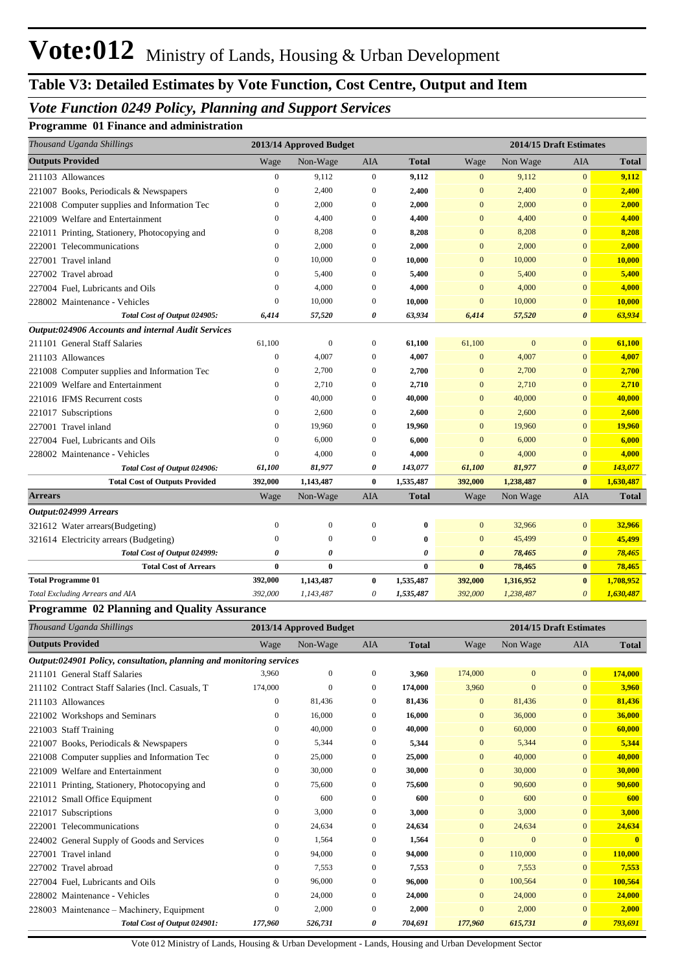## **Table V3: Detailed Estimates by Vote Function, Cost Centre, Output and Item**

## *Vote Function 0249 Policy, Planning and Support Services*

#### **Programme 01 Finance and administration**

| Thousand Uganda Shillings                          |                  | 2013/14 Approved Budget |                  |              |                       | 2014/15 Draft Estimates |                       |              |
|----------------------------------------------------|------------------|-------------------------|------------------|--------------|-----------------------|-------------------------|-----------------------|--------------|
| <b>Outputs Provided</b>                            | Wage             | Non-Wage                | AIA              | <b>Total</b> | Wage                  | Non Wage                | <b>AIA</b>            | <b>Total</b> |
| 211103 Allowances                                  | $\boldsymbol{0}$ | 9,112                   | $\mathbf{0}$     | 9,112        | $\mathbf{0}$          | 9,112                   | $\mathbf{0}$          | 9,112        |
| 221007 Books, Periodicals & Newspapers             | $\mathbf{0}$     | 2,400                   | $\mathbf{0}$     | 2,400        | $\mathbf{0}$          | 2,400                   | $\mathbf{0}$          | 2,400        |
| 221008 Computer supplies and Information Tec       | $\mathbf{0}$     | 2,000                   | $\mathbf{0}$     | 2,000        | $\mathbf{0}$          | 2,000                   | $\Omega$              | 2,000        |
| 221009 Welfare and Entertainment                   | $\mathbf{0}$     | 4,400                   | $\mathbf{0}$     | 4,400        | $\mathbf{0}$          | 4,400                   | $\overline{0}$        | 4,400        |
| 221011 Printing, Stationery, Photocopying and      | $\mathbf{0}$     | 8,208                   | $\mathbf{0}$     | 8,208        | $\mathbf{0}$          | 8,208                   | $\mathbf{0}$          | 8,208        |
| 222001 Telecommunications                          | $\mathbf{0}$     | 2,000                   | $\mathbf{0}$     | 2,000        | $\mathbf{0}$          | 2,000                   | $\mathbf{0}$          | 2,000        |
| 227001 Travel inland                               | $\mathbf{0}$     | 10,000                  | $\mathbf{0}$     | 10,000       | $\mathbf{0}$          | 10,000                  | $\mathbf{0}$          | 10,000       |
| 227002 Travel abroad                               | $\mathbf{0}$     | 5,400                   | $\mathbf{0}$     | 5,400        | $\mathbf{0}$          | 5,400                   | $\mathbf{0}$          | 5,400        |
| 227004 Fuel, Lubricants and Oils                   | $\boldsymbol{0}$ | 4,000                   | $\boldsymbol{0}$ | 4,000        | $\overline{0}$        | 4,000                   | $\mathbf{0}$          | 4,000        |
| 228002 Maintenance - Vehicles                      | $\mathbf{0}$     | 10,000                  | $\boldsymbol{0}$ | 10,000       | $\mathbf{0}$          | 10,000                  | $\mathbf{0}$          | 10,000       |
| Total Cost of Output 024905:                       | 6,414            | 57,520                  | 0                | 63,934       | 6,414                 | 57,520                  | $\boldsymbol{\theta}$ | 63,934       |
| Output:024906 Accounts and internal Audit Services |                  |                         |                  |              |                       |                         |                       |              |
| 211101 General Staff Salaries                      | 61,100           | $\boldsymbol{0}$        | $\mathbf{0}$     | 61,100       | 61,100                | $\mathbf{0}$            | $\overline{0}$        | 61,100       |
| 211103 Allowances                                  | $\mathbf{0}$     | 4,007                   | $\mathbf{0}$     | 4,007        | $\mathbf{0}$          | 4,007                   | $\mathbf{0}$          | 4,007        |
| 221008 Computer supplies and Information Tec       | $\boldsymbol{0}$ | 2,700                   | $\mathbf{0}$     | 2,700        | $\overline{0}$        | 2,700                   | $\mathbf{0}$          | 2,700        |
| 221009 Welfare and Entertainment                   | $\mathbf{0}$     | 2,710                   | $\mathbf{0}$     | 2,710        | $\mathbf{0}$          | 2,710                   | $\overline{0}$        | 2,710        |
| 221016 IFMS Recurrent costs                        | $\mathbf{0}$     | 40,000                  | $\mathbf{0}$     | 40,000       | $\mathbf{0}$          | 40,000                  | $\mathbf{0}$          | 40,000       |
| 221017 Subscriptions                               | $\mathbf{0}$     | 2,600                   | $\mathbf{0}$     | 2,600        | $\mathbf{0}$          | 2,600                   | $\overline{0}$        | 2,600        |
| 227001 Travel inland                               | $\mathbf{0}$     | 19,960                  | $\Omega$         | 19,960       | $\Omega$              | 19,960                  | $\Omega$              | 19,960       |
| 227004 Fuel, Lubricants and Oils                   | $\mathbf{0}$     | 6,000                   | $\mathbf{0}$     | 6,000        | $\mathbf{0}$          | 6,000                   | $\mathbf{0}$          | 6,000        |
| 228002 Maintenance - Vehicles                      | $\mathbf{0}$     | 4,000                   | $\mathbf{0}$     | 4,000        | $\mathbf{0}$          | 4,000                   | $\overline{0}$        | 4,000        |
| Total Cost of Output 024906:                       | 61,100           | 81,977                  | 0                | 143,077      | 61,100                | 81,977                  | $\boldsymbol{\theta}$ | 143,077      |
| <b>Total Cost of Outputs Provided</b>              | 392,000          | 1,143,487               | $\bf{0}$         | 1,535,487    | 392,000               | 1,238,487               | $\bf{0}$              | 1,630,487    |
| <b>Arrears</b>                                     | Wage             | Non-Wage                | AIA              | <b>Total</b> | Wage                  | Non Wage                | AIA                   | <b>Total</b> |
| Output:024999 Arrears                              |                  |                         |                  |              |                       |                         |                       |              |
| 321612 Water arrears(Budgeting)                    | $\mathbf{0}$     | $\boldsymbol{0}$        | $\boldsymbol{0}$ | $\pmb{0}$    | $\mathbf{0}$          | 32,966                  | $\mathbf{0}$          | 32,966       |
| 321614 Electricity arrears (Budgeting)             | $\theta$         | $\overline{0}$          | $\mathbf{0}$     | $\bf{0}$     | $\overline{0}$        | 45,499                  | $\mathbf{0}$          | 45,499       |
| Total Cost of Output 024999:                       | 0                | 0                       |                  | 0            | $\boldsymbol{\theta}$ | 78,465                  | $\boldsymbol{\theta}$ | 78,465       |
| <b>Total Cost of Arrears</b>                       | $\bf{0}$         | $\bf{0}$                |                  | $\bf{0}$     | $\bf{0}$              | 78,465                  | $\bf{0}$              | 78,465       |
| <b>Total Programme 01</b>                          | 392,000          | 1,143,487               | $\bf{0}$         | 1,535,487    | 392,000               | 1,316,952               | $\bf{0}$              | 1,708,952    |
| Total Excluding Arrears and AIA                    | 392,000          | 1,143,487               | $\theta$         | 1,535,487    | 392,000               | 1,238,487               | $\theta$              | 1,630,487    |

#### **Programme 02 Planning and Quality Assurance**

| Thousand Uganda Shillings                                            |                  | 2013/14 Approved Budget |                |              |                | 2014/15 Draft Estimates<br>Non Wage<br><b>AIA</b><br>Wage<br>$\overline{0}$<br>174,000<br>$\mathbf{0}$<br>3,960<br>$\mathbf{0}$<br>$\mathbf{0}$<br>81,436<br>$\overline{0}$<br>$\Omega$<br>36,000<br>$\Omega$<br>$\mathbf{0}$<br>60,000<br>$\mathbf{0}$<br>$\mathbf{0}$<br>5,344<br>$\overline{0}$<br>$\Omega$<br>40,000<br>$\mathbf{0}$<br>$\Omega$<br>30,000<br>$\mathbf{0}$<br>$\mathbf{0}$<br>90,600<br>$\overline{0}$<br>$\Omega$<br>600<br>$\Omega$<br>$\Omega$<br>3,000<br>$\overline{0}$<br>$\mathbf{0}$ |                       |              |
|----------------------------------------------------------------------|------------------|-------------------------|----------------|--------------|----------------|------------------------------------------------------------------------------------------------------------------------------------------------------------------------------------------------------------------------------------------------------------------------------------------------------------------------------------------------------------------------------------------------------------------------------------------------------------------------------------------------------------------|-----------------------|--------------|
| <b>Outputs Provided</b>                                              | Wage             | Non-Wage                | <b>AIA</b>     | <b>Total</b> |                |                                                                                                                                                                                                                                                                                                                                                                                                                                                                                                                  |                       | <b>Total</b> |
| Output:024901 Policy, consultation, planning and monitoring services |                  |                         |                |              |                |                                                                                                                                                                                                                                                                                                                                                                                                                                                                                                                  |                       |              |
| 211101 General Staff Salaries                                        | 3.960            | $\mathbf{0}$            | $\overline{0}$ | 3,960        |                |                                                                                                                                                                                                                                                                                                                                                                                                                                                                                                                  |                       | 174,000      |
| 211102 Contract Staff Salaries (Incl. Casuals, T                     | 174,000          | $\mathbf{0}$            | $\mathbf{0}$   | 174,000      |                |                                                                                                                                                                                                                                                                                                                                                                                                                                                                                                                  |                       | 3,960        |
| 211103 Allowances                                                    | $\mathbf{0}$     | 81,436                  | $\Omega$       | 81,436       |                |                                                                                                                                                                                                                                                                                                                                                                                                                                                                                                                  |                       | 81,436       |
| 221002 Workshops and Seminars                                        | $\mathbf{0}$     | 16,000                  | $\Omega$       | 16,000       |                |                                                                                                                                                                                                                                                                                                                                                                                                                                                                                                                  |                       | 36,000       |
| 221003 Staff Training                                                | 0                | 40,000                  | $\bf{0}$       | 40,000       |                |                                                                                                                                                                                                                                                                                                                                                                                                                                                                                                                  |                       | 60,000       |
| Books, Periodicals & Newspapers<br>221007                            | $\boldsymbol{0}$ | 5,344                   | $\Omega$       | 5,344        |                |                                                                                                                                                                                                                                                                                                                                                                                                                                                                                                                  |                       | 5,344        |
| 221008 Computer supplies and Information Tec                         | $\mathbf{0}$     | 25,000                  | $\overline{0}$ | 25,000       |                |                                                                                                                                                                                                                                                                                                                                                                                                                                                                                                                  |                       | 40,000       |
| 221009 Welfare and Entertainment                                     | 0                | 30,000                  | $\bf{0}$       | 30,000       |                |                                                                                                                                                                                                                                                                                                                                                                                                                                                                                                                  |                       | 30,000       |
| 221011 Printing, Stationery, Photocopying and                        | $\mathbf{0}$     | 75,600                  | $\Omega$       | 75,600       |                |                                                                                                                                                                                                                                                                                                                                                                                                                                                                                                                  |                       | 90,600       |
| 221012 Small Office Equipment                                        | $\mathbf{0}$     | 600                     | $\Omega$       | 600          |                |                                                                                                                                                                                                                                                                                                                                                                                                                                                                                                                  |                       | 600          |
| Subscriptions<br>221017                                              | $\mathbf{0}$     | 3,000                   | $\mathbf{0}$   | 3,000        |                |                                                                                                                                                                                                                                                                                                                                                                                                                                                                                                                  |                       | 3,000        |
| Telecommunications<br>222001                                         | $\boldsymbol{0}$ | 24,634                  | $\Omega$       | 24,634       | $\overline{0}$ | 24,634                                                                                                                                                                                                                                                                                                                                                                                                                                                                                                           | $\Omega$              | 24,634       |
| 224002 General Supply of Goods and Services                          | $\mathbf{0}$     | 1,564                   | $\overline{0}$ | 1,564        | $\mathbf{0}$   | $\mathbf{0}$                                                                                                                                                                                                                                                                                                                                                                                                                                                                                                     | $\mathbf{0}$          | $\mathbf{0}$ |
| 227001 Travel inland                                                 | 0                | 94,000                  | $\bf{0}$       | 94,000       | $\mathbf{0}$   | 110,000                                                                                                                                                                                                                                                                                                                                                                                                                                                                                                          | $\mathbf{0}$          | 110,000      |
| 227002 Travel abroad                                                 | $\mathbf{0}$     | 7,553                   | $\Omega$       | 7,553        | $\mathbf{0}$   | 7,553                                                                                                                                                                                                                                                                                                                                                                                                                                                                                                            | $\mathbf{0}$          | 7,553        |
| 227004 Fuel, Lubricants and Oils                                     | 0                | 96,000                  | $\Omega$       | 96,000       | $\Omega$       | 100,564                                                                                                                                                                                                                                                                                                                                                                                                                                                                                                          | $\Omega$              | 100,564      |
| 228002 Maintenance - Vehicles                                        | 0                | 24,000                  | $\bf{0}$       | 24,000       | $\mathbf{0}$   | 24,000                                                                                                                                                                                                                                                                                                                                                                                                                                                                                                           | $\mathbf{0}$          | 24,000       |
| 228003 Maintenance – Machinery, Equipment                            | $\mathbf{0}$     | 2,000                   | $\Omega$       | 2,000        | $\mathbf{0}$   | 2,000                                                                                                                                                                                                                                                                                                                                                                                                                                                                                                            | $\Omega$              | 2,000        |
| Total Cost of Output 024901:                                         | 177,960          | 526,731                 | 0              | 704,691      | 177,960        | 615,731                                                                                                                                                                                                                                                                                                                                                                                                                                                                                                          | $\boldsymbol{\theta}$ | 793,691      |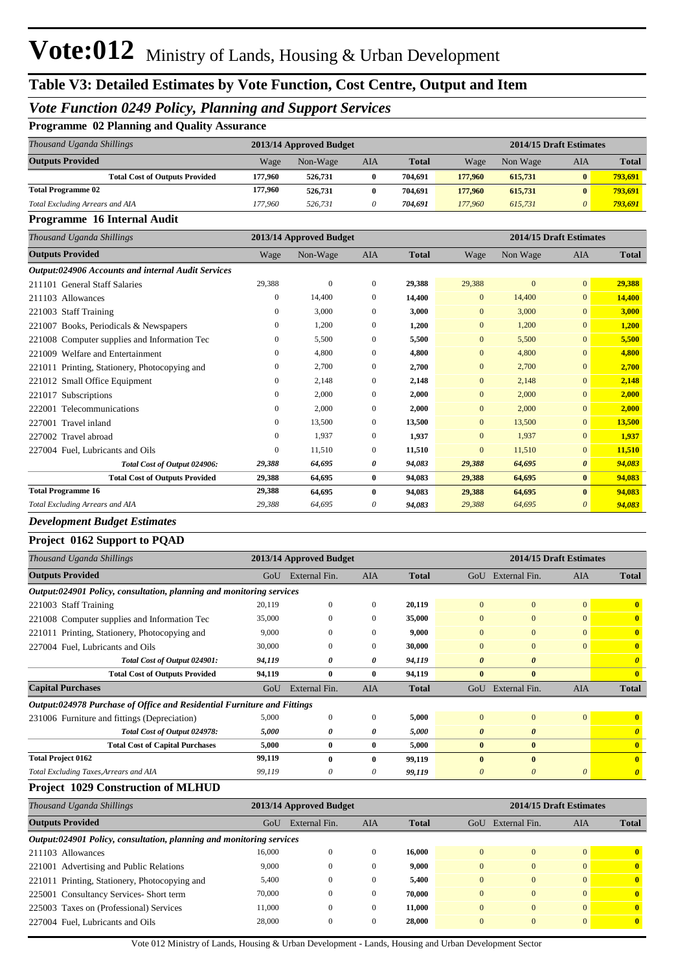#### *Vote Function 0249 Policy, Planning and Support Services*

#### **Programme 02 Planning and Quality Assurance**

| Thousand Uganda Shillings             |         | 2013/14 Approved Budget |     |              |         | 2014/15 Draft Estimates |              |              |  |
|---------------------------------------|---------|-------------------------|-----|--------------|---------|-------------------------|--------------|--------------|--|
| <b>Outputs Provided</b>               | Wage    | Non-Wage                | AIA | <b>Total</b> | Wage    | Non Wage                | AIA          | <b>Total</b> |  |
| <b>Total Cost of Outputs Provided</b> | 177,960 | 526,731                 |     | 704.691      | 177,960 | 615,731                 | $\mathbf{0}$ | 793.691      |  |
| <b>Total Programme 02</b>             | 177,960 | 526,731                 | 0   | 704.691      | 177,960 | 615.731                 | $\mathbf{0}$ | 793.691      |  |
| Total Excluding Arrears and AIA       | 177.960 | 526,731                 | 0   | 704.691      | 177,960 | 615.731                 | $\theta$     | 793.691      |  |

#### **Programme 16 Internal Audit**

| Thousand Uganda Shillings                          |              | 2013/14 Approved Budget |              |              |                | 2014/15 Draft Estimates |                |              |
|----------------------------------------------------|--------------|-------------------------|--------------|--------------|----------------|-------------------------|----------------|--------------|
| <b>Outputs Provided</b>                            | Wage         | Non-Wage                | <b>AIA</b>   | <b>Total</b> | Wage           | Non Wage                | <b>AIA</b>     | <b>Total</b> |
| Output:024906 Accounts and internal Audit Services |              |                         |              |              |                |                         |                |              |
| 211101 General Staff Salaries                      | 29,388       | $\mathbf{0}$            | $\mathbf{0}$ | 29,388       | 29,388         | $\mathbf{0}$            | $\overline{0}$ | 29,388       |
| 211103 Allowances                                  | $\mathbf{0}$ | 14,400                  | $\mathbf{0}$ | 14,400       | $\mathbf{0}$   | 14,400                  | $\overline{0}$ | 14,400       |
| 221003 Staff Training                              | $\mathbf{0}$ | 3,000                   | $\mathbf{0}$ | 3,000        | $\mathbf{0}$   | 3,000                   | $\overline{0}$ | 3,000        |
| Books, Periodicals & Newspapers<br>221007          | $\mathbf{0}$ | 1,200                   | $\mathbf{0}$ | 1,200        | $\overline{0}$ | 1,200                   | $\overline{0}$ | 1,200        |
| 221008 Computer supplies and Information Tec       | $\Omega$     | 5,500                   | $\Omega$     | 5,500        | $\overline{0}$ | 5,500                   | $\overline{0}$ | 5,500        |
| Welfare and Entertainment<br>221009                | $\mathbf{0}$ | 4,800                   | $\mathbf{0}$ | 4,800        | $\overline{0}$ | 4,800                   | $\overline{0}$ | 4,800        |
| 221011 Printing, Stationery, Photocopying and      | $\mathbf{0}$ | 2,700                   | $\mathbf{0}$ | 2,700        | $\overline{0}$ | 2.700                   | $\overline{0}$ | 2,700        |
| 221012 Small Office Equipment                      | $\mathbf{0}$ | 2,148                   | $\mathbf{0}$ | 2,148        | $\overline{0}$ | 2,148                   | $\overline{0}$ | 2,148        |
| 221017<br>Subscriptions                            | 0            | 2,000                   | $\mathbf{0}$ | 2,000        | $\overline{0}$ | 2,000                   | $\overline{0}$ | 2,000        |
| 222001 Telecommunications                          | $\mathbf{0}$ | 2,000                   | $\Omega$     | 2,000        | $\overline{0}$ | 2,000                   | $\overline{0}$ | 2,000        |
| 227001 Travel inland                               | $\mathbf{0}$ | 13,500                  | $\mathbf{0}$ | 13,500       | $\mathbf{0}$   | 13,500                  | $\overline{0}$ | 13,500       |
| 227002 Travel abroad                               | $\mathbf{0}$ | 1,937                   | $\mathbf{0}$ | 1,937        | $\overline{0}$ | 1,937                   | $\overline{0}$ | 1,937        |
| 227004 Fuel, Lubricants and Oils                   | $\mathbf{0}$ | 11,510                  | $\mathbf{0}$ | 11,510       | $\overline{0}$ | 11,510                  | $\overline{0}$ | 11,510       |
| Total Cost of Output 024906:                       | 29,388       | 64,695                  | 0            | 94,083       | 29,388         | 64,695                  | $\theta$       | 94,083       |
| <b>Total Cost of Outputs Provided</b>              | 29,388       | 64,695                  | $\bf{0}$     | 94,083       | 29,388         | 64,695                  | $\bf{0}$       | 94,083       |
| <b>Total Programme 16</b>                          | 29,388       | 64,695                  | $\mathbf{0}$ | 94,083       | 29,388         | 64,695                  | $\bf{0}$       | 94,083       |
| Total Excluding Arrears and AIA                    | 29,388       | 64.695                  | 0            | 94,083       | 29,388         | 64.695                  | 0              | 94,083       |

#### *Development Budget Estimates*

#### **Project 0162 Support to PQAD**

| Thousand Uganda Shillings                                               |        | 2013/14 Approved Budget |              |              | 2014/15 Draft Estimates |                       |                |                       |
|-------------------------------------------------------------------------|--------|-------------------------|--------------|--------------|-------------------------|-----------------------|----------------|-----------------------|
| <b>Outputs Provided</b>                                                 | GoU    | External Fin.           | AIA          | <b>Total</b> | GoU                     | External Fin.         | <b>AIA</b>     | <b>Total</b>          |
| Output:024901 Policy, consultation, planning and monitoring services    |        |                         |              |              |                         |                       |                |                       |
| 221003 Staff Training                                                   | 20,119 | $\mathbf{0}$            | $\mathbf{0}$ | 20,119       | $\overline{0}$          | $\mathbf{0}$          | $\overline{0}$ | $\mathbf{0}$          |
| 221008 Computer supplies and Information Tec                            | 35,000 | $\mathbf{0}$            | $\mathbf{0}$ | 35,000       | $\mathbf{0}$            | $\mathbf{0}$          | $\overline{0}$ | $\mathbf{0}$          |
| 221011 Printing, Stationery, Photocopying and                           | 9,000  | $\mathbf{0}$            | $\Omega$     | 9,000        | $\overline{0}$          | $\mathbf{0}$          | $\overline{0}$ | $\mathbf{0}$          |
| 227004 Fuel, Lubricants and Oils                                        | 30,000 | $\mathbf{0}$            | $\Omega$     | 30,000       | $\overline{0}$          | $\mathbf{0}$          | $\overline{0}$ | $\mathbf{0}$          |
| Total Cost of Output 024901:                                            | 94,119 | 0                       | 0            | 94,119       | $\boldsymbol{\theta}$   | $\boldsymbol{\theta}$ |                | $\theta$              |
| <b>Total Cost of Outputs Provided</b>                                   | 94,119 | $\bf{0}$                | $\mathbf{0}$ | 94,119       | $\mathbf{0}$            | $\bf{0}$              |                | $\mathbf{0}$          |
| <b>Capital Purchases</b>                                                | GoU    | External Fin.           | AIA          | <b>Total</b> | GoU                     | External Fin.         | <b>AIA</b>     | <b>Total</b>          |
| Output:024978 Purchase of Office and Residential Furniture and Fittings |        |                         |              |              |                         |                       |                |                       |
| 231006 Furniture and fittings (Depreciation)                            | 5,000  | $\mathbf{0}$            | $\mathbf{0}$ | 5,000        | $\mathbf{0}$            | $\mathbf{0}$          | $\overline{0}$ | $\mathbf{0}$          |
| Total Cost of Output 024978:                                            | 5,000  | 0                       | 0            | 5,000        | $\boldsymbol{\theta}$   | $\boldsymbol{\theta}$ |                | $\theta$              |
| <b>Total Cost of Capital Purchases</b>                                  | 5,000  | $\bf{0}$                | 0            | 5,000        | $\mathbf{0}$            | $\bf{0}$              |                | $\mathbf{0}$          |
| <b>Total Project 0162</b>                                               | 99,119 | $\mathbf{0}$            | 0            | 99,119       | $\mathbf{0}$            | $\mathbf{0}$          |                | $\mathbf{0}$          |
| Total Excluding Taxes, Arrears and AIA                                  | 99,119 | 0                       | 0            | 99,119       | 0                       | $\boldsymbol{\theta}$ | 0              | $\boldsymbol{\theta}$ |
| <b>Project 1029 Construction of MLHUD</b>                               |        |                         |              |              |                         |                       |                |                       |

#### *Thousand Uganda Shillings* **2013/14 Approved Budget 2014/15 Draft Estimates Outputs Provided** GoU External Fin. AIA **Total** GoU External Fin. AIA **Total** *Output:024901 Policy, consultation, planning and monitoring services* 211103 Allowances 16,000 0 0 **16,000** 0 0 0 **0** 221001 Advertising and Public Relations 9,000 0 0 **9,000** 0 0 0 **0** 221011 Printing, Stationery, Photocopying and 5,400 0 0 **5,400** 0 0 0 **0** 225001 Consultancy Services- Short term 70,000 0 0 **70,000** 0 0 0 **0** 225003 Taxes on (Professional) Services 11,000 0 0 **11,000** 0 0 0 **0** 227004 Fuel, Lubricants and Oils 28,000 0 0 **28,000** 0 0 0 **0**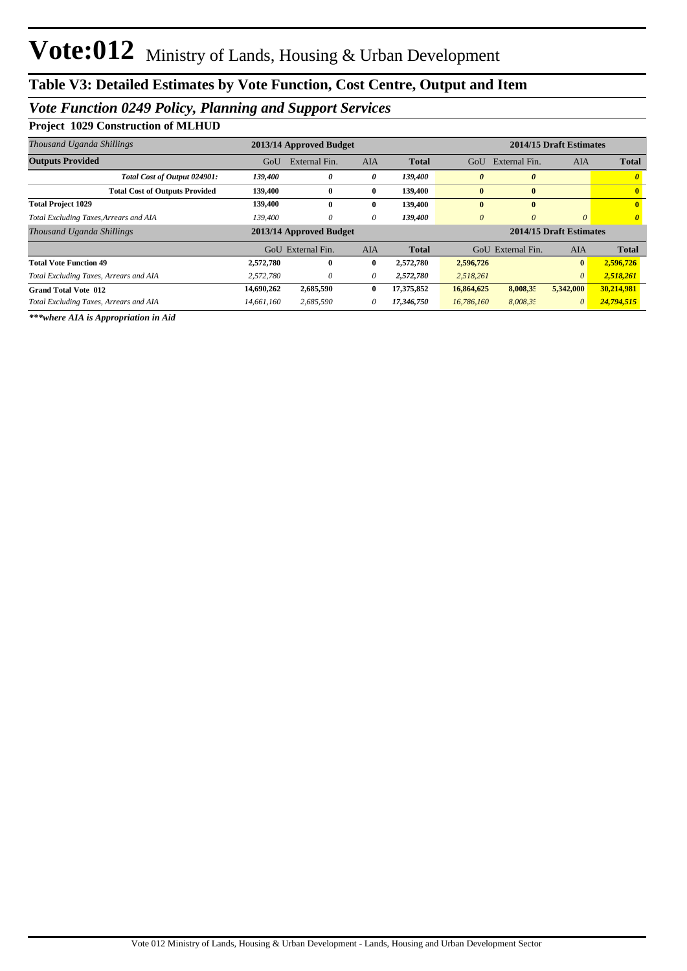## *Vote Function 0249 Policy, Planning and Support Services*

**Project 1029 Construction of MLHUD**

| Thousand Uganda Shillings              |            | 2013/14 Approved Budget | 2014/15 Draft Estimates |              |                         |                       |              |                       |
|----------------------------------------|------------|-------------------------|-------------------------|--------------|-------------------------|-----------------------|--------------|-----------------------|
| <b>Outputs Provided</b>                | GoU        | External Fin.           | <b>AIA</b>              | <b>Total</b> | GoU                     | External Fin.         | AIA          | <b>Total</b>          |
| Total Cost of Output 024901:           | 139,400    | 0                       | 0                       | 139,400      | 0                       | $\boldsymbol{\theta}$ |              |                       |
| <b>Total Cost of Outputs Provided</b>  | 139,400    | $\bf{0}$                | $\bf{0}$                | 139,400      | $\bf{0}$                | $\bf{0}$              |              | $\mathbf{0}$          |
| <b>Total Project 1029</b>              | 139,400    | $\mathbf{0}$            | $\mathbf{0}$            | 139,400      | $\mathbf{0}$            | $\mathbf{0}$          |              | $\mathbf{0}$          |
| Total Excluding Taxes, Arrears and AIA | 139,400    | 0                       | 0                       | 139,400      | $\theta$                | $\theta$              | 0            | $\boldsymbol{\theta}$ |
| Thousand Uganda Shillings              |            | 2013/14 Approved Budget |                         |              | 2014/15 Draft Estimates |                       |              |                       |
|                                        |            | GoU External Fin.       | <b>AIA</b>              | <b>Total</b> |                         | GoU External Fin.     | <b>AIA</b>   | <b>Total</b>          |
| <b>Total Vote Function 49</b>          | 2,572,780  | $\mathbf{0}$            | $\mathbf{0}$            | 2,572,780    | 2,596,726               |                       | $\mathbf{0}$ | 2,596,726             |
| Total Excluding Taxes, Arrears and AIA | 2,572,780  | 0                       | 0                       | 2,572,780    | 2,518,261               |                       | $\theta$     | 2,518,261             |
| <b>Grand Total Vote 012</b>            | 14,690,262 | 2,685,590               | $\mathbf{0}$            | 17,375,852   | 16,864,625              | 8,008,35              | 5,342,000    | 30,214,981            |
| Total Excluding Taxes, Arrears and AIA | 14.661.160 | 2.685.590               | 0                       | 17.346.750   | 16,786,160              | 8,008,35              | $\theta$     | 24,794,515            |

*\*\*\*where AIA is Appropriation in Aid*